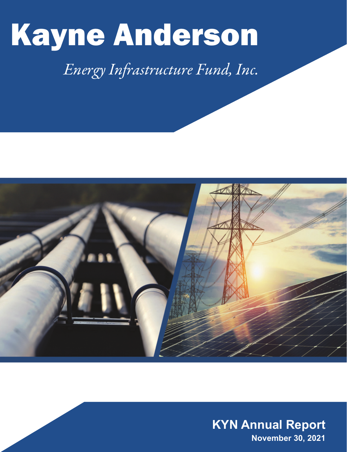

# *Energy Infrastructure Fund, Inc.*



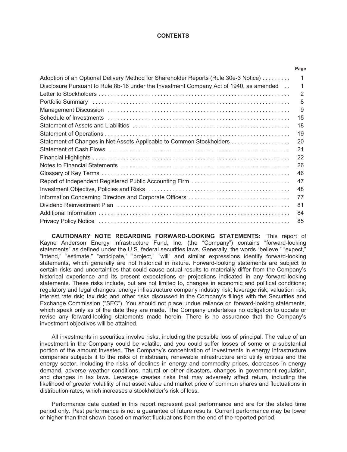#### **CONTENTS**

|                                                                                        | Page |
|----------------------------------------------------------------------------------------|------|
| Adoption of an Optional Delivery Method for Shareholder Reports (Rule 30e-3 Notice)    | 1    |
| Disclosure Pursuant to Rule 8b-16 under the Investment Company Act of 1940, as amended |      |
|                                                                                        | 2    |
|                                                                                        | 8    |
|                                                                                        | 9    |
|                                                                                        | 15   |
|                                                                                        | 18   |
|                                                                                        | 19   |
| Statement of Changes in Net Assets Applicable to Common Stockholders                   | 20   |
|                                                                                        | 21   |
|                                                                                        | 22   |
|                                                                                        | 26   |
|                                                                                        | 46   |
|                                                                                        | 47   |
|                                                                                        | 48   |
|                                                                                        | 77   |
|                                                                                        | 81   |
|                                                                                        | 84   |
|                                                                                        | 85   |

**CAUTIONARY NOTE REGARDING FORWARD-LOOKING STATEMENTS:** This report of Kayne Anderson Energy Infrastructure Fund, Inc. (the "Company") contains "forward-looking statements" as defined under the U.S. federal securities laws. Generally, the words "believe," "expect," "intend," "estimate," "anticipate," "project," "will" and similar expressions identify forward-looking statements, which generally are not historical in nature. Forward-looking statements are subject to certain risks and uncertainties that could cause actual results to materially differ from the Company's historical experience and its present expectations or projections indicated in any forward-looking statements. These risks include, but are not limited to, changes in economic and political conditions; regulatory and legal changes; energy infrastructure company industry risk; leverage risk; valuation risk; interest rate risk; tax risk; and other risks discussed in the Company's filings with the Securities and Exchange Commission ("SEC"). You should not place undue reliance on forward-looking statements, which speak only as of the date they are made. The Company undertakes no obligation to update or revise any forward-looking statements made herein. There is no assurance that the Company's investment objectives will be attained.

All investments in securities involve risks, including the possible loss of principal. The value of an investment in the Company could be volatile, and you could suffer losses of some or a substantial portion of the amount invested. The Company's concentration of investments in energy infrastructure companies subjects it to the risks of midstream, renewable infrastructure and utility entities and the energy sector, including the risks of declines in energy and commodity prices, decreases in energy demand, adverse weather conditions, natural or other disasters, changes in government regulation, and changes in tax laws. Leverage creates risks that may adversely affect return, including the likelihood of greater volatility of net asset value and market price of common shares and fluctuations in distribution rates, which increases a stockholder's risk of loss.

Performance data quoted in this report represent past performance and are for the stated time period only. Past performance is not a guarantee of future results. Current performance may be lower or higher than that shown based on market fluctuations from the end of the reported period.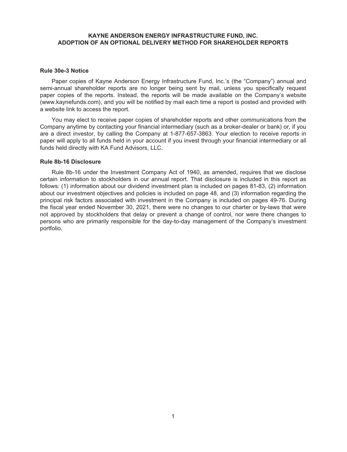#### **KAYNE ANDERSON ENERGY INFRASTRUCTURE FUND, INC. ADOPTION OF AN OPTIONAL DELIVERY METHOD FOR SHAREHOLDER REPORTS**

#### <span id="page-2-0"></span>**Rule 30e-3 Notice**

Paper copies of Kayne Anderson Energy Infrastructure Fund, Inc.'s (the "Company") annual and semi-annual shareholder reports are no longer being sent by mail, unless you specifically request paper copies of the reports. Instead, the reports will be made available on the Company's website (www.kaynefunds.com), and you will be notified by mail each time a report is posted and provided with a website link to access the report.

You may elect to receive paper copies of shareholder reports and other communications from the Company anytime by contacting your financial intermediary (such as a broker-dealer or bank) or, if you are a direct investor, by calling the Company at 1-877-657-3863. Your election to receive reports in paper will apply to all funds held in your account if you invest through your financial intermediary or all funds held directly with KA Fund Advisors, LLC.

#### <span id="page-2-1"></span>**Rule 8b-16 Disclosure**

Rule 8b-16 under the Investment Company Act of 1940, as amended, requires that we disclose certain information to stockholders in our annual report. That disclosure is included in this report as follows: (1) information about our dividend investment plan is included on pages 81-83, (2) information about our investment objectives and policies is included on page 48, and (3) information regarding the principal risk factors associated with investment in the Company is included on pages 49-76. During the fiscal year ended November 30, 2021, there were no changes to our charter or by-laws that were not approved by stockholders that delay or prevent a change of control, nor were there changes to persons who are primarily responsible for the day-to-day management of the Company's investment portfolio.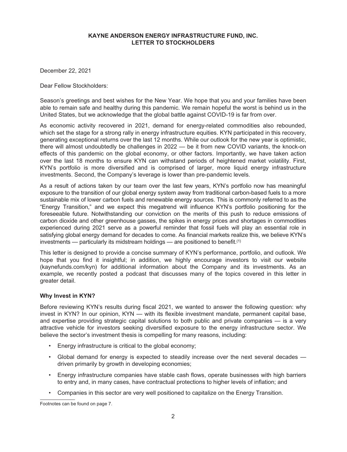<span id="page-3-0"></span>December 22, 2021

Dear Fellow Stockholders:

Season's greetings and best wishes for the New Year. We hope that you and your families have been able to remain safe and healthy during this pandemic. We remain hopeful the worst is behind us in the United States, but we acknowledge that the global battle against COVID-19 is far from over.

As economic activity recovered in 2021, demand for energy-related commodities also rebounded, which set the stage for a strong rally in energy infrastructure equities. KYN participated in this recovery, generating exceptional returns over the last 12 months. While our outlook for the new year is optimistic, there will almost undoubtedly be challenges in 2022 — be it from new COVID variants, the knock-on effects of this pandemic on the global economy, or other factors. Importantly, we have taken action over the last 18 months to ensure KYN can withstand periods of heightened market volatility. First, KYN's portfolio is more diversified and is comprised of larger, more liquid energy infrastructure investments. Second, the Company's leverage is lower than pre-pandemic levels.

As a result of actions taken by our team over the last few years, KYN's portfolio now has meaningful exposure to the transition of our global energy system away from traditional carbon-based fuels to a more sustainable mix of lower carbon fuels and renewable energy sources. This is commonly referred to as the "Energy Transition," and we expect this megatrend will influence KYN's portfolio positioning for the foreseeable future. Notwithstanding our conviction on the merits of this push to reduce emissions of carbon dioxide and other greenhouse gasses, the spikes in energy prices and shortages in commodities experienced during 2021 serve as a powerful reminder that fossil fuels will play an essential role in satisfying global energy demand for decades to come. As financial markets realize this, we believe KYN's investments — particularly its midstream holdings — are positioned to benefit.(1)

This letter is designed to provide a concise summary of KYN's performance, portfolio, and outlook. We hope that you find it insightful; in addition, we highly encourage investors to visit our website (kaynefunds.com/kyn) for additional information about the Company and its investments. As an example, we recently posted a podcast that discusses many of the topics covered in this letter in greater detail.

# **Why Invest in KYN?**

Before reviewing KYN's results during fiscal 2021, we wanted to answer the following question: why invest in KYN? In our opinion, KYN — with its flexible investment mandate, permanent capital base, and expertise providing strategic capital solutions to both public and private companies — is a very attractive vehicle for investors seeking diversified exposure to the energy infrastructure sector. We believe the sector's investment thesis is compelling for many reasons, including:

- Energy infrastructure is critical to the global economy;
- Global demand for energy is expected to steadily increase over the next several decades driven primarily by growth in developing economies;
- Energy infrastructure companies have stable cash flows, operate businesses with high barriers to entry and, in many cases, have contractual protections to higher levels of inflation; and
- Companies in this sector are very well positioned to capitalize on the Energy Transition.

Footnotes can be found on page 7.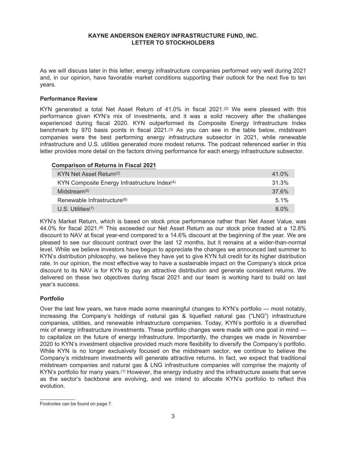As we will discuss later in this letter, energy infrastructure companies performed very well during 2021 and, in our opinion, have favorable market conditions supporting their outlook for the next five to ten years.

#### **Performance Review**

KYN generated a total Net Asset Return of  $41.0\%$  in fiscal  $2021$ .<sup>(2)</sup> We were pleased with this performance given KYN's mix of investments, and it was a solid recovery after the challenges experienced during fiscal 2020. KYN outperformed its Composite Energy Infrastructure Index benchmark by 970 basis points in fiscal 2021.<sup>(3)</sup> As you can see in the table below, midstream companies were the best performing energy infrastructure subsector in 2021, while renewable infrastructure and U.S. utilities generated more modest returns. The podcast referenced earlier in this letter provides more detail on the factors driving performance for each energy infrastructure subsector.

#### **Comparison of Returns in Fiscal 2021**

| KYN Net Asset Return <sup>(2)</sup>                      | 41.0% |
|----------------------------------------------------------|-------|
| KYN Composite Energy Infrastructure Index <sup>(4)</sup> | 31.3% |
| Midstream $(5)$                                          | 37.6% |
| Renewable Infrastructure <sup>(6)</sup>                  | 5.1%  |
| $U.S.$ Utilities <sup><math>(7)</math></sup>             | 8.0%  |

KYN's Market Return, which is based on stock price performance rather than Net Asset Value, was 44.0% for fiscal 2021.(8) This exceeded our Net Asset Return as our stock price traded at a 12.8% discount to NAV at fiscal year-end compared to a 14.6% discount at the beginning of the year. We are pleased to see our discount contract over the last 12 months, but it remains at a wider-than-normal level. While we believe investors have begun to appreciate the changes we announced last summer to KYN's distribution philosophy, we believe they have yet to give KYN full credit for its higher distribution rate. In our opinion, the most effective way to have a sustainable impact on the Company's stock price discount to its NAV is for KYN to pay an attractive distribution and generate consistent returns. We delivered on these two objectives during fiscal 2021 and our team is working hard to build on last year's success.

#### **Portfolio**

Over the last few years, we have made some meaningful changes to KYN's portfolio — most notably, increasing the Company's holdings of natural gas & liquefied natural gas ("LNG") infrastructure companies, utilities, and renewable infrastructure companies. Today, KYN's portfolio is a diversified mix of energy infrastructure investments. These portfolio changes were made with one goal in mind to capitalize on the future of energy infrastructure. Importantly, the changes we made in November 2020 to KYN's investment objective provided much more flexibility to diversify the Company's portfolio. While KYN is no longer exclusively focused on the midstream sector, we continue to believe the Company's midstream investments will generate attractive returns. In fact, we expect that traditional midstream companies and natural gas & LNG infrastructure companies will comprise the majority of KYN's portfolio for many years.<sup>(1)</sup> However, the energy industry and the infrastructure assets that serve as the sector's backbone are evolving, and we intend to allocate KYN's portfolio to reflect this evolution.

Footnotes can be found on page 7.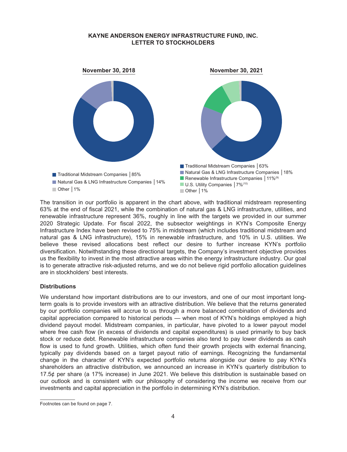

The transition in our portfolio is apparent in the chart above, with traditional midstream representing 63% at the end of fiscal 2021, while the combination of natural gas & LNG infrastructure, utilities, and renewable infrastructure represent 36%, roughly in line with the targets we provided in our summer 2020 Strategic Update. For fiscal 2022, the subsector weightings in KYN's Composite Energy Infrastructure Index have been revised to 75% in midstream (which includes traditional midstream and natural gas & LNG infrastructure), 15% in renewable infrastructure, and 10% in U.S. utilities. We believe these revised allocations best reflect our desire to further increase KYN's portfolio diversification. Notwithstanding these directional targets, the Company's investment objective provides us the flexibility to invest in the most attractive areas within the energy infrastructure industry. Our goal is to generate attractive risk-adjusted returns, and we do not believe rigid portfolio allocation guidelines are in stockholders' best interests.

#### **Distributions**

We understand how important distributions are to our investors, and one of our most important longterm goals is to provide investors with an attractive distribution. We believe that the returns generated by our portfolio companies will accrue to us through a more balanced combination of dividends and capital appreciation compared to historical periods — when most of KYN's holdings employed a high dividend payout model. Midstream companies, in particular, have pivoted to a lower payout model where free cash flow (in excess of dividends and capital expenditures) is used primarily to buy back stock or reduce debt. Renewable infrastructure companies also tend to pay lower dividends as cash flow is used to fund growth. Utilities, which often fund their growth projects with external financing, typically pay dividends based on a target payout ratio of earnings. Recognizing the fundamental change in the character of KYN's expected portfolio returns alongside our desire to pay KYN's shareholders an attractive distribution, we announced an increase in KYN's quarterly distribution to 17.5¢ per share (a 17% increase) in June 2021. We believe this distribution is sustainable based on our outlook and is consistent with our philosophy of considering the income we receive from our investments and capital appreciation in the portfolio in determining KYN's distribution.

Footnotes can be found on page 7.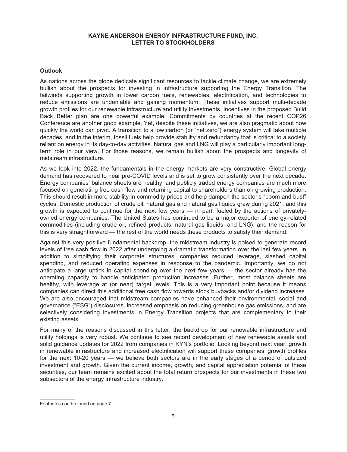#### **Outlook**

As nations across the globe dedicate significant resources to tackle climate change, we are extremely bullish about the prospects for investing in infrastructure supporting the Energy Transition. The tailwinds supporting growth in lower carbon fuels, renewables, electrification, and technologies to reduce emissions are undeniable and gaining momentum. These initiatives support multi-decade growth profiles for our renewable infrastructure and utility investments. Incentives in the proposed Build Back Better plan are one powerful example. Commitments by countries at the recent COP26 Conference are another good example. Yet, despite these initiatives, we are also pragmatic about how quickly the world can pivot. A transition to a low carbon (or "net zero") energy system will take multiple decades, and in the interim, fossil fuels help provide stability and redundancy that is critical to a society reliant on energy in its day-to-day activities. Natural gas and LNG will play a particularly important longterm role in our view. For those reasons, we remain bullish about the prospects and longevity of midstream infrastructure.

As we look into 2022, the fundamentals in the energy markets are very constructive. Global energy demand has recovered to near pre-COVID levels and is set to grow consistently over the next decade. Energy companies' balance sheets are healthy, and publicly traded energy companies are much more focused on generating free cash flow and returning capital to shareholders than on growing production. This should result in more stability in commodity prices and help dampen the sector's "boom and bust" cycles. Domestic production of crude oil, natural gas and natural gas liquids grew during 2021, and this growth is expected to continue for the next few years — in part, fueled by the actions of privatelyowned energy companies. The United States has continued to be a major exporter of energy-related commodities (including crude oil, refined products, natural gas liquids, and LNG), and the reason for this is very straightforward — the rest of the world needs these products to satisfy their demand.

Against this very positive fundamental backdrop, the midstream industry is poised to generate record levels of free cash flow in 2022 after undergoing a dramatic transformation over the last few years. In addition to simplifying their corporate structures, companies reduced leverage, slashed capital spending, and reduced operating expenses in response to the pandemic. Importantly, we do not anticipate a large uptick in capital spending over the next few years — the sector already has the operating capacity to handle anticipated production increases. Further, most balance sheets are healthy, with leverage at (or near) target levels. This is a very important point because it means companies can direct this additional free cash flow towards stock buybacks and/or dividend increases. We are also encouraged that midstream companies have enhanced their environmental, social and governance ("ESG") disclosures, increased emphasis on reducing greenhouse gas emissions, and are selectively considering investments in Energy Transition projects that are complementary to their existing assets.

For many of the reasons discussed in this letter, the backdrop for our renewable infrastructure and utility holdings is very robust. We continue to see record development of new renewable assets and solid guidance updates for 2022 from companies in KYN's portfolio. Looking beyond next year, growth in renewable infrastructure and increased electrification will support these companies' growth profiles for the next 10-20 years — we believe both sectors are in the early stages of a period of outsized investment and growth. Given the current income, growth, and capital appreciation potential of these securities, our team remains excited about the total return prospects for our investments in these two subsectors of the energy infrastructure industry.

Footnotes can be found on page 7.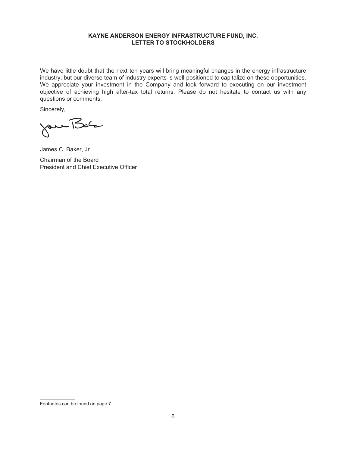We have little doubt that the next ten years will bring meaningful changes in the energy infrastructure industry, but our diverse team of industry experts is well-positioned to capitalize on these opportunities. We appreciate your investment in the Company and look forward to executing on our investment objective of achieving high after-tax total returns. Please do not hesitate to contact us with any questions or comments.

Sincerely,

Jan Bar

James C. Baker, Jr.

Chairman of the Board President and Chief Executive Officer

Footnotes can be found on page 7.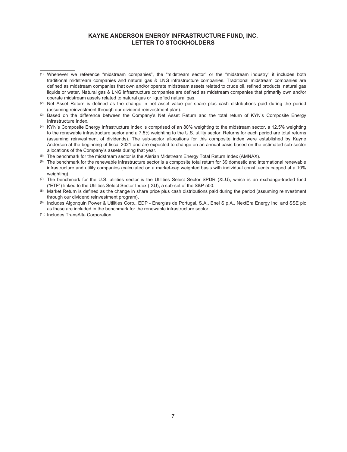- (5) The benchmark for the midstream sector is the Alerian Midstream Energy Total Return Index (AMNAX).
- (6) The benchmark for the renewable infrastructure sector is a composite total return for 39 domestic and international renewable infrastructure and utility companies (calculated on a market-cap weighted basis with individual constituents capped at a 10% weighting).
- (7) The benchmark for the U.S. utilities sector is the Utilities Select Sector SPDR (XLU), which is an exchange-traded fund ("ETF") linked to the Utilities Select Sector Index (IXU), a sub-set of the S&P 500.

(9) Includes Algonquin Power & Utilities Corp., EDP - Energias de Portugal, S.A., Enel S.p.A., NextEra Energy Inc. and SSE plc as these are included in the benchmark for the renewable infrastructure sector.

<sup>(1)</sup> Whenever we reference "midstream companies", the "midstream sector" or the "midstream industry" it includes both traditional midstream companies and natural gas & LNG infrastructure companies. Traditional midstream companies are defined as midstream companies that own and/or operate midstream assets related to crude oil, refined products, natural gas liquids or water. Natural gas & LNG infrastructure companies are defined as midstream companies that primarily own and/or operate midstream assets related to natural gas or liquefied natural gas.

<sup>(2)</sup> Net Asset Return is defined as the change in net asset value per share plus cash distributions paid during the period (assuming reinvestment through our dividend reinvestment plan).

<sup>(3)</sup> Based on the difference between the Company's Net Asset Return and the total return of KYN's Composite Energy Infrastructure Index.

<sup>(4)</sup> KYN's Composite Energy Infrastructure Index is comprised of an 80% weighting to the midstream sector, a 12.5% weighting to the renewable infrastructure sector and a 7.5% weighting to the U.S. utility sector. Returns for each period are total returns (assuming reinvestment of dividends). The sub-sector allocations for this composite index were established by Kayne Anderson at the beginning of fiscal 2021 and are expected to change on an annual basis based on the estimated sub-sector allocations of the Company's assets during that year.

<sup>(8)</sup> Market Return is defined as the change in share price plus cash distributions paid during the period (assuming reinvestment through our dividend reinvestment program).

<sup>(10)</sup> Includes TransAlta Corporation.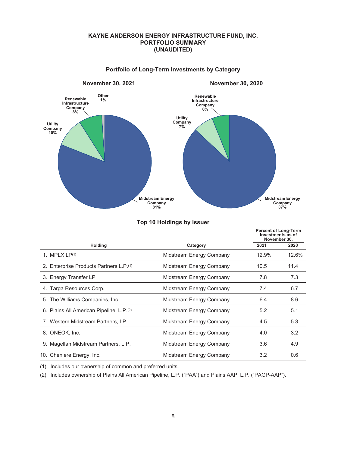# **KAYNE ANDERSON ENERGY INFRASTRUCTURE FUND, INC. PORTFOLIO SUMMARY (UNAUDITED)**

<span id="page-9-0"></span>

#### **Portfolio of Long-Term Investments by Category**

|                                                      |                          | <b>Percent of Long-Term</b><br>Investments as of<br>November 30, |       |
|------------------------------------------------------|--------------------------|------------------------------------------------------------------|-------|
| <b>Holding</b>                                       | Category                 | 2021                                                             | 2020  |
| 1. MPLX $LP(1)$                                      | Midstream Energy Company | 12.9%                                                            | 12.6% |
| 2. Enterprise Products Partners L.P. <sup>(1)</sup>  | Midstream Energy Company | 10.5                                                             | 11.4  |
| 3. Energy Transfer LP                                | Midstream Energy Company | 7.8                                                              | 7.3   |
| 4. Targa Resources Corp.                             | Midstream Energy Company | 7.4                                                              | 6.7   |
| 5. The Williams Companies, Inc.                      | Midstream Energy Company | 6.4                                                              | 8.6   |
| 6. Plains All American Pipeline, L.P. <sup>(2)</sup> | Midstream Energy Company | 5.2                                                              | 5.1   |
| 7. Western Midstream Partners, LP                    | Midstream Energy Company | 4.5                                                              | 5.3   |
| 8. ONEOK, Inc.                                       | Midstream Energy Company | 4.0                                                              | 3.2   |
| 9. Magellan Midstream Partners, L.P.                 | Midstream Energy Company | 3.6                                                              | 4.9   |
| 10. Cheniere Energy, Inc.                            | Midstream Energy Company | 3.2                                                              | 0.6   |

#### **Top 10 Holdings by Issuer**

(1) Includes our ownership of common and preferred units.

(2) Includes ownership of Plains All American Pipeline, L.P. ("PAA") and Plains AAP, L.P. ("PAGP-AAP").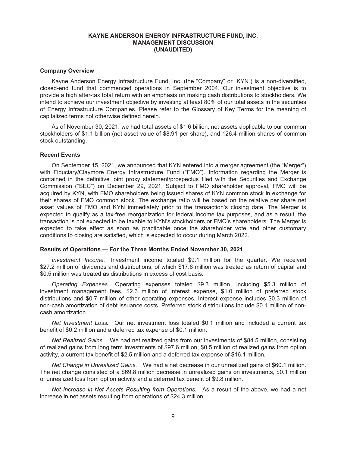#### <span id="page-10-0"></span>**Company Overview**

Kayne Anderson Energy Infrastructure Fund, Inc. (the "Company" or "KYN") is a non-diversified, closed-end fund that commenced operations in September 2004. Our investment objective is to provide a high after-tax total return with an emphasis on making cash distributions to stockholders. We intend to achieve our investment objective by investing at least 80% of our total assets in the securities of Energy Infrastructure Companies. Please refer to the Glossary of Key Terms for the meaning of capitalized terms not otherwise defined herein.

As of November 30, 2021, we had total assets of \$1.6 billion, net assets applicable to our common stockholders of \$1.1 billion (net asset value of \$8.91 per share), and 126.4 million shares of common stock outstanding.

#### **Recent Events**

On September 15, 2021, we announced that KYN entered into a merger agreement (the "Merger") with Fiduciary/Claymore Energy Infrastructure Fund ("FMO"). Information regarding the Merger is contained in the definitive joint proxy statement/prospectus filed with the Securities and Exchange Commission ("SEC") on December 29, 2021. Subject to FMO shareholder approval, FMO will be acquired by KYN, with FMO shareholders being issued shares of KYN common stock in exchange for their shares of FMO common stock. The exchange ratio will be based on the relative per share net asset values of FMO and KYN immediately prior to the transaction's closing date. The Merger is expected to qualify as a tax-free reorganization for federal income tax purposes, and as a result, the transaction is not expected to be taxable to KYN's stockholders or FMO's shareholders. The Merger is expected to take effect as soon as practicable once the shareholder vote and other customary conditions to closing are satisfied, which is expected to occur during March 2022.

#### **Results of Operations — For the Three Months Ended November 30, 2021**

*Investment Income.* Investment income totaled \$9.1 million for the quarter. We received \$27.2 million of dividends and distributions, of which \$17.6 million was treated as return of capital and \$0.5 million was treated as distributions in excess of cost basis.

*Operating Expenses.* Operating expenses totaled \$9.3 million, including \$5.3 million of investment management fees, \$2.3 million of interest expense, \$1.0 million of preferred stock distributions and \$0.7 million of other operating expenses. Interest expense includes \$0.3 million of non-cash amortization of debt issuance costs. Preferred stock distributions include \$0.1 million of noncash amortization.

*Net Investment Loss.* Our net investment loss totaled \$0.1 million and included a current tax benefit of \$0.2 million and a deferred tax expense of \$0.1 million.

*Net Realized Gains.* We had net realized gains from our investments of \$84.5 million, consisting of realized gains from long term investments of \$97.6 million, \$0.5 million of realized gains from option activity, a current tax benefit of \$2.5 million and a deferred tax expense of \$16.1 million.

*Net Change in Unrealized Gains.* We had a net decrease in our unrealized gains of \$60.1 million. The net change consisted of a \$69.8 million decrease in unrealized gains on investments, \$0.1 million of unrealized loss from option activity and a deferred tax benefit of \$9.8 million.

*Net Increase in Net Assets Resulting from Operations.* As a result of the above, we had a net increase in net assets resulting from operations of \$24.3 million.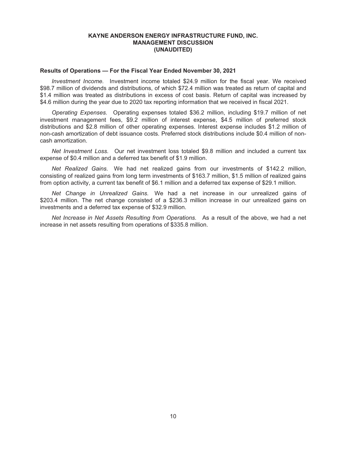#### **Results of Operations — For the Fiscal Year Ended November 30, 2021**

*Investment Income.* Investment income totaled \$24.9 million for the fiscal year. We received \$98.7 million of dividends and distributions, of which \$72.4 million was treated as return of capital and \$1.4 million was treated as distributions in excess of cost basis. Return of capital was increased by \$4.6 million during the year due to 2020 tax reporting information that we received in fiscal 2021.

*Operating Expenses.* Operating expenses totaled \$36.2 million, including \$19.7 million of net investment management fees, \$9.2 million of interest expense, \$4.5 million of preferred stock distributions and \$2.8 million of other operating expenses. Interest expense includes \$1.2 million of non-cash amortization of debt issuance costs. Preferred stock distributions include \$0.4 million of noncash amortization.

*Net Investment Loss.* Our net investment loss totaled \$9.8 million and included a current tax expense of \$0.4 million and a deferred tax benefit of \$1.9 million.

*Net Realized Gains.* We had net realized gains from our investments of \$142.2 million, consisting of realized gains from long term investments of \$163.7 million, \$1.5 million of realized gains from option activity, a current tax benefit of \$6.1 million and a deferred tax expense of \$29.1 million.

*Net Change in Unrealized Gains.* We had a net increase in our unrealized gains of \$203.4 million. The net change consisted of a \$236.3 million increase in our unrealized gains on investments and a deferred tax expense of \$32.9 million.

*Net Increase in Net Assets Resulting from Operations.* As a result of the above, we had a net increase in net assets resulting from operations of \$335.8 million.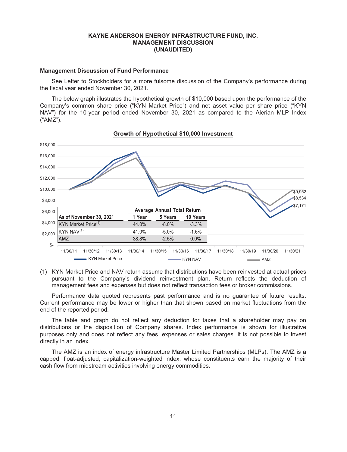#### **Management Discussion of Fund Performance**

See Letter to Stockholders for a more fulsome discussion of the Company's performance during the fiscal year ended November 30, 2021.

The below graph illustrates the hypothetical growth of \$10,000 based upon the performance of the Company's common share price ("KYN Market Price") and net asset value per share price ("KYN NAV") for the 10-year period ended November 30, 2021 as compared to the Alerian MLP Index ("AMZ").



**Growth of Hypothetical \$10,000 Investment**

(1) KYN Market Price and NAV return assume that distributions have been reinvested at actual prices pursuant to the Company's dividend reinvestment plan. Return reflects the deduction of management fees and expenses but does not reflect transaction fees or broker commissions.

Performance data quoted represents past performance and is no guarantee of future results. Current performance may be lower or higher than that shown based on market fluctuations from the end of the reported period.

The table and graph do not reflect any deduction for taxes that a shareholder may pay on distributions or the disposition of Company shares. Index performance is shown for illustrative purposes only and does not reflect any fees, expenses or sales charges. It is not possible to invest directly in an index.

The AMZ is an index of energy infrastructure Master Limited Partnerships (MLPs). The AMZ is a capped, float-adjusted, capitalization-weighted index, whose constituents earn the majority of their cash flow from midstream activities involving energy commodities.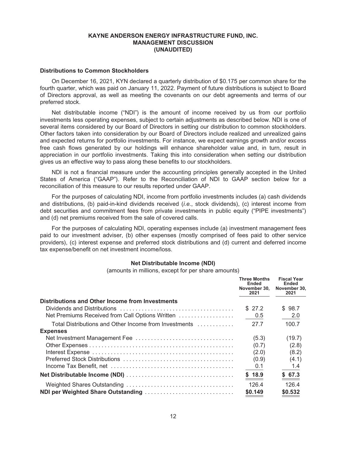## **Distributions to Common Stockholders**

On December 16, 2021, KYN declared a quarterly distribution of \$0.175 per common share for the fourth quarter, which was paid on January 11, 2022. Payment of future distributions is subject to Board of Directors approval, as well as meeting the covenants on our debt agreements and terms of our preferred stock.

Net distributable income ("NDI") is the amount of income received by us from our portfolio investments less operating expenses, subject to certain adjustments as described below. NDI is one of several items considered by our Board of Directors in setting our distribution to common stockholders. Other factors taken into consideration by our Board of Directors include realized and unrealized gains and expected returns for portfolio investments. For instance, we expect earnings growth and/or excess free cash flows generated by our holdings will enhance shareholder value and, in turn, result in appreciation in our portfolio investments. Taking this into consideration when setting our distribution gives us an effective way to pass along these benefits to our stockholders.

NDI is not a financial measure under the accounting principles generally accepted in the United States of America ("GAAP"). Refer to the Reconciliation of NDI to GAAP section below for a reconciliation of this measure to our results reported under GAAP.

For the purposes of calculating NDI, income from portfolio investments includes (a) cash dividends and distributions, (b) paid-in-kind dividends received (*i.e.*, stock dividends), (c) interest income from debt securities and commitment fees from private investments in public equity ("PIPE investments") and (d) net premiums received from the sale of covered calls.

For the purposes of calculating NDI, operating expenses include (a) investment management fees paid to our investment adviser, (b) other expenses (mostly comprised of fees paid to other service providers), (c) interest expense and preferred stock distributions and (d) current and deferred income tax expense/benefit on net investment income/loss.

#### **Net Distributable Income (NDI)**

(amounts in millions, except for per share amounts)

|                                                       | <b>Three Months</b><br><b>Ended</b><br>November 30.<br>2021 | <b>Fiscal Year</b><br>Ended<br>November 30.<br>2021 |
|-------------------------------------------------------|-------------------------------------------------------------|-----------------------------------------------------|
| Distributions and Other Income from Investments       |                                                             |                                                     |
|                                                       | \$27.2                                                      | \$98.7                                              |
| Net Premiums Received from Call Options Written       | 0.5                                                         | 2.0                                                 |
| Total Distributions and Other Income from Investments | 27.7                                                        | 100.7                                               |
| <b>Expenses</b>                                       |                                                             |                                                     |
|                                                       | (5.3)                                                       | (19.7)                                              |
|                                                       | (0.7)                                                       | (2.8)                                               |
|                                                       | (2.0)                                                       | (8.2)                                               |
|                                                       | (0.9)                                                       | (4.1)                                               |
|                                                       | 0.1                                                         | 1.4                                                 |
|                                                       | \$18.9                                                      | \$67.3                                              |
|                                                       | 126.4                                                       | 126.4                                               |
| NDI per Weighted Share Outstanding                    | \$0.149                                                     | \$0.532                                             |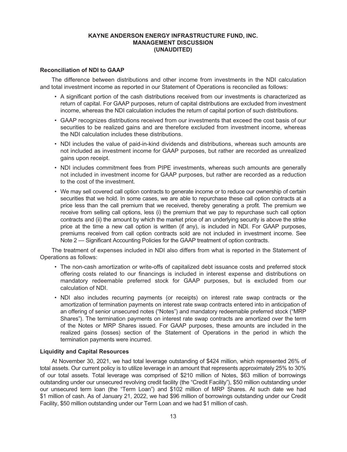#### **Reconciliation of NDI to GAAP**

The difference between distributions and other income from investments in the NDI calculation and total investment income as reported in our Statement of Operations is reconciled as follows:

- A significant portion of the cash distributions received from our investments is characterized as return of capital. For GAAP purposes, return of capital distributions are excluded from investment income, whereas the NDI calculation includes the return of capital portion of such distributions.
- GAAP recognizes distributions received from our investments that exceed the cost basis of our securities to be realized gains and are therefore excluded from investment income, whereas the NDI calculation includes these distributions.
- NDI includes the value of paid-in-kind dividends and distributions, whereas such amounts are not included as investment income for GAAP purposes, but rather are recorded as unrealized gains upon receipt.
- NDI includes commitment fees from PIPE investments, whereas such amounts are generally not included in investment income for GAAP purposes, but rather are recorded as a reduction to the cost of the investment.
- We may sell covered call option contracts to generate income or to reduce our ownership of certain securities that we hold. In some cases, we are able to repurchase these call option contracts at a price less than the call premium that we received, thereby generating a profit. The premium we receive from selling call options, less (i) the premium that we pay to repurchase such call option contracts and (ii) the amount by which the market price of an underlying security is above the strike price at the time a new call option is written (if any), is included in NDI. For GAAP purposes, premiums received from call option contracts sold are not included in investment income. See Note 2 — Significant Accounting Policies for the GAAP treatment of option contracts.

The treatment of expenses included in NDI also differs from what is reported in the Statement of Operations as follows:

- The non-cash amortization or write-offs of capitalized debt issuance costs and preferred stock offering costs related to our financings is included in interest expense and distributions on mandatory redeemable preferred stock for GAAP purposes, but is excluded from our calculation of NDI.
- NDI also includes recurring payments (or receipts) on interest rate swap contracts or the amortization of termination payments on interest rate swap contracts entered into in anticipation of an offering of senior unsecured notes ("Notes") and mandatory redeemable preferred stock ("MRP Shares"). The termination payments on interest rate swap contracts are amortized over the term of the Notes or MRP Shares issued. For GAAP purposes, these amounts are included in the realized gains (losses) section of the Statement of Operations in the period in which the termination payments were incurred.

#### **Liquidity and Capital Resources**

At November 30, 2021, we had total leverage outstanding of \$424 million, which represented 26% of total assets. Our current policy is to utilize leverage in an amount that represents approximately 25% to 30% of our total assets. Total leverage was comprised of \$210 million of Notes, \$63 million of borrowings outstanding under our unsecured revolving credit facility (the "Credit Facility"), \$50 million outstanding under our unsecured term loan (the "Term Loan") and \$102 million of MRP Shares. At such date we had \$1 million of cash. As of January 21, 2022, we had \$96 million of borrowings outstanding under our Credit Facility, \$50 million outstanding under our Term Loan and we had \$1 million of cash.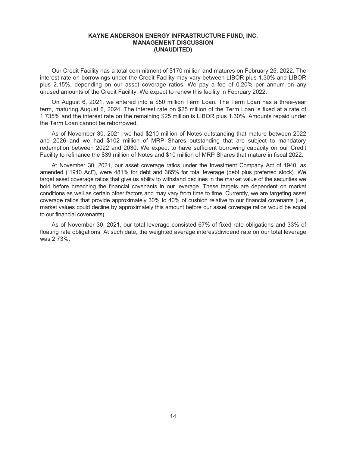Our Credit Facility has a total commitment of \$170 million and matures on February 25, 2022. The interest rate on borrowings under the Credit Facility may vary between LIBOR plus 1.30% and LIBOR plus 2.15%, depending on our asset coverage ratios. We pay a fee of 0.20% per annum on any unused amounts of the Credit Facility. We expect to renew this facility in February 2022.

On August 6, 2021, we entered into a \$50 million Term Loan. The Term Loan has a three-year term, maturing August 6, 2024. The interest rate on \$25 million of the Term Loan is fixed at a rate of 1.735% and the interest rate on the remaining \$25 million is LIBOR plus 1.30%. Amounts repaid under the Term Loan cannot be reborrowed.

As of November 30, 2021, we had \$210 million of Notes outstanding that mature between 2022 and 2026 and we had \$102 million of MRP Shares outstanding that are subject to mandatory redemption between 2022 and 2030. We expect to have sufficient borrowing capacity on our Credit Facility to refinance the \$39 million of Notes and \$10 million of MRP Shares that mature in fiscal 2022.

At November 30, 2021, our asset coverage ratios under the Investment Company Act of 1940, as amended ("1940 Act"), were 481% for debt and 365% for total leverage (debt plus preferred stock). We target asset coverage ratios that give us ability to withstand declines in the market value of the securities we hold before breaching the financial covenants in our leverage. These targets are dependent on market conditions as well as certain other factors and may vary from time to time. Currently, we are targeting asset coverage ratios that provide approximately 30% to 40% of cushion relative to our financial covenants (i.e., market values could decline by approximately this amount before our asset coverage ratios would be equal to our financial covenants).

As of November 30, 2021, our total leverage consisted 67% of fixed rate obligations and 33% of floating rate obligations. At such date, the weighted average interest/dividend rate on our total leverage was 2.73%.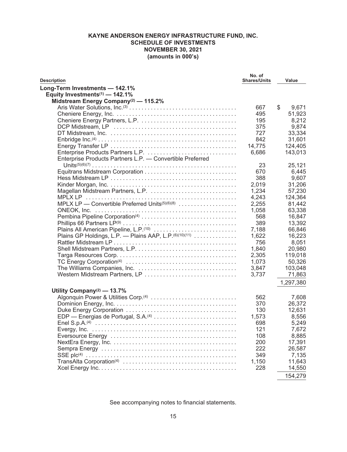# **KAYNE ANDERSON ENERGY INFRASTRUCTURE FUND, INC. SCHEDULE OF INVESTMENTS NOVEMBER 30, 2021 (amounts in 000's)**

<span id="page-16-0"></span>

| <b>Description</b>                                                                                                   | No. of<br><b>Shares/Units</b> | Value       |
|----------------------------------------------------------------------------------------------------------------------|-------------------------------|-------------|
| Long-Term Investments - 142.1%                                                                                       |                               |             |
| Equity Investments <sup>(1)</sup> - 142.1%                                                                           |                               |             |
| Midstream Energy Company <sup>(2)</sup> - 115.2%                                                                     |                               |             |
|                                                                                                                      | 667                           | \$<br>9,671 |
|                                                                                                                      | 495                           | 51,923      |
|                                                                                                                      | 195                           | 8,212       |
|                                                                                                                      | 375                           | 9.874       |
|                                                                                                                      | 727                           | 33,334      |
|                                                                                                                      | 842                           | 31,601      |
|                                                                                                                      | 14,775                        | 124,405     |
|                                                                                                                      | 6,686                         | 143,013     |
| Enterprise Products Partners L.P. - Convertible Preferred                                                            |                               |             |
|                                                                                                                      | 23                            | 25,121      |
|                                                                                                                      | 670                           | 6,445       |
|                                                                                                                      | 388                           | 9,607       |
|                                                                                                                      | 2,019                         | 31,206      |
|                                                                                                                      | 1,234                         | 57,230      |
| MPLX LP                                                                                                              | 4,243                         | 124,364     |
| MPLX LP - Convertible Preferred Units <sup>(5)(6)(8)</sup>                                                           | 2,255                         | 81,442      |
|                                                                                                                      | 1,058                         | 63,338      |
|                                                                                                                      | 568                           | 16,847      |
|                                                                                                                      | 389                           | 13,392      |
| Plains All American Pipeline, L.P.(10)                                                                               |                               |             |
| Plains GP Holdings, L.P. - Plains AAP, L.P. (6)(10)(11)                                                              | 7,188                         | 66,846      |
|                                                                                                                      | 1,622                         | 16,223      |
|                                                                                                                      | 756                           | 8,051       |
|                                                                                                                      | 1,840                         | 20,980      |
|                                                                                                                      | 2,305                         | 119,018     |
|                                                                                                                      | 1,073                         | 50,326      |
|                                                                                                                      | 3,847                         | 103,048     |
|                                                                                                                      | 3,737                         | 71,863      |
|                                                                                                                      |                               | 1,297,380   |
| Utility Company <sup>(2)</sup> — 13.7%                                                                               |                               |             |
| Algonquin Power & Utilities Corp. <sup>(4)</sup>                                                                     | 562                           | 7,608       |
|                                                                                                                      | 370                           | 26,372      |
|                                                                                                                      | 130                           | 12,631      |
| EDP — Energias de Portugal, S.A. <sup>(4)</sup>                                                                      | 1,573                         | 8,556       |
| Enel S.p.A. <sup>(4)</sup> $\ldots$ $\ldots$ $\ldots$ $\ldots$ $\ldots$ $\ldots$ $\ldots$ $\ldots$ $\ldots$ $\ldots$ | 698                           | 5,249       |
|                                                                                                                      | 121                           | 7,672       |
|                                                                                                                      | 108                           | 8,885       |
|                                                                                                                      | 200                           | 17,391      |
|                                                                                                                      | 222                           | 26,587      |
|                                                                                                                      | 349                           | 7,135       |
|                                                                                                                      | 1,150                         | 11,643      |
|                                                                                                                      | 228                           | 14,550      |
|                                                                                                                      |                               | 154,279     |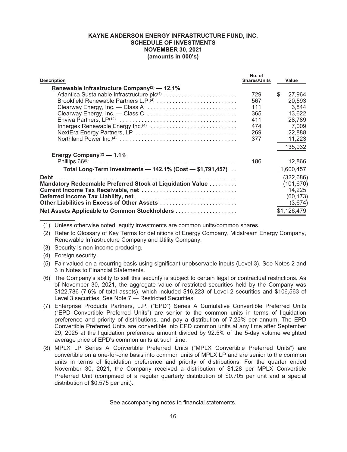# **KAYNE ANDERSON ENERGY INFRASTRUCTURE FUND, INC. SCHEDULE OF INVESTMENTS NOVEMBER 30, 2021 (amounts in 000's)**

| <b>Description</b>                                        | No. of<br><b>Shares/Units</b> |   | Value       |
|-----------------------------------------------------------|-------------------------------|---|-------------|
| Renewable Infrastructure Company <sup>(2)</sup> - 12.1%   |                               |   |             |
|                                                           | 729                           | S | 27.964      |
| Brookfield Renewable Partners L.P.(4)                     | 567                           |   | 20,593      |
|                                                           | 111                           |   | 3,844       |
| Clearway Energy, Inc. - Class C                           | 365                           |   | 13,622      |
|                                                           | 411                           |   | 28.789      |
|                                                           | 474                           |   | 7,009       |
|                                                           | 269                           |   | 22,888      |
|                                                           | 377                           |   | 11,223      |
|                                                           |                               |   | 135,932     |
| Energy Company <sup>(2)</sup> — 1.1%                      |                               |   |             |
|                                                           | 186                           |   | 12,866      |
| Total Long-Term Investments - 142.1% (Cost - \$1,791,457) |                               |   | 1,600,457   |
| Debt                                                      |                               |   | (322, 686)  |
| Mandatory Redeemable Preferred Stock at Liquidation Value |                               |   | (101, 670)  |
|                                                           |                               |   | 14,225      |
|                                                           |                               |   | (60, 173)   |
| Other Liabilities in Excess of Other Assets               |                               |   | (3,674)     |
|                                                           |                               |   | \$1,126,479 |

- (1) Unless otherwise noted, equity investments are common units/common shares.
- (2) Refer to Glossary of Key Terms for definitions of Energy Company, Midstream Energy Company, Renewable Infrastructure Company and Utility Company.
- (3) Security is non-income producing.
- (4) Foreign security.
- (5) Fair valued on a recurring basis using significant unobservable inputs (Level 3). See Notes 2 and 3 in Notes to Financial Statements.
- (6) The Company's ability to sell this security is subject to certain legal or contractual restrictions. As of November 30, 2021, the aggregate value of restricted securities held by the Company was \$122,786 (7.6% of total assets), which included \$16,223 of Level 2 securities and \$106,563 of Level 3 securities. See Note 7 — Restricted Securities.
- (7) Enterprise Products Partners, L.P. ("EPD") Series A Cumulative Convertible Preferred Units ("EPD Convertible Preferred Units") are senior to the common units in terms of liquidation preference and priority of distributions, and pay a distribution of 7.25% per annum. The EPD Convertible Preferred Units are convertible into EPD common units at any time after September 29, 2025 at the liquidation preference amount divided by 92.5% of the 5-day volume weighted average price of EPD's common units at such time.
- (8) MPLX LP Series A Convertible Preferred Units ("MPLX Convertible Preferred Units") are convertible on a one-for-one basis into common units of MPLX LP and are senior to the common units in terms of liquidation preference and priority of distributions. For the quarter ended November 30, 2021, the Company received a distribution of \$1.28 per MPLX Convertible Preferred Unit (comprised of a regular quarterly distribution of \$0.705 per unit and a special distribution of \$0.575 per unit).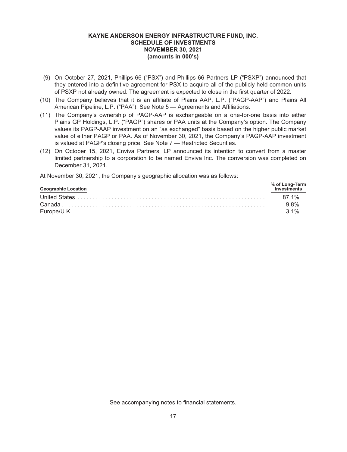## **KAYNE ANDERSON ENERGY INFRASTRUCTURE FUND, INC. SCHEDULE OF INVESTMENTS NOVEMBER 30, 2021 (amounts in 000's)**

- (9) On October 27, 2021, Phillips 66 ("PSX") and Phillips 66 Partners LP ("PSXP") announced that they entered into a definitive agreement for PSX to acquire all of the publicly held common units of PSXP not already owned. The agreement is expected to close in the first quarter of 2022.
- (10) The Company believes that it is an affiliate of Plains AAP, L.P. ("PAGP-AAP") and Plains All American Pipeline, L.P. ("PAA"). See Note 5 — Agreements and Affiliations.
- (11) The Company's ownership of PAGP-AAP is exchangeable on a one-for-one basis into either Plains GP Holdings, L.P. ("PAGP") shares or PAA units at the Company's option. The Company values its PAGP-AAP investment on an "as exchanged" basis based on the higher public market value of either PAGP or PAA. As of November 30, 2021, the Company's PAGP-AAP investment is valued at PAGP's closing price. See Note 7 — Restricted Securities.
- (12) On October 15, 2021, Enviva Partners, LP announced its intention to convert from a master limited partnership to a corporation to be named Enviva Inc. The conversion was completed on December 31, 2021.

At November 30, 2021, the Company's geographic allocation was as follows:

| <b>Geographic Location</b> | % of Long-Term<br>Investments |
|----------------------------|-------------------------------|
|                            |                               |
|                            | 9.8%                          |
|                            | $3.1\%$                       |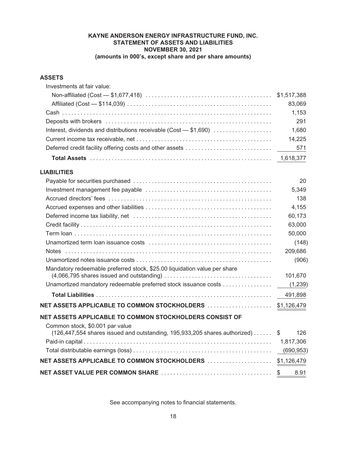# **KAYNE ANDERSON ENERGY INFRASTRUCTURE FUND, INC. STATEMENT OF ASSETS AND LIABILITIES NOVEMBER 30, 2021 (amounts in 000's, except share and per share amounts)**

# <span id="page-19-0"></span>**ASSETS**

| Investments at fair value:                                                                                                                                                                      |                         |
|-------------------------------------------------------------------------------------------------------------------------------------------------------------------------------------------------|-------------------------|
|                                                                                                                                                                                                 | \$1,517,388             |
|                                                                                                                                                                                                 | 83,069                  |
|                                                                                                                                                                                                 | 1,153                   |
|                                                                                                                                                                                                 | 291                     |
| Interest, dividends and distributions receivable (Cost - \$1,690)                                                                                                                               | 1,680                   |
|                                                                                                                                                                                                 | 14,225                  |
| Deferred credit facility offering costs and other assets                                                                                                                                        | 571                     |
|                                                                                                                                                                                                 | 1,618,377               |
| <b>LIABILITIES</b>                                                                                                                                                                              |                         |
|                                                                                                                                                                                                 | 20                      |
|                                                                                                                                                                                                 | 5,349                   |
|                                                                                                                                                                                                 | 138                     |
|                                                                                                                                                                                                 | 4,155                   |
|                                                                                                                                                                                                 | 60,173                  |
|                                                                                                                                                                                                 | 63,000                  |
|                                                                                                                                                                                                 | 50,000                  |
|                                                                                                                                                                                                 | (148)                   |
|                                                                                                                                                                                                 | 209,686                 |
|                                                                                                                                                                                                 | (906)                   |
| Mandatory redeemable preferred stock, \$25.00 liquidation value per share<br>$(4,066,795$ shares issued and outstanding $\ldots \ldots \ldots \ldots \ldots \ldots \ldots \ldots \ldots \ldots$ | 101,670                 |
| Unamortized mandatory redeemable preferred stock issuance costs                                                                                                                                 | (1,239)                 |
|                                                                                                                                                                                                 | 491,898                 |
|                                                                                                                                                                                                 | \$1,126,479             |
| NET ASSETS APPLICABLE TO COMMON STOCKHOLDERS CONSIST OF                                                                                                                                         |                         |
| Common stock, \$0.001 par value<br>(126,447,554 shares issued and outstanding, 195,933,205 shares authorized)                                                                                   | 126<br>S                |
|                                                                                                                                                                                                 |                         |
|                                                                                                                                                                                                 | 1,817,306<br>(690, 953) |
|                                                                                                                                                                                                 |                         |
|                                                                                                                                                                                                 | \$1,126,479             |
|                                                                                                                                                                                                 | \$<br>8.91              |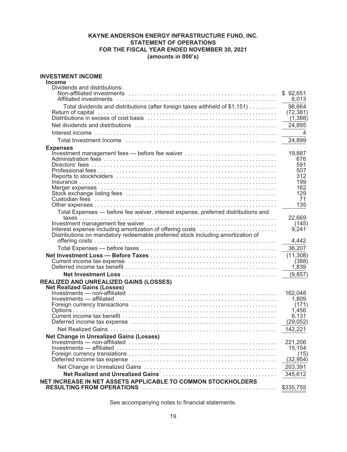# **KAYNE ANDERSON ENERGY INFRASTRUCTURE FUND, INC. STATEMENT OF OPERATIONS FOR THE FISCAL YEAR ENDED NOVEMBER 30, 2021 (amounts in 000's)**

#### <span id="page-20-0"></span>**INVESTMENT INCOME**

| Income                                                                            |                       |
|-----------------------------------------------------------------------------------|-----------------------|
| Dividends and distributions:                                                      |                       |
|                                                                                   | \$92,651              |
|                                                                                   | 6,013                 |
| Total dividends and distributions (after foreign taxes withheld of \$1,151)       | 98,664                |
|                                                                                   | (72, 381)<br>(1, 388) |
|                                                                                   | 24,895                |
|                                                                                   | $\overline{4}$        |
|                                                                                   | 24,899                |
|                                                                                   |                       |
| <b>Expenses</b>                                                                   | 19,887                |
|                                                                                   | 676                   |
|                                                                                   | 591                   |
|                                                                                   | 507                   |
|                                                                                   | 312                   |
|                                                                                   | 199                   |
|                                                                                   | 162                   |
|                                                                                   | 129                   |
|                                                                                   | 71                    |
|                                                                                   | 135                   |
| Total Expenses - before fee waiver, interest expense, preferred distributions and |                       |
|                                                                                   | 22,669                |
| Interest expense including amortization of offering costs                         | (145)<br>9,241        |
| Distributions on mandatory redeemable preferred stock including amortization of   |                       |
|                                                                                   | 4,442                 |
|                                                                                   | 36,207                |
|                                                                                   |                       |
|                                                                                   | (11, 308)<br>(388)    |
|                                                                                   | 1,839                 |
|                                                                                   | (9, 857)              |
|                                                                                   |                       |
| <b>REALIZED AND UNREALIZED GAINS (LOSSES)</b>                                     |                       |
| <b>Net Realized Gains (Losses)</b>                                                | 162,048               |
|                                                                                   | 1,809                 |
|                                                                                   | (171)                 |
|                                                                                   | 1,456                 |
|                                                                                   | 6,131                 |
|                                                                                   | (29, 052)             |
|                                                                                   | 142,221               |
| <b>Net Change in Unrealized Gains (Losses)</b>                                    |                       |
|                                                                                   | 221,206               |
|                                                                                   | 15,154                |
|                                                                                   | (15)                  |
|                                                                                   | (32,954)              |
|                                                                                   | 203,391               |
|                                                                                   | 345,612               |
| NET INCREASE IN NET ASSETS APPLICABLE TO COMMON STOCKHOLDERS                      |                       |
|                                                                                   | \$335,755             |
|                                                                                   |                       |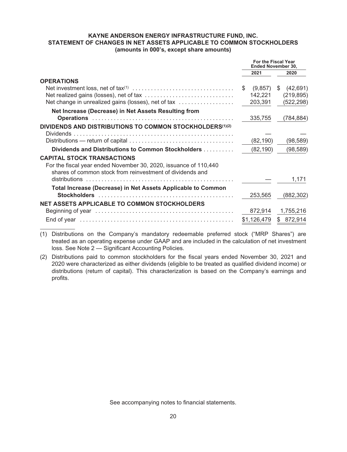# **KAYNE ANDERSON ENERGY INFRASTRUCTURE FUND, INC. STATEMENT OF CHANGES IN NET ASSETS APPLICABLE TO COMMON STOCKHOLDERS (amounts in 000's, except share amounts)**

<span id="page-21-0"></span>

|                                                                                                                                                                    | <b>For the Fiscal Year</b><br><b>Ended November 30,</b> |             |    |            |
|--------------------------------------------------------------------------------------------------------------------------------------------------------------------|---------------------------------------------------------|-------------|----|------------|
|                                                                                                                                                                    |                                                         | 2021        |    | 2020       |
| <b>OPERATIONS</b>                                                                                                                                                  |                                                         |             |    |            |
|                                                                                                                                                                    | \$.                                                     | (9,857)     | S. | (42, 691)  |
|                                                                                                                                                                    |                                                         | 142,221     |    | (219, 895) |
| Net change in unrealized gains (losses), net of tax                                                                                                                |                                                         | 203,391     |    | (522, 298) |
| Net Increase (Decrease) in Net Assets Resulting from                                                                                                               |                                                         |             |    |            |
|                                                                                                                                                                    |                                                         | 335,755     |    | (784, 884) |
| <b>DIVIDENDS AND DISTRIBUTIONS TO COMMON STOCKHOLDERS(1)(2)</b>                                                                                                    |                                                         |             |    |            |
|                                                                                                                                                                    |                                                         | (82,190)    |    | (98, 589)  |
| Dividends and Distributions to Common Stockholders                                                                                                                 |                                                         | (82, 190)   |    | (98, 589)  |
| <b>CAPITAL STOCK TRANSACTIONS</b><br>For the fiscal year ended November 30, 2020, issuance of 110,440<br>shares of common stock from reinvestment of dividends and |                                                         |             |    |            |
| distributions                                                                                                                                                      |                                                         |             |    | 1,171      |
| Total Increase (Decrease) in Net Assets Applicable to Common                                                                                                       |                                                         |             |    |            |
|                                                                                                                                                                    |                                                         | 253,565     |    | (882, 302) |
| <b>NET ASSETS APPLICABLE TO COMMON STOCKHOLDERS</b>                                                                                                                |                                                         |             |    |            |
|                                                                                                                                                                    |                                                         | 872,914     |    | 1,755,216  |
|                                                                                                                                                                    |                                                         | \$1,126,479 |    | \$872,914  |

(1) Distributions on the Company's mandatory redeemable preferred stock ("MRP Shares") are treated as an operating expense under GAAP and are included in the calculation of net investment loss. See Note 2 — Significant Accounting Policies.

(2) Distributions paid to common stockholders for the fiscal years ended November 30, 2021 and 2020 were characterized as either dividends (eligible to be treated as qualified dividend income) or distributions (return of capital). This characterization is based on the Company's earnings and profits.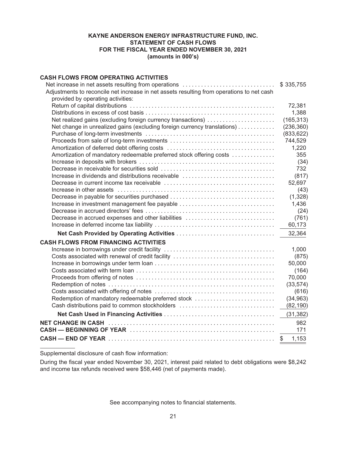# **KAYNE ANDERSON ENERGY INFRASTRUCTURE FUND, INC. STATEMENT OF CASH FLOWS FOR THE FISCAL YEAR ENDED NOVEMBER 30, 2021 (amounts in 000's)**

# <span id="page-22-0"></span>**CASH FLOWS FROM OPERATING ACTIVITIES**

| Net increase in net assets resulting from operations<br>Adjustments to reconcile net increase in net assets resulting from operations to net cash | \$335,755   |
|---------------------------------------------------------------------------------------------------------------------------------------------------|-------------|
| provided by operating activities:                                                                                                                 | 72,381      |
|                                                                                                                                                   | 1,388       |
| Net realized gains (excluding foreign currency transactions)                                                                                      | (165, 313)  |
| Net change in unrealized gains (excluding foreign currency translations)                                                                          | (236, 360)  |
|                                                                                                                                                   | (833, 622)  |
|                                                                                                                                                   | 744,529     |
|                                                                                                                                                   | 1,220       |
| Amortization of mandatory redeemable preferred stock offering costs                                                                               | 355         |
|                                                                                                                                                   | (34)        |
|                                                                                                                                                   | 732         |
| Increase in dividends and distributions receivable                                                                                                | (817)       |
|                                                                                                                                                   | 52,697      |
|                                                                                                                                                   | (43)        |
| Decrease in payable for securities purchased                                                                                                      | (1, 328)    |
| Increase in investment management fee payable                                                                                                     | 1,436       |
|                                                                                                                                                   | (24)        |
| Decrease in accrued expenses and other liabilities                                                                                                | (761)       |
|                                                                                                                                                   | 60,173      |
|                                                                                                                                                   | 32,364      |
| <b>CASH FLOWS FROM FINANCING ACTIVITIES</b>                                                                                                       |             |
|                                                                                                                                                   | 1,000       |
| Costs associated with renewal of credit facility                                                                                                  | (875)       |
|                                                                                                                                                   | 50,000      |
|                                                                                                                                                   | (164)       |
|                                                                                                                                                   | 70,000      |
|                                                                                                                                                   | (33, 574)   |
|                                                                                                                                                   | (616)       |
| Redemption of mandatory redeemable preferred stock                                                                                                | (34, 963)   |
| Cash distributions paid to common stockholders                                                                                                    | (82, 190)   |
|                                                                                                                                                   | (31, 382)   |
| <b>NET CHANGE IN CASH</b>                                                                                                                         | 982         |
|                                                                                                                                                   | 171         |
|                                                                                                                                                   | 1,153<br>\$ |
|                                                                                                                                                   |             |

Supplemental disclosure of cash flow information:

During the fiscal year ended November 30, 2021, interest paid related to debt obligations were \$8,242 and income tax refunds received were \$58,446 (net of payments made).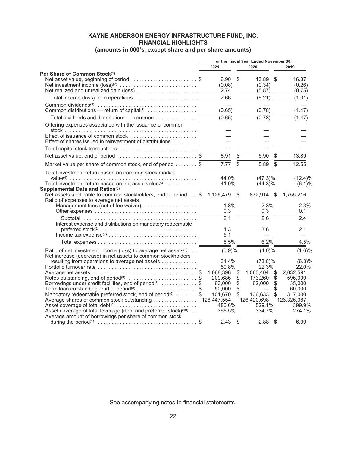# **KAYNE ANDERSON ENERGY INFRASTRUCTURE FUND, INC. FINANCIAL HIGHLIGHTS**

<span id="page-23-0"></span>

|                                                                                                                                                                                                                                                                                                                        |                                                      |                                                         | For the Fiscal Year Ended November 30.                                             |                                   |                                                   |
|------------------------------------------------------------------------------------------------------------------------------------------------------------------------------------------------------------------------------------------------------------------------------------------------------------------------|------------------------------------------------------|---------------------------------------------------------|------------------------------------------------------------------------------------|-----------------------------------|---------------------------------------------------|
|                                                                                                                                                                                                                                                                                                                        | 2021                                                 |                                                         | 2020                                                                               |                                   | 2019                                              |
| Per Share of Common Stock <sup>(1)</sup><br>Net asset value, beginning of period \$                                                                                                                                                                                                                                    | 6.90<br>(0.08)                                       | \$                                                      | 13.89<br>(0.34)<br>(5.87)                                                          | \$                                | 16.37<br>(0.26)<br>(0.75)                         |
|                                                                                                                                                                                                                                                                                                                        | 2.66                                                 |                                                         | (6.21)                                                                             |                                   | (1.01)                                            |
|                                                                                                                                                                                                                                                                                                                        | (0.65)                                               |                                                         | (0.78)                                                                             |                                   | (1.47)                                            |
| Total dividends and distributions - common                                                                                                                                                                                                                                                                             | (0.65)                                               |                                                         | (0.78)                                                                             |                                   | (1.47)                                            |
| Offering expenses associated with the issuance of common<br>Effect of issuance of common stock                                                                                                                                                                                                                         |                                                      |                                                         |                                                                                    |                                   |                                                   |
| Effect of shares issued in reinvestment of distributions                                                                                                                                                                                                                                                               |                                                      |                                                         |                                                                                    |                                   |                                                   |
|                                                                                                                                                                                                                                                                                                                        |                                                      |                                                         |                                                                                    |                                   |                                                   |
| Net asset value, end of period \$                                                                                                                                                                                                                                                                                      | 8.91                                                 | $\mathbb{S}$                                            | 6.90                                                                               | $\mathbb{S}$                      | 13.89                                             |
| Market value per share of common stock, end of period \$                                                                                                                                                                                                                                                               | 7.77                                                 |                                                         | 5.89                                                                               |                                   | 12.55                                             |
| Total investment return based on common stock market                                                                                                                                                                                                                                                                   | 44.0%                                                |                                                         | $(47.3)\%$                                                                         |                                   | $(12.4)\%$                                        |
| Total investment return based on net asset value <sup>(5)</sup>                                                                                                                                                                                                                                                        | 41.0%                                                |                                                         | $(44.3)\%$                                                                         |                                   | (6.1)%                                            |
| Supplemental Data and Ratios <sup>(6)</sup><br>Net assets applicable to common stockholders, end of period \$<br>Ratio of expenses to average net assets                                                                                                                                                               | 1,126,479 \$                                         |                                                         | 872,914 \$                                                                         |                                   | 1,755,216                                         |
| Management fees (net of fee waiver)                                                                                                                                                                                                                                                                                    | 1.8%                                                 |                                                         | 2.3%                                                                               |                                   | 2.3%                                              |
|                                                                                                                                                                                                                                                                                                                        | 0.3                                                  |                                                         | 0.3                                                                                |                                   | 0.1                                               |
| Interest expense and distributions on mandatory redeemable                                                                                                                                                                                                                                                             | 2.1                                                  |                                                         | 2.6                                                                                |                                   | 2.4                                               |
|                                                                                                                                                                                                                                                                                                                        | 1.3<br>5.1                                           |                                                         | 3.6<br>$\overline{\phantom{m}}$                                                    |                                   | 2.1                                               |
|                                                                                                                                                                                                                                                                                                                        | 8.5%                                                 |                                                         | 6.2%                                                                               |                                   | 4.5%                                              |
| Ratio of net investment income (loss) to average net assets <sup>(2)</sup><br>Net increase (decrease) in net assets to common stockholders                                                                                                                                                                             | (0.9)%                                               |                                                         | $(4.0)\%$                                                                          |                                   | (1.6)%                                            |
| resulting from operations to average net assets<br>Notes outstanding, end of period <sup>(8)</sup> \$<br>Borrowings under credit facilities, end of period <sup>(8)</sup> \$                                                                                                                                           | 31.4%<br>50.8%<br>1,068,396<br>209,686<br>63.000     | $\boldsymbol{\mathsf{S}}$<br>$\ddot{\$}$<br>$\ddot{\$}$ | $(73.8)\%$<br>22.3%<br>1,063,404 \$<br>$173,260$ \$<br>$62,000$ \$                 |                                   | (6.3)%<br>22.0%<br>2,032,591<br>596,000<br>35,000 |
| Term loan outstanding, end of period <sup>(8)</sup> \$<br>Mandatory redeemable preferred stock, end of period <sup>(8)</sup> \$<br>Average shares of common stock outstanding<br>Asset coverage of total leverage (debt and preferred stock) <sup>(10)</sup><br>Average amount of borrowings per share of common stock | 50.000<br>101,670<br>126,447,554<br>480.6%<br>365.5% | $\dot{\mathbb{S}}$<br>$\ddot{\$}$                       | $\overline{\phantom{0}}$<br>136,633<br>126,420,698 126,326,087<br>529.1%<br>334.7% | $\dot{\mathbb{S}}$<br>$\ddot{\$}$ | 60,000<br>317,000<br>399.9%<br>274.1%             |
|                                                                                                                                                                                                                                                                                                                        | 2.43                                                 | \$                                                      | 2.88                                                                               | \$                                | 6.09                                              |

**(amounts in 000's, except share and per share amounts)**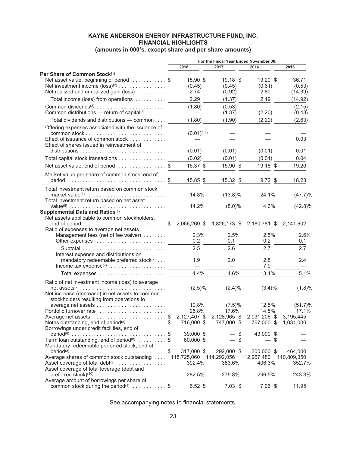# **KAYNE ANDERSON ENERGY INFRASTRUCTURE FUND, INC. FINANCIAL HIGHLIGHTS (amounts in 000's, except share and per share amounts)**

|                                                                                                                                                                                             | For the Fiscal Year Ended November 30,                                                                                                                |                                  |                                     |                                               |
|---------------------------------------------------------------------------------------------------------------------------------------------------------------------------------------------|-------------------------------------------------------------------------------------------------------------------------------------------------------|----------------------------------|-------------------------------------|-----------------------------------------------|
|                                                                                                                                                                                             | 2018                                                                                                                                                  | 2017                             | 2016                                | 2015                                          |
| Per Share of Common Stock <sup>(1)</sup><br>Net asset value, beginning of period \$<br>Net investment income (loss) <sup>(2)</sup><br>Net realized and unrealized gain (loss)               | $15.90$ \$<br>(0.45)<br>2.74                                                                                                                          | $19.18$ \$<br>(0.45)<br>(0.92)   | $19.20$ \$<br>(0.61)<br>2.80        | 36.71<br>(0.53)<br>(14.39)                    |
| Total income (loss) from operations                                                                                                                                                         | 2.29                                                                                                                                                  | (1.37)                           | 2.19                                | (14.92)                                       |
| Common dividends <sup>(3)</sup><br>Common distributions - return of capital <sup>(3)</sup>                                                                                                  | (1.80)<br>$\frac{1}{2}$ and $\frac{1}{2}$ and $\frac{1}{2}$ and $\frac{1}{2}$ and $\frac{1}{2}$ and $\frac{1}{2}$ and $\frac{1}{2}$ and $\frac{1}{2}$ | (0.53)<br>(1.37)                 | (2.20)                              | (2.15)<br>(0.48)                              |
| Total dividends and distributions - common                                                                                                                                                  | (1.80)                                                                                                                                                | (1.90)                           | (2.20)                              | (2.63)                                        |
| Offering expenses associated with the issuance of<br>Effect of issuance of common stock<br>Effect of shares issued in reinvestment of                                                       | $(0.01)^{(11)}$                                                                                                                                       |                                  |                                     | 0.03                                          |
|                                                                                                                                                                                             | (0.01)                                                                                                                                                | (0.01)                           | (0.01)                              | 0.01                                          |
| Total capital stock transactions                                                                                                                                                            | (0.02)                                                                                                                                                | (0.01)                           | (0.01)                              | 0.04                                          |
| Net asset value, end of period \$                                                                                                                                                           | 16.37 \$                                                                                                                                              | 15.90 \$                         | 19.18 \$                            | 19.20                                         |
| Market value per share of common stock, end of<br>$period \dots \dots \dots \dots \dots \dots \dots \dots \dots \dots \$                                                                    | 15.85 \$                                                                                                                                              | 15.32 \$                         | 19.72 \$                            | 18.23                                         |
| Total investment return based on common stock<br>market value <sup>(4)</sup><br>Total investment return based on net asset                                                                  | 14.8%                                                                                                                                                 | $(13.8)\%$                       | 24.1%                               | (47.7)%                                       |
| Supplemental Data and Ratios <sup>(6)</sup>                                                                                                                                                 | 14.2%                                                                                                                                                 | $(8.0)\%$                        | 14.6%                               | $(42.8)\%$                                    |
| Net assets applicable to common stockholders,<br>Ratio of expenses to average net assets                                                                                                    |                                                                                                                                                       |                                  | 1,826,173 \$ 2,180,781 \$           | 2,141,602                                     |
| Management fees (net of fee waiver)                                                                                                                                                         | 2.3%<br>0.2                                                                                                                                           | 2.5%<br>0.1                      | 2.5%<br>0.2                         | 2.6%<br>0.1                                   |
| Subtotal<br>Interest expense and distributions on                                                                                                                                           | 2.5                                                                                                                                                   | 2.6                              | 2.7                                 | 2.7                                           |
| mandatory redeemable preferred stock <sup>(2)</sup>                                                                                                                                         | 1.9                                                                                                                                                   | 2.0                              | 2.8<br>7.9                          | 2.4                                           |
|                                                                                                                                                                                             | 4.4%                                                                                                                                                  | 4.6%                             | 13.4%                               | 5.1%                                          |
| Ratio of net investment income (loss) to average<br>$net assets^{(2)} \dots \dots \dots \dots \dots \dots \dots \dots \dots \dots \dots$<br>Net increase (decrease) in net assets to common | $(2.5)\%$                                                                                                                                             | $(2.4)\%$                        | $(3.4)\%$                           | (1.8)%                                        |
| stockholders resulting from operations to<br>Portfolio turnover rate<br>Average net assets \$ 2,127,407 \$ 2,128,965 \$ 2,031,206 \$<br>Notes outstanding, end of period <sup>(8)</sup> \$  | 10.8%<br>25.8%<br>716,000 \$                                                                                                                          | $(7.5)\%$<br>17.6%<br>747,000 \$ | 12.5%<br>14.5%<br>767,000 \$        | $(51.7)\%$<br>17.1%<br>3,195,445<br>1,031,000 |
| Borrowings under credit facilities, end of<br>Term loan outstanding, end of period <sup>(8)</sup> \$                                                                                        | 39,000 \$<br>60,000 \$                                                                                                                                | - \$<br>\$                       | 43,000 \$<br>\$                     |                                               |
| Mandatory redeemable preferred stock, end of<br>Average shares of common stock outstanding<br>Asset coverage of total debt <sup>(9)</sup>                                                   | 317,000 \$<br>118,725,060 114,292,056<br>392.4%                                                                                                       | 292,000 \$<br>383.6%             | 300,000 \$<br>112,967,480<br>406.3% | 464,000<br>110,809,350<br>352.7%              |
| Asset coverage of total leverage (debt and<br>preferred stock) $(10)$<br>Average amount of borrowings per share of                                                                          | 282.5%                                                                                                                                                | 275.8%                           | 296.5%                              | 243.3%                                        |
| common stock during the period <sup>(1)</sup> $\ldots \ldots \ldots$ \$                                                                                                                     | $6.52$ \$                                                                                                                                             | $7.03$ \$                        | $7.06$ \$                           | 11.95                                         |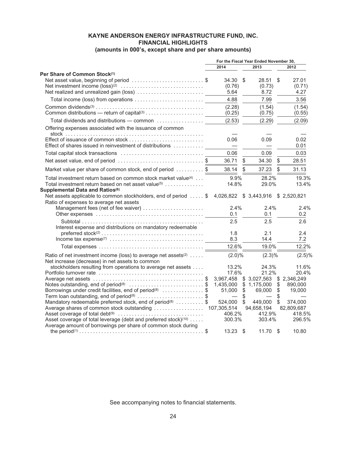# **KAYNE ANDERSON ENERGY INFRASTRUCTURE FUND, INC. FINANCIAL HIGHLIGHTS**

# **(amounts in 000's, except share and per share amounts)**

|                                                                                                                                                                                      | For the Fiscal Year Ended November 30, |                              |              |                                   |                |                         |
|--------------------------------------------------------------------------------------------------------------------------------------------------------------------------------------|----------------------------------------|------------------------------|--------------|-----------------------------------|----------------|-------------------------|
|                                                                                                                                                                                      |                                        | 2014                         |              | 2013                              |                | 2012                    |
| Per Share of Common Stock(1)<br>Net asset value, beginning of period \$                                                                                                              |                                        | $34.30$ \$<br>(0.76)<br>5.64 |              | 28.51<br>(0.73)<br>8.72           | \$             | 27.01<br>(0.71)<br>4.27 |
|                                                                                                                                                                                      |                                        | 4.88                         |              | 7.99                              |                | 3.56                    |
|                                                                                                                                                                                      |                                        | (2.28)<br>(0.25)             |              | (1.54)<br>(0.75)                  |                | (1.54)<br>(0.55)        |
| Total dividends and distributions - common                                                                                                                                           |                                        | (2.53)                       |              | (2.29)                            |                | (2.09)                  |
| Offering expenses associated with the issuance of common                                                                                                                             |                                        |                              |              |                                   |                |                         |
| Effect of shares issued in reinvestment of distributions                                                                                                                             |                                        | 0.06                         |              | 0.09                              |                | 0.02<br>0.01            |
|                                                                                                                                                                                      |                                        | 0.06                         |              | 0.09                              |                | 0.03                    |
| Net asset value, end of period \$                                                                                                                                                    |                                        | 36.71                        | \$           | 34.30                             | \$             | 28.51                   |
| Market value per share of common stock, end of period \$                                                                                                                             |                                        | 38.14                        | \$           | 37.23                             | \$             | 31.13                   |
| Total investment return based on common stock market value(4)<br>Total investment return based on net asset value $(5)$ , , , , , , , , , , , , ,<br>Supplemental Data and Ratios(6) |                                        | 9.9%<br>14.8%                |              | 28.2%<br>29.0%                    |                | 19.3%<br>13.4%          |
| Net assets applicable to common stockholders, end of period  \$<br>Ratio of expenses to average net assets                                                                           |                                        |                              |              | 4,026,822 \$3,443,916 \$2,520,821 |                |                         |
| Management fees (net of fee waiver)                                                                                                                                                  |                                        | $2.4\%$                      |              | 2.4%                              |                | 2.4%                    |
|                                                                                                                                                                                      |                                        | 0.1                          |              | 0.1                               |                | 0.2                     |
| Interest expense and distributions on mandatory redeemable                                                                                                                           |                                        | 2.5<br>1.8                   |              | 2.5<br>2.1                        |                | 2.6<br>2.4              |
| $preferred stock^{(2)} \dots \dots \dots \dots \dots \dots \dots \dots \dots \dots \dots \dots \dots$                                                                                |                                        | 8.3                          |              | 14.4                              |                | 7.2                     |
|                                                                                                                                                                                      |                                        | 12.6%                        |              | 19.0%                             |                | 12.2%                   |
| Ratio of net investment income (loss) to average net assets <sup>(2)</sup><br>Net increase (decrease) in net assets to common                                                        |                                        | $(2.0)\%$                    |              | $(2.3)\%$                         |                | $(2.5)\%$               |
| stockholders resulting from operations to average net assets                                                                                                                         |                                        | 13.2%<br>17.6%               |              | 24.3%<br>21.2%                    |                | 11.6%<br>20.4%          |
|                                                                                                                                                                                      |                                        |                              |              | 3,967,458 \$3,027,563 \$2,346,249 |                |                         |
| Notes outstanding, end of period <sup>(8)</sup> \$<br>Borrowings under credit facilities, end of period <sup>(8)</sup> \$                                                            |                                        | 1,435,000<br>51.000          | \$           | \$1,175,000<br>69.000             | $\$\$<br>$\$\$ | 890,000<br>19,000       |
| Term loan outstanding, end of period <sup>(8)</sup> \$                                                                                                                               |                                        | $\overline{\phantom{0}}$     | $\ddot{\$}$  |                                   | \$             |                         |
| Mandatory redeemable preferred stock, end of period <sup>(8)</sup> \$                                                                                                                |                                        | 524.000                      | $\mathbb{S}$ | 449,000                           | $\mathbb S$    | 374,000                 |
| Average shares of common stock outstanding                                                                                                                                           |                                        | 107,305,514                  |              | 94,658,194                        |                | 82,809,687              |
| Asset coverage of total leverage (debt and preferred stock) <sup>(10)</sup><br>Average amount of borrowings per share of common stock during                                         |                                        | 406.2%<br>300.3%             |              | 412.9%<br>303.4%                  |                | 418.5%<br>296.5%        |
|                                                                                                                                                                                      |                                        | $13.23$ \$                   |              | $11.70$ \$                        |                | 10.80                   |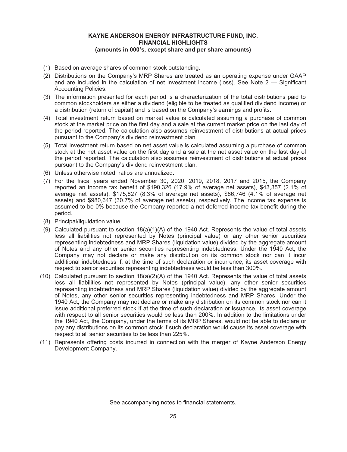# **KAYNE ANDERSON ENERGY INFRASTRUCTURE FUND, INC. FINANCIAL HIGHLIGHTS (amounts in 000's, except share and per share amounts)**

- (3) The information presented for each period is a characterization of the total distributions paid to common stockholders as either a dividend (eligible to be treated as qualified dividend income) or a distribution (return of capital) and is based on the Company's earnings and profits.
- (4) Total investment return based on market value is calculated assuming a purchase of common stock at the market price on the first day and a sale at the current market price on the last day of the period reported. The calculation also assumes reinvestment of distributions at actual prices pursuant to the Company's dividend reinvestment plan.
- (5) Total investment return based on net asset value is calculated assuming a purchase of common stock at the net asset value on the first day and a sale at the net asset value on the last day of the period reported. The calculation also assumes reinvestment of distributions at actual prices pursuant to the Company's dividend reinvestment plan.
- (6) Unless otherwise noted, ratios are annualized.
- (7) For the fiscal years ended November 30, 2020, 2019, 2018, 2017 and 2015, the Company reported an income tax benefit of \$190,326 (17.9% of average net assets), \$43,357 (2.1% of average net assets), \$175,827 (8.3% of average net assets), \$86,746 (4.1% of average net assets) and \$980,647 (30.7% of average net assets), respectively. The income tax expense is assumed to be 0% because the Company reported a net deferred income tax benefit during the period.
- (8) Principal/liquidation value.
- (9) Calculated pursuant to section 18(a)(1)(A) of the 1940 Act. Represents the value of total assets less all liabilities not represented by Notes (principal value) or any other senior securities representing indebtedness and MRP Shares (liquidation value) divided by the aggregate amount of Notes and any other senior securities representing indebtedness. Under the 1940 Act, the Company may not declare or make any distribution on its common stock nor can it incur additional indebtedness if, at the time of such declaration or incurrence, its asset coverage with respect to senior securities representing indebtedness would be less than 300%.
- (10) Calculated pursuant to section 18(a)(2)(A) of the 1940 Act. Represents the value of total assets less all liabilities not represented by Notes (principal value), any other senior securities representing indebtedness and MRP Shares (liquidation value) divided by the aggregate amount of Notes, any other senior securities representing indebtedness and MRP Shares. Under the 1940 Act, the Company may not declare or make any distribution on its common stock nor can it issue additional preferred stock if at the time of such declaration or issuance, its asset coverage with respect to all senior securities would be less than 200%. In addition to the limitations under the 1940 Act, the Company, under the terms of its MRP Shares, would not be able to declare or pay any distributions on its common stock if such declaration would cause its asset coverage with respect to all senior securities to be less than 225%.
- (11) Represents offering costs incurred in connection with the merger of Kayne Anderson Energy Development Company.

<sup>(1)</sup> Based on average shares of common stock outstanding.

<sup>(2)</sup> Distributions on the Company's MRP Shares are treated as an operating expense under GAAP and are included in the calculation of net investment income (loss). See Note 2 — Significant Accounting Policies.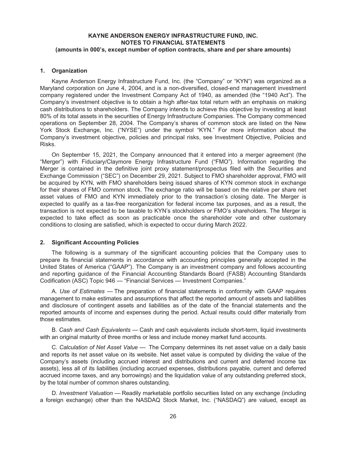#### <span id="page-27-0"></span>**1. Organization**

Kayne Anderson Energy Infrastructure Fund, Inc. (the "Company" or "KYN") was organized as a Maryland corporation on June 4, 2004, and is a non-diversified, closed-end management investment company registered under the Investment Company Act of 1940, as amended (the "1940 Act"). The Company's investment objective is to obtain a high after-tax total return with an emphasis on making cash distributions to shareholders. The Company intends to achieve this objective by investing at least 80% of its total assets in the securities of Energy Infrastructure Companies. The Company commenced operations on September 28, 2004. The Company's shares of common stock are listed on the New York Stock Exchange, Inc. ("NYSE") under the symbol "KYN." For more information about the Company's investment objective, policies and principal risks, see Investment Objective, Policies and Risks.

On September 15, 2021, the Company announced that it entered into a merger agreement (the "Merger") with Fiduciary/Claymore Energy Infrastructure Fund ("FMO"). Information regarding the Merger is contained in the definitive joint proxy statement/prospectus filed with the Securities and Exchange Commission ("SEC") on December 29, 2021. Subject to FMO shareholder approval, FMO will be acquired by KYN, with FMO shareholders being issued shares of KYN common stock in exchange for their shares of FMO common stock. The exchange ratio will be based on the relative per share net asset values of FMO and KYN immediately prior to the transaction's closing date. The Merger is expected to qualify as a tax-free reorganization for federal income tax purposes, and as a result, the transaction is not expected to be taxable to KYN's stockholders or FMO's shareholders. The Merger is expected to take effect as soon as practicable once the shareholder vote and other customary conditions to closing are satisfied, which is expected to occur during March 2022.

#### **2. Significant Accounting Policies**

The following is a summary of the significant accounting policies that the Company uses to prepare its financial statements in accordance with accounting principles generally accepted in the United States of America ("GAAP"). The Company is an investment company and follows accounting and reporting guidance of the Financial Accounting Standards Board (FASB) Accounting Standards Codification (ASC) Topic 946 — "Financial Services — Investment Companies."

A. *Use of Estimates* — The preparation of financial statements in conformity with GAAP requires management to make estimates and assumptions that affect the reported amount of assets and liabilities and disclosure of contingent assets and liabilities as of the date of the financial statements and the reported amounts of income and expenses during the period. Actual results could differ materially from those estimates.

B. *Cash and Cash Equivalents* — Cash and cash equivalents include short-term, liquid investments with an original maturity of three months or less and include money market fund accounts.

C. *Calculation of Net Asset Value* — The Company determines its net asset value on a daily basis and reports its net asset value on its website. Net asset value is computed by dividing the value of the Company's assets (including accrued interest and distributions and current and deferred income tax assets), less all of its liabilities (including accrued expenses, distributions payable, current and deferred accrued income taxes, and any borrowings) and the liquidation value of any outstanding preferred stock, by the total number of common shares outstanding.

D. *Investment Valuation* — Readily marketable portfolio securities listed on any exchange (including a foreign exchange) other than the NASDAQ Stock Market, Inc. ("NASDAQ") are valued, except as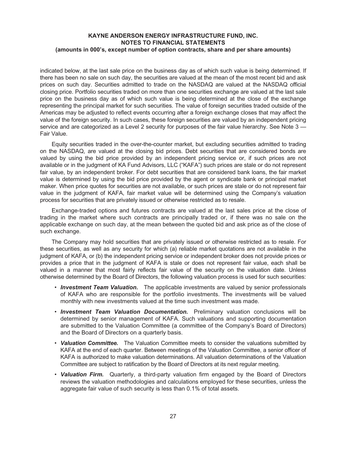indicated below, at the last sale price on the business day as of which such value is being determined. If there has been no sale on such day, the securities are valued at the mean of the most recent bid and ask prices on such day. Securities admitted to trade on the NASDAQ are valued at the NASDAQ official closing price. Portfolio securities traded on more than one securities exchange are valued at the last sale price on the business day as of which such value is being determined at the close of the exchange representing the principal market for such securities. The value of foreign securities traded outside of the Americas may be adjusted to reflect events occurring after a foreign exchange closes that may affect the value of the foreign security. In such cases, these foreign securities are valued by an independent pricing service and are categorized as a Level 2 security for purposes of the fair value hierarchy. See Note 3 — Fair Value.

Equity securities traded in the over-the-counter market, but excluding securities admitted to trading on the NASDAQ, are valued at the closing bid prices. Debt securities that are considered bonds are valued by using the bid price provided by an independent pricing service or, if such prices are not available or in the judgment of KA Fund Advisors, LLC ("KAFA") such prices are stale or do not represent fair value, by an independent broker. For debt securities that are considered bank loans, the fair market value is determined by using the bid price provided by the agent or syndicate bank or principal market maker. When price quotes for securities are not available, or such prices are stale or do not represent fair value in the judgment of KAFA, fair market value will be determined using the Company's valuation process for securities that are privately issued or otherwise restricted as to resale.

Exchange-traded options and futures contracts are valued at the last sales price at the close of trading in the market where such contracts are principally traded or, if there was no sale on the applicable exchange on such day, at the mean between the quoted bid and ask price as of the close of such exchange.

The Company may hold securities that are privately issued or otherwise restricted as to resale. For these securities, as well as any security for which (a) reliable market quotations are not available in the judgment of KAFA, or (b) the independent pricing service or independent broker does not provide prices or provides a price that in the judgment of KAFA is stale or does not represent fair value, each shall be valued in a manner that most fairly reflects fair value of the security on the valuation date. Unless otherwise determined by the Board of Directors, the following valuation process is used for such securities:

- *Investment Team Valuation.* The applicable investments are valued by senior professionals of KAFA who are responsible for the portfolio investments. The investments will be valued monthly with new investments valued at the time such investment was made.
- *Investment Team Valuation Documentation.* Preliminary valuation conclusions will be determined by senior management of KAFA. Such valuations and supporting documentation are submitted to the Valuation Committee (a committee of the Company's Board of Directors) and the Board of Directors on a quarterly basis.
- *Valuation Committee.* The Valuation Committee meets to consider the valuations submitted by KAFA at the end of each quarter. Between meetings of the Valuation Committee, a senior officer of KAFA is authorized to make valuation determinations. All valuation determinations of the Valuation Committee are subject to ratification by the Board of Directors at its next regular meeting.
- *Valuation Firm.* Quarterly, a third-party valuation firm engaged by the Board of Directors reviews the valuation methodologies and calculations employed for these securities, unless the aggregate fair value of such security is less than 0.1% of total assets.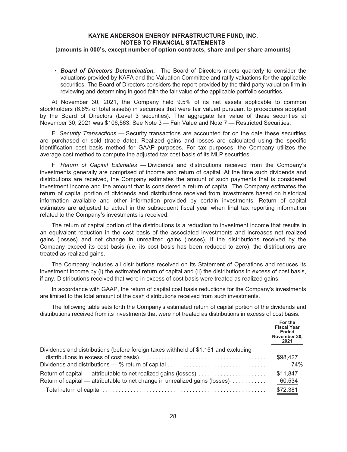• *Board of Directors Determination.* The Board of Directors meets quarterly to consider the valuations provided by KAFA and the Valuation Committee and ratify valuations for the applicable securities. The Board of Directors considers the report provided by the third-party valuation firm in reviewing and determining in good faith the fair value of the applicable portfolio securities.

At November 30, 2021, the Company held 9.5% of its net assets applicable to common stockholders (6.6% of total assets) in securities that were fair valued pursuant to procedures adopted by the Board of Directors (Level 3 securities). The aggregate fair value of these securities at November 30, 2021 was \$106,563. See Note 3 — Fair Value and Note 7 — Restricted Securities.

E. *Security Transactions* — Security transactions are accounted for on the date these securities are purchased or sold (trade date). Realized gains and losses are calculated using the specific identification cost basis method for GAAP purposes. For tax purposes, the Company utilizes the average cost method to compute the adjusted tax cost basis of its MLP securities.

F. *Return of Capital Estimates* — Dividends and distributions received from the Company's investments generally are comprised of income and return of capital. At the time such dividends and distributions are received, the Company estimates the amount of such payments that is considered investment income and the amount that is considered a return of capital. The Company estimates the return of capital portion of dividends and distributions received from investments based on historical information available and other information provided by certain investments. Return of capital estimates are adjusted to actual in the subsequent fiscal year when final tax reporting information related to the Company's investments is received.

The return of capital portion of the distributions is a reduction to investment income that results in an equivalent reduction in the cost basis of the associated investments and increases net realized gains (losses) and net change in unrealized gains (losses). If the distributions received by the Company exceed its cost basis (*i.e*. its cost basis has been reduced to zero), the distributions are treated as realized gains.

The Company includes all distributions received on its Statement of Operations and reduces its investment income by (i) the estimated return of capital and (ii) the distributions in excess of cost basis, if any. Distributions received that were in excess of cost basis were treated as realized gains.

In accordance with GAAP, the return of capital cost basis reductions for the Company's investments are limited to the total amount of the cash distributions received from such investments.

The following table sets forth the Company's estimated return of capital portion of the dividends and distributions received from its investments that were not treated as distributions in excess of cost basis.

|                                                                                                                                                | For the<br><b>Fiscal Year</b><br><b>Ended</b><br>November 30,<br>2021 |
|------------------------------------------------------------------------------------------------------------------------------------------------|-----------------------------------------------------------------------|
| Dividends and distributions (before foreign taxes withheld of \$1,151 and excluding<br>Dividends and distributions — % return of capital       | \$98,427<br>74%                                                       |
| Return of capital — attributable to net realized gains (losses)<br>Return of capital — attributable to net change in unrealized gains (losses) | \$11,847<br>60,534                                                    |
|                                                                                                                                                | \$72,381                                                              |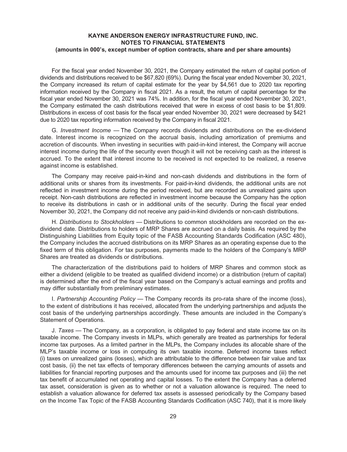For the fiscal year ended November 30, 2021, the Company estimated the return of capital portion of dividends and distributions received to be \$67,820 (69%). During the fiscal year ended November 30, 2021, the Company increased its return of capital estimate for the year by \$4,561 due to 2020 tax reporting information received by the Company in fiscal 2021. As a result, the return of capital percentage for the fiscal year ended November 30, 2021 was 74%. In addition, for the fiscal year ended November 30, 2021, the Company estimated the cash distributions received that were in excess of cost basis to be \$1,809. Distributions in excess of cost basis for the fiscal year ended November 30, 2021 were decreased by \$421 due to 2020 tax reporting information received by the Company in fiscal 2021.

G. *Investment Income* — The Company records dividends and distributions on the ex-dividend date. Interest income is recognized on the accrual basis, including amortization of premiums and accretion of discounts. When investing in securities with paid-in-kind interest, the Company will accrue interest income during the life of the security even though it will not be receiving cash as the interest is accrued. To the extent that interest income to be received is not expected to be realized, a reserve against income is established.

The Company may receive paid-in-kind and non-cash dividends and distributions in the form of additional units or shares from its investments. For paid-in-kind dividends, the additional units are not reflected in investment income during the period received, but are recorded as unrealized gains upon receipt. Non-cash distributions are reflected in investment income because the Company has the option to receive its distributions in cash or in additional units of the security. During the fiscal year ended November 30, 2021, the Company did not receive any paid-in-kind dividends or non-cash distributions.

H. *Distributions to Stockholders* — Distributions to common stockholders are recorded on the exdividend date. Distributions to holders of MRP Shares are accrued on a daily basis. As required by the Distinguishing Liabilities from Equity topic of the FASB Accounting Standards Codification (ASC 480), the Company includes the accrued distributions on its MRP Shares as an operating expense due to the fixed term of this obligation. For tax purposes, payments made to the holders of the Company's MRP Shares are treated as dividends or distributions.

The characterization of the distributions paid to holders of MRP Shares and common stock as either a dividend (eligible to be treated as qualified dividend income) or a distribution (return of capital) is determined after the end of the fiscal year based on the Company's actual earnings and profits and may differ substantially from preliminary estimates.

I. *Partnership Accounting Policy* — The Company records its pro-rata share of the income (loss), to the extent of distributions it has received, allocated from the underlying partnerships and adjusts the cost basis of the underlying partnerships accordingly. These amounts are included in the Company's Statement of Operations.

J. *Taxes* — The Company, as a corporation, is obligated to pay federal and state income tax on its taxable income. The Company invests in MLPs, which generally are treated as partnerships for federal income tax purposes. As a limited partner in the MLPs, the Company includes its allocable share of the MLP's taxable income or loss in computing its own taxable income. Deferred income taxes reflect (i) taxes on unrealized gains (losses), which are attributable to the difference between fair value and tax cost basis, (ii) the net tax effects of temporary differences between the carrying amounts of assets and liabilities for financial reporting purposes and the amounts used for income tax purposes and (iii) the net tax benefit of accumulated net operating and capital losses. To the extent the Company has a deferred tax asset, consideration is given as to whether or not a valuation allowance is required. The need to establish a valuation allowance for deferred tax assets is assessed periodically by the Company based on the Income Tax Topic of the FASB Accounting Standards Codification (ASC 740), that it is more likely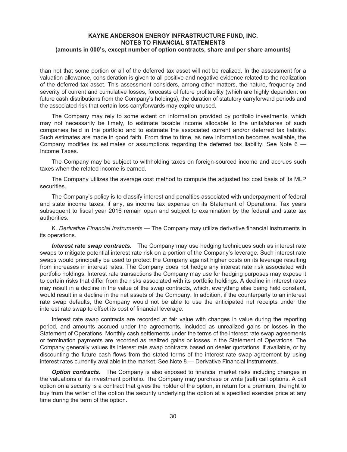than not that some portion or all of the deferred tax asset will not be realized. In the assessment for a valuation allowance, consideration is given to all positive and negative evidence related to the realization of the deferred tax asset. This assessment considers, among other matters, the nature, frequency and severity of current and cumulative losses, forecasts of future profitability (which are highly dependent on future cash distributions from the Company's holdings), the duration of statutory carryforward periods and the associated risk that certain loss carryforwards may expire unused.

The Company may rely to some extent on information provided by portfolio investments, which may not necessarily be timely, to estimate taxable income allocable to the units/shares of such companies held in the portfolio and to estimate the associated current and/or deferred tax liability. Such estimates are made in good faith. From time to time, as new information becomes available, the Company modifies its estimates or assumptions regarding the deferred tax liability. See Note 6 — Income Taxes.

The Company may be subject to withholding taxes on foreign-sourced income and accrues such taxes when the related income is earned.

The Company utilizes the average cost method to compute the adjusted tax cost basis of its MLP securities.

The Company's policy is to classify interest and penalties associated with underpayment of federal and state income taxes, if any, as income tax expense on its Statement of Operations. Tax years subsequent to fiscal year 2016 remain open and subject to examination by the federal and state tax authorities.

K. *Derivative Financial Instruments* — The Company may utilize derivative financial instruments in its operations.

*Interest rate swap contracts.* The Company may use hedging techniques such as interest rate swaps to mitigate potential interest rate risk on a portion of the Company's leverage. Such interest rate swaps would principally be used to protect the Company against higher costs on its leverage resulting from increases in interest rates. The Company does not hedge any interest rate risk associated with portfolio holdings. Interest rate transactions the Company may use for hedging purposes may expose it to certain risks that differ from the risks associated with its portfolio holdings. A decline in interest rates may result in a decline in the value of the swap contracts, which, everything else being held constant, would result in a decline in the net assets of the Company. In addition, if the counterparty to an interest rate swap defaults, the Company would not be able to use the anticipated net receipts under the interest rate swap to offset its cost of financial leverage.

Interest rate swap contracts are recorded at fair value with changes in value during the reporting period, and amounts accrued under the agreements, included as unrealized gains or losses in the Statement of Operations. Monthly cash settlements under the terms of the interest rate swap agreements or termination payments are recorded as realized gains or losses in the Statement of Operations. The Company generally values its interest rate swap contracts based on dealer quotations, if available, or by discounting the future cash flows from the stated terms of the interest rate swap agreement by using interest rates currently available in the market. See Note 8 — Derivative Financial Instruments.

*Option contracts.* The Company is also exposed to financial market risks including changes in the valuations of its investment portfolio. The Company may purchase or write (sell) call options. A call option on a security is a contract that gives the holder of the option, in return for a premium, the right to buy from the writer of the option the security underlying the option at a specified exercise price at any time during the term of the option.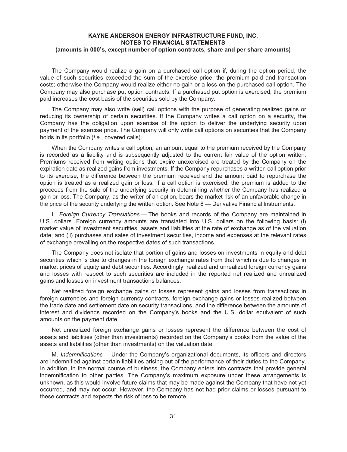The Company would realize a gain on a purchased call option if, during the option period, the value of such securities exceeded the sum of the exercise price, the premium paid and transaction costs; otherwise the Company would realize either no gain or a loss on the purchased call option. The Company may also purchase put option contracts. If a purchased put option is exercised, the premium paid increases the cost basis of the securities sold by the Company.

The Company may also write (sell) call options with the purpose of generating realized gains or reducing its ownership of certain securities. If the Company writes a call option on a security, the Company has the obligation upon exercise of the option to deliver the underlying security upon payment of the exercise price. The Company will only write call options on securities that the Company holds in its portfolio (*i.e*., covered calls).

When the Company writes a call option, an amount equal to the premium received by the Company is recorded as a liability and is subsequently adjusted to the current fair value of the option written. Premiums received from writing options that expire unexercised are treated by the Company on the expiration date as realized gains from investments. If the Company repurchases a written call option prior to its exercise, the difference between the premium received and the amount paid to repurchase the option is treated as a realized gain or loss. If a call option is exercised, the premium is added to the proceeds from the sale of the underlying security in determining whether the Company has realized a gain or loss. The Company, as the writer of an option, bears the market risk of an unfavorable change in the price of the security underlying the written option. See Note 8 — Derivative Financial Instruments.

L. *Foreign Currency Translations* — The books and records of the Company are maintained in U.S. dollars. Foreign currency amounts are translated into U.S. dollars on the following basis: (i) market value of investment securities, assets and liabilities at the rate of exchange as of the valuation date; and (ii) purchases and sales of investment securities, income and expenses at the relevant rates of exchange prevailing on the respective dates of such transactions.

The Company does not isolate that portion of gains and losses on investments in equity and debt securities which is due to changes in the foreign exchange rates from that which is due to changes in market prices of equity and debt securities. Accordingly, realized and unrealized foreign currency gains and losses with respect to such securities are included in the reported net realized and unrealized gains and losses on investment transactions balances.

Net realized foreign exchange gains or losses represent gains and losses from transactions in foreign currencies and foreign currency contracts, foreign exchange gains or losses realized between the trade date and settlement date on security transactions, and the difference between the amounts of interest and dividends recorded on the Company's books and the U.S. dollar equivalent of such amounts on the payment date.

Net unrealized foreign exchange gains or losses represent the difference between the cost of assets and liabilities (other than investments) recorded on the Company's books from the value of the assets and liabilities (other than investments) on the valuation date.

M. *Indemnifications* — Under the Company's organizational documents, its officers and directors are indemnified against certain liabilities arising out of the performance of their duties to the Company. In addition, in the normal course of business, the Company enters into contracts that provide general indemnification to other parties. The Company's maximum exposure under these arrangements is unknown, as this would involve future claims that may be made against the Company that have not yet occurred, and may not occur. However, the Company has not had prior claims or losses pursuant to these contracts and expects the risk of loss to be remote.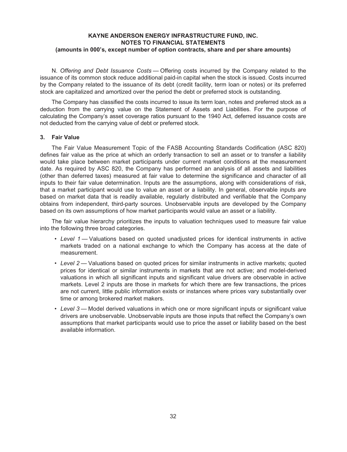N. *Offering and Debt Issuance Costs* — Offering costs incurred by the Company related to the issuance of its common stock reduce additional paid-in capital when the stock is issued. Costs incurred by the Company related to the issuance of its debt (credit facility, term loan or notes) or its preferred stock are capitalized and amortized over the period the debt or preferred stock is outstanding.

The Company has classified the costs incurred to issue its term loan, notes and preferred stock as a deduction from the carrying value on the Statement of Assets and Liabilities. For the purpose of calculating the Company's asset coverage ratios pursuant to the 1940 Act, deferred issuance costs are not deducted from the carrying value of debt or preferred stock.

#### **3. Fair Value**

The Fair Value Measurement Topic of the FASB Accounting Standards Codification (ASC 820) defines fair value as the price at which an orderly transaction to sell an asset or to transfer a liability would take place between market participants under current market conditions at the measurement date. As required by ASC 820, the Company has performed an analysis of all assets and liabilities (other than deferred taxes) measured at fair value to determine the significance and character of all inputs to their fair value determination. Inputs are the assumptions, along with considerations of risk, that a market participant would use to value an asset or a liability. In general, observable inputs are based on market data that is readily available, regularly distributed and verifiable that the Company obtains from independent, third-party sources. Unobservable inputs are developed by the Company based on its own assumptions of how market participants would value an asset or a liability.

The fair value hierarchy prioritizes the inputs to valuation techniques used to measure fair value into the following three broad categories.

- *Level 1* Valuations based on quoted unadjusted prices for identical instruments in active markets traded on a national exchange to which the Company has access at the date of measurement.
- *Level 2* Valuations based on quoted prices for similar instruments in active markets; quoted prices for identical or similar instruments in markets that are not active; and model-derived valuations in which all significant inputs and significant value drivers are observable in active markets. Level 2 inputs are those in markets for which there are few transactions, the prices are not current, little public information exists or instances where prices vary substantially over time or among brokered market makers.
- *Level 3* Model derived valuations in which one or more significant inputs or significant value drivers are unobservable. Unobservable inputs are those inputs that reflect the Company's own assumptions that market participants would use to price the asset or liability based on the best available information.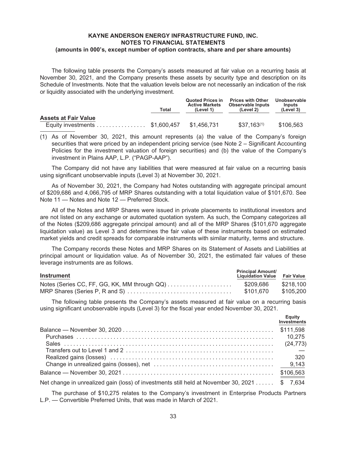The following table presents the Company's assets measured at fair value on a recurring basis at November 30, 2021, and the Company presents these assets by security type and description on its Schedule of Investments. Note that the valuation levels below are not necessarily an indication of the risk or liquidity associated with the underlying investment.

|                             | Total       | Quoted Prices in<br><b>Active Markets</b><br>(Level 1) | <b>Prices with Other</b><br>Observable Inputs<br>(Level 2) | Unobservable<br><b>Inputs</b><br>(Level 3) |
|-----------------------------|-------------|--------------------------------------------------------|------------------------------------------------------------|--------------------------------------------|
| <b>Assets at Fair Value</b> |             |                                                        |                                                            |                                            |
| Equity investments          | \$1.600.457 | \$1.456.731                                            | $$37.163^{(1)}$                                            | \$106,563                                  |

(1) As of November 30, 2021, this amount represents (a) the value of the Company's foreign securities that were priced by an independent pricing service (see Note 2 – Significant Accounting Policies for the investment valuation of foreign securities) and (b) the value of the Company's investment in Plains AAP, L.P. ("PAGP-AAP").

The Company did not have any liabilities that were measured at fair value on a recurring basis using significant unobservable inputs (Level 3) at November 30, 2021.

As of November 30, 2021, the Company had Notes outstanding with aggregate principal amount of \$209,686 and 4,066,795 of MRP Shares outstanding with a total liquidation value of \$101,670. See Note 11 — Notes and Note 12 — Preferred Stock.

All of the Notes and MRP Shares were issued in private placements to institutional investors and are not listed on any exchange or automated quotation system. As such, the Company categorizes all of the Notes (\$209,686 aggregate principal amount) and all of the MRP Shares (\$101,670 aggregate liquidation value) as Level 3 and determines the fair value of these instruments based on estimated market yields and credit spreads for comparable instruments with similar maturity, terms and structure.

The Company records these Notes and MRP Shares on its Statement of Assets and Liabilities at principal amount or liquidation value. As of November 30, 2021, the estimated fair values of these leverage instruments are as follows.

| <b>Instrument</b>                            | <b>Principal Amount/</b><br><b>Liquidation Value Fair Value</b> |           |
|----------------------------------------------|-----------------------------------------------------------------|-----------|
| Notes (Series CC, FF, GG, KK, MM through QQ) | \$209,686                                                       | \$218,100 |
|                                              | \$101.670                                                       | \$105,200 |

The following table presents the Company's assets measured at fair value on a recurring basis using significant unobservable inputs (Level 3) for the fiscal year ended November 30, 2021.

|                                                                                              | Equity<br>Investments |
|----------------------------------------------------------------------------------------------|-----------------------|
|                                                                                              |                       |
|                                                                                              | 10.275                |
|                                                                                              | (24, 773)             |
|                                                                                              |                       |
|                                                                                              | 320                   |
|                                                                                              |                       |
|                                                                                              |                       |
| Net change in unrealized gain (loss) of investments still held at November 30, 2021 \$ 7,634 |                       |

The purchase of \$10,275 relates to the Company's investment in Enterprise Products Partners L.P. — Convertible Preferred Units, that was made in March of 2021.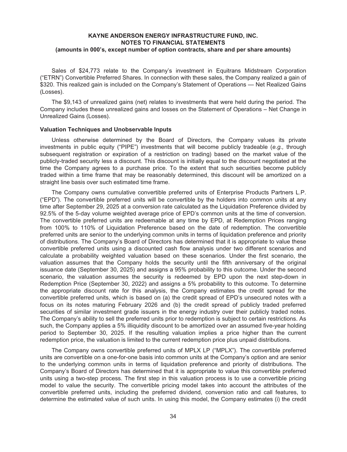Sales of \$24,773 relate to the Company's investment in Equitrans Midstream Corporation ("ETRN") Convertible Preferred Shares. In connection with these sales, the Company realized a gain of \$320. This realized gain is included on the Company's Statement of Operations — Net Realized Gains (Losses).

The \$9,143 of unrealized gains (net) relates to investments that were held during the period. The Company includes these unrealized gains and losses on the Statement of Operations – Net Change in Unrealized Gains (Losses).

#### **Valuation Techniques and Unobservable Inputs**

Unless otherwise determined by the Board of Directors, the Company values its private investments in public equity ("PIPE") investments that will become publicly tradeable (*e.g.,* through subsequent registration or expiration of a restriction on trading) based on the market value of the publicly-traded security less a discount. This discount is initially equal to the discount negotiated at the time the Company agrees to a purchase price. To the extent that such securities become publicly traded within a time frame that may be reasonably determined, this discount will be amortized on a straight line basis over such estimated time frame.

The Company owns cumulative convertible preferred units of Enterprise Products Partners L.P. ("EPD"). The convertible preferred units will be convertible by the holders into common units at any time after September 29, 2025 at a conversion rate calculated as the Liquidation Preference divided by 92.5% of the 5-day volume weighted average price of EPD's common units at the time of conversion. The convertible preferred units are redeemable at any time by EPD, at Redemption Prices ranging from 100% to 110% of Liquidation Preference based on the date of redemption. The convertible preferred units are senior to the underlying common units in terms of liquidation preference and priority of distributions. The Company's Board of Directors has determined that it is appropriate to value these convertible preferred units using a discounted cash flow analysis under two different scenarios and calculate a probability weighted valuation based on these scenarios. Under the first scenario, the valuation assumes that the Company holds the security until the fifth anniversary of the original issuance date (September 30, 2025) and assigns a 95% probability to this outcome. Under the second scenario, the valuation assumes the security is redeemed by EPD upon the next step-down in Redemption Price (September 30, 2022) and assigns a 5% probability to this outcome. To determine the appropriate discount rate for this analysis, the Company estimates the credit spread for the convertible preferred units, which is based on (a) the credit spread of EPD's unsecured notes with a focus on its notes maturing February 2026 and (b) the credit spread of publicly traded preferred securities of similar investment grade issuers in the energy industry over their publicly traded notes. The Company's ability to sell the preferred units prior to redemption is subject to certain restrictions. As such, the Company applies a 5% illiquidity discount to be amortized over an assumed five-year holding period to September 30, 2025. If the resulting valuation implies a price higher than the current redemption price, the valuation is limited to the current redemption price plus unpaid distributions.

The Company owns convertible preferred units of MPLX LP ("MPLX"). The convertible preferred units are convertible on a one-for-one basis into common units at the Company's option and are senior to the underlying common units in terms of liquidation preference and priority of distributions. The Company's Board of Directors has determined that it is appropriate to value this convertible preferred units using a two-step process. The first step in this valuation process is to use a convertible pricing model to value the security. The convertible pricing model takes into account the attributes of the convertible preferred units, including the preferred dividend, conversion ratio and call features, to determine the estimated value of such units. In using this model, the Company estimates (i) the credit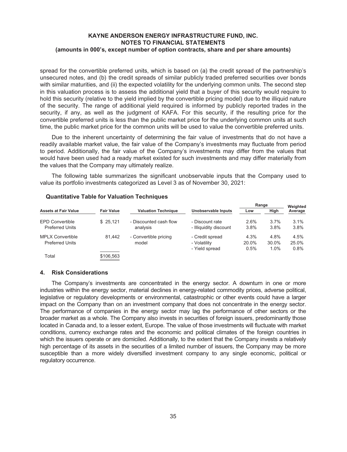spread for the convertible preferred units, which is based on (a) the credit spread of the partnership's unsecured notes, and (b) the credit spreads of similar publicly traded preferred securities over bonds with similar maturities, and (ii) the expected volatility for the underlying common units. The second step in this valuation process is to assess the additional yield that a buyer of this security would require to hold this security (relative to the yield implied by the convertible pricing model) due to the illiquid nature of the security. The range of additional yield required is informed by publicly reported trades in the security, if any, as well as the judgment of KAFA. For this security, if the resulting price for the convertible preferred units is less than the public market price for the underlying common units at such time, the public market price for the common units will be used to value the convertible preferred units.

Due to the inherent uncertainty of determining the fair value of investments that do not have a readily available market value, the fair value of the Company's investments may fluctuate from period to period. Additionally, the fair value of the Company's investments may differ from the values that would have been used had a ready market existed for such investments and may differ materially from the values that the Company may ultimately realize.

The following table summarizes the significant unobservable inputs that the Company used to value its portfolio investments categorized as Level 3 as of November 30, 2021:

|                             |                   |                            |                        | Range |         | Weighted |
|-----------------------------|-------------------|----------------------------|------------------------|-------|---------|----------|
| <b>Assets at Fair Value</b> | <b>Fair Value</b> | <b>Valuation Technique</b> | Unobservable Inputs    | Low   | High    | Average  |
| <b>EPD Convertible</b>      | \$25.121          | - Discounted cash flow     | - Discount rate        | 2.6%  | 3.7%    | 3.1%     |
| <b>Preferred Units</b>      |                   | analysis                   | - Illiquidity discount | 3.8%  | 3.8%    | 3.8%     |
| <b>MPLX Convertible</b>     | 81.442            | - Convertible pricing      | - Credit spread        | 4.3%  | 4.8%    | 4.5%     |
| <b>Preferred Units</b>      |                   | model                      | - Volatility           | 20.0% | 30.0%   | 25.0%    |
|                             |                   |                            | - Yield spread         | 0.5%  | $1.0\%$ | 0.8%     |
| Total                       | \$106.563         |                            |                        |       |         |          |

## **Quantitative Table for Valuation Techniques**

#### **4. Risk Considerations**

The Company's investments are concentrated in the energy sector. A downturn in one or more industries within the energy sector, material declines in energy-related commodity prices, adverse political, legislative or regulatory developments or environmental, catastrophic or other events could have a larger impact on the Company than on an investment company that does not concentrate in the energy sector. The performance of companies in the energy sector may lag the performance of other sectors or the broader market as a whole. The Company also invests in securities of foreign issuers, predominantly those located in Canada and, to a lesser extent, Europe. The value of those investments will fluctuate with market conditions, currency exchange rates and the economic and political climates of the foreign countries in which the issuers operate or are domiciled. Additionally, to the extent that the Company invests a relatively high percentage of its assets in the securities of a limited number of issuers, the Company may be more susceptible than a more widely diversified investment company to any single economic, political or regulatory occurrence.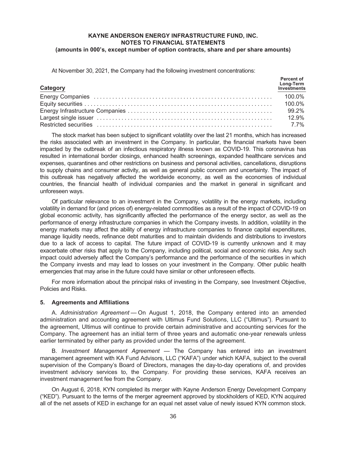At November 30, 2021, the Company had the following investment concentrations:

| Category | Percent of<br>Long-Term<br>Investments |
|----------|----------------------------------------|
|          | 100.0%                                 |
|          | 100.0%                                 |
|          | 99.2%                                  |
|          | 12.9%                                  |
|          | 7.7%                                   |

The stock market has been subject to significant volatility over the last 21 months, which has increased the risks associated with an investment in the Company. In particular, the financial markets have been impacted by the outbreak of an infectious respiratory illness known as COVID-19. This coronavirus has resulted in international border closings, enhanced health screenings, expanded healthcare services and expenses, quarantines and other restrictions on business and personal activities, cancellations, disruptions to supply chains and consumer activity, as well as general public concern and uncertainty. The impact of this outbreak has negatively affected the worldwide economy, as well as the economies of individual countries, the financial health of individual companies and the market in general in significant and unforeseen ways.

Of particular relevance to an investment in the Company, volatility in the energy markets, including volatility in demand for (and prices of) energy-related commodities as a result of the impact of COVID-19 on global economic activity, has significantly affected the performance of the energy sector, as well as the performance of energy infrastructure companies in which the Company invests. In addition, volatility in the energy markets may affect the ability of energy infrastructure companies to finance capital expenditures, manage liquidity needs, refinance debt maturities and to maintain dividends and distributions to investors due to a lack of access to capital. The future impact of COVID-19 is currently unknown and it may exacerbate other risks that apply to the Company, including political, social and economic risks. Any such impact could adversely affect the Company's performance and the performance of the securities in which the Company invests and may lead to losses on your investment in the Company. Other public health emergencies that may arise in the future could have similar or other unforeseen effects.

For more information about the principal risks of investing in the Company, see Investment Objective, Policies and Risks.

#### **5. Agreements and Affiliations**

A. *Administration Agreement* — On August 1, 2018, the Company entered into an amended administration and accounting agreement with Ultimus Fund Solutions, LLC ("Ultimus"). Pursuant to the agreement, Ultimus will continue to provide certain administrative and accounting services for the Company. The agreement has an initial term of three years and automatic one-year renewals unless earlier terminated by either party as provided under the terms of the agreement.

B. *Investment Management Agreement* — The Company has entered into an investment management agreement with KA Fund Advisors, LLC ("KAFA") under which KAFA, subject to the overall supervision of the Company's Board of Directors, manages the day-to-day operations of, and provides investment advisory services to, the Company. For providing these services, KAFA receives an investment management fee from the Company.

On August 6, 2018, KYN completed its merger with Kayne Anderson Energy Development Company ("KED"). Pursuant to the terms of the merger agreement approved by stockholders of KED, KYN acquired all of the net assets of KED in exchange for an equal net asset value of newly issued KYN common stock.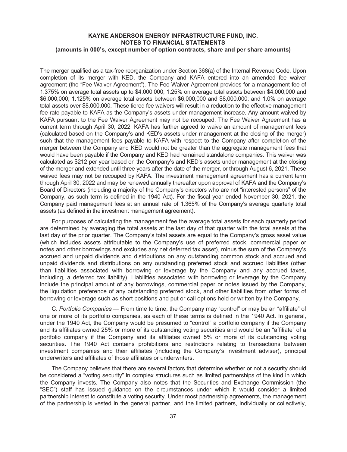The merger qualified as a tax-free reorganization under Section 368(a) of the Internal Revenue Code. Upon completion of its merger with KED, the Company and KAFA entered into an amended fee waiver agreement (the "Fee Waiver Agreement"). The Fee Waiver Agreement provides for a management fee of 1.375% on average total assets up to \$4,000,000; 1.25% on average total assets between \$4,000,000 and \$6,000,000; 1.125% on average total assets between \$6,000,000 and \$8,000,000; and 1.0% on average total assets over \$8,000,000. These tiered fee waivers will result in a reduction to the effective management fee rate payable to KAFA as the Company's assets under management increase. Any amount waived by KAFA pursuant to the Fee Waiver Agreement may not be recouped. The Fee Waiver Agreement has a current term through April 30, 2022. KAFA has further agreed to waive an amount of management fees (calculated based on the Company's and KED's assets under management at the closing of the merger) such that the management fees payable to KAFA with respect to the Company after completion of the merger between the Company and KED would not be greater than the aggregate management fees that would have been payable if the Company and KED had remained standalone companies. This waiver was calculated as \$212 per year based on the Company's and KED's assets under management at the closing of the merger and extended until three years after the date of the merger, or through August 6, 2021. These waived fees may not be recouped by KAFA. The investment management agreement has a current term through April 30, 2022 and may be renewed annually thereafter upon approval of KAFA and the Company's Board of Directors (including a majority of the Company's directors who are not "interested persons" of the Company, as such term is defined in the 1940 Act). For the fiscal year ended November 30, 2021, the Company paid management fees at an annual rate of 1.365% of the Company's average quarterly total assets (as defined in the investment management agreement).

For purposes of calculating the management fee the average total assets for each quarterly period are determined by averaging the total assets at the last day of that quarter with the total assets at the last day of the prior quarter. The Company's total assets are equal to the Company's gross asset value (which includes assets attributable to the Company's use of preferred stock, commercial paper or notes and other borrowings and excludes any net deferred tax asset), minus the sum of the Company's accrued and unpaid dividends and distributions on any outstanding common stock and accrued and unpaid dividends and distributions on any outstanding preferred stock and accrued liabilities (other than liabilities associated with borrowing or leverage by the Company and any accrued taxes, including, a deferred tax liability). Liabilities associated with borrowing or leverage by the Company include the principal amount of any borrowings, commercial paper or notes issued by the Company, the liquidation preference of any outstanding preferred stock, and other liabilities from other forms of borrowing or leverage such as short positions and put or call options held or written by the Company.

C. *Portfolio Companies* — From time to time, the Company may "control" or may be an "affiliate" of one or more of its portfolio companies, as each of these terms is defined in the 1940 Act. In general, under the 1940 Act, the Company would be presumed to "control" a portfolio company if the Company and its affiliates owned 25% or more of its outstanding voting securities and would be an "affiliate" of a portfolio company if the Company and its affiliates owned 5% or more of its outstanding voting securities. The 1940 Act contains prohibitions and restrictions relating to transactions between investment companies and their affiliates (including the Company's investment adviser), principal underwriters and affiliates of those affiliates or underwriters.

The Company believes that there are several factors that determine whether or not a security should be considered a "voting security" in complex structures such as limited partnerships of the kind in which the Company invests. The Company also notes that the Securities and Exchange Commission (the "SEC") staff has issued guidance on the circumstances under which it would consider a limited partnership interest to constitute a voting security. Under most partnership agreements, the management of the partnership is vested in the general partner, and the limited partners, individually or collectively,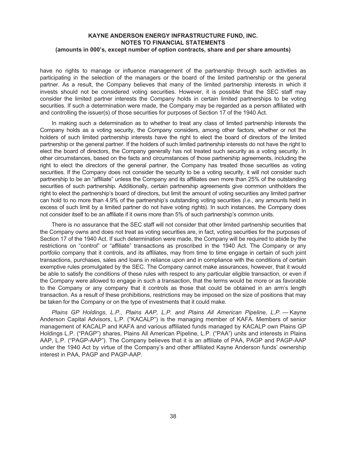have no rights to manage or influence management of the partnership through such activities as participating in the selection of the managers or the board of the limited partnership or the general partner. As a result, the Company believes that many of the limited partnership interests in which it invests should not be considered voting securities. However, it is possible that the SEC staff may consider the limited partner interests the Company holds in certain limited partnerships to be voting securities. If such a determination were made, the Company may be regarded as a person affiliated with and controlling the issuer(s) of those securities for purposes of Section 17 of the 1940 Act.

In making such a determination as to whether to treat any class of limited partnership interests the Company holds as a voting security, the Company considers, among other factors, whether or not the holders of such limited partnership interests have the right to elect the board of directors of the limited partnership or the general partner. If the holders of such limited partnership interests do not have the right to elect the board of directors, the Company generally has not treated such security as a voting security. In other circumstances, based on the facts and circumstances of those partnership agreements, including the right to elect the directors of the general partner, the Company has treated those securities as voting securities. If the Company does not consider the security to be a voting security, it will not consider such partnership to be an "affiliate" unless the Company and its affiliates own more than 25% of the outstanding securities of such partnership. Additionally, certain partnership agreements give common unitholders the right to elect the partnership's board of directors, but limit the amount of voting securities any limited partner can hold to no more than 4.9% of the partnership's outstanding voting securities *(i.e.*, any amounts held in excess of such limit by a limited partner do not have voting rights). In such instances, the Company does not consider itself to be an affiliate if it owns more than 5% of such partnership's common units.

There is no assurance that the SEC staff will not consider that other limited partnership securities that the Company owns and does not treat as voting securities are, in fact, voting securities for the purposes of Section 17 of the 1940 Act. If such determination were made, the Company will be required to abide by the restrictions on "control" or "affiliate" transactions as proscribed in the 1940 Act. The Company or any portfolio company that it controls, and its affiliates, may from time to time engage in certain of such joint transactions, purchases, sales and loans in reliance upon and in compliance with the conditions of certain exemptive rules promulgated by the SEC. The Company cannot make assurances, however, that it would be able to satisfy the conditions of these rules with respect to any particular eligible transaction, or even if the Company were allowed to engage in such a transaction, that the terms would be more or as favorable to the Company or any company that it controls as those that could be obtained in an arm's length transaction. As a result of these prohibitions, restrictions may be imposed on the size of positions that may be taken for the Company or on the type of investments that it could make.

*Plains GP Holdings, L.P., Plains AAP, L.P. and Plains All American Pipeline, L.P. —* Kayne Anderson Capital Advisors, L.P. ("KACALP") is the managing member of KAFA. Members of senior management of KACALP and KAFA and various affiliated funds managed by KACALP own Plains GP Holdings L.P. ("PAGP") shares, Plains All American Pipeline, L.P. ("PAA") units and interests in Plains AAP, L.P. ("PAGP-AAP"). The Company believes that it is an affiliate of PAA, PAGP and PAGP-AAP under the 1940 Act by virtue of the Company's and other affiliated Kayne Anderson funds' ownership interest in PAA, PAGP and PAGP-AAP.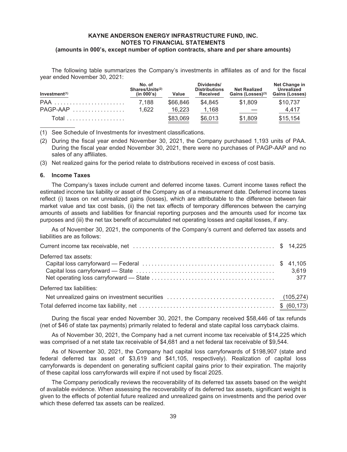The following table summarizes the Company's investments in affiliates as of and for the fiscal year ended November 30, 2021:

| Investment(1) | No. of<br>Shares/Units <sup>(2)</sup><br>(in 000's) | Value    | Dividends/<br><b>Distributions</b><br><b>Received</b> | <b>Net Realized</b><br>Gains (Losses)(3) | Net Change in<br>Unrealized<br>Gains (Losses) |
|---------------|-----------------------------------------------------|----------|-------------------------------------------------------|------------------------------------------|-----------------------------------------------|
|               | 7.188                                               | \$66,846 | \$4.845                                               | \$1.809                                  | \$10,737                                      |
| $PAGP-MAP$    | 1.622                                               | 16.223   | 1,168                                                 |                                          | 4.417                                         |
|               |                                                     | \$83,069 | \$6,013                                               | \$1,809                                  | \$15,154                                      |

(1) See Schedule of Investments for investment classifications.

- (2) During the fiscal year ended November 30, 2021, the Company purchased 1,193 units of PAA. During the fiscal year ended November 30, 2021, there were no purchases of PAGP-AAP and no sales of any affiliates.
- (3) Net realized gains for the period relate to distributions received in excess of cost basis.

#### **6. Income Taxes**

The Company's taxes include current and deferred income taxes. Current income taxes reflect the estimated income tax liability or asset of the Company as of a measurement date. Deferred income taxes reflect (i) taxes on net unrealized gains (losses), which are attributable to the difference between fair market value and tax cost basis, (ii) the net tax effects of temporary differences between the carrying amounts of assets and liabilities for financial reporting purposes and the amounts used for income tax purposes and (iii) the net tax benefit of accumulated net operating losses and capital losses, if any.

As of November 30, 2021, the components of the Company's current and deferred tax assets and liabilities are as follows:

| Deferred tax assets:      | 3,619 |
|---------------------------|-------|
| Deferred tax liabilities: |       |
|                           |       |
|                           |       |

During the fiscal year ended November 30, 2021, the Company received \$58,446 of tax refunds (net of \$46 of state tax payments) primarily related to federal and state capital loss carryback claims.

As of November 30, 2021, the Company had a net current income tax receivable of \$14,225 which was comprised of a net state tax receivable of \$4,681 and a net federal tax receivable of \$9,544.

As of November 30, 2021, the Company had capital loss carryforwards of \$198,907 (state and federal deferred tax asset of \$3,619 and \$41,105, respectively). Realization of capital loss carryforwards is dependent on generating sufficient capital gains prior to their expiration. The majority of these capital loss carryforwards will expire if not used by fiscal 2025.

The Company periodically reviews the recoverability of its deferred tax assets based on the weight of available evidence. When assessing the recoverability of its deferred tax assets, significant weight is given to the effects of potential future realized and unrealized gains on investments and the period over which these deferred tax assets can be realized.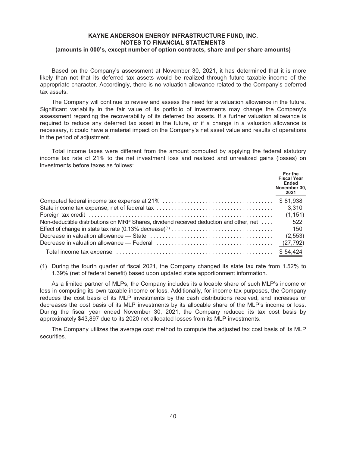Based on the Company's assessment at November 30, 2021, it has determined that it is more likely than not that its deferred tax assets would be realized through future taxable income of the appropriate character. Accordingly, there is no valuation allowance related to the Company's deferred tax assets.

The Company will continue to review and assess the need for a valuation allowance in the future. Significant variability in the fair value of its portfolio of investments may change the Company's assessment regarding the recoverability of its deferred tax assets. If a further valuation allowance is required to reduce any deferred tax asset in the future, or if a change in a valuation allowance is necessary, it could have a material impact on the Company's net asset value and results of operations in the period of adjustment.

Total income taxes were different from the amount computed by applying the federal statutory income tax rate of 21% to the net investment loss and realized and unrealized gains (losses) on investments before taxes as follows:

|                                                                                                                            | For the<br><b>Fiscal Year</b><br>Ended<br>November 30,<br>2021 |
|----------------------------------------------------------------------------------------------------------------------------|----------------------------------------------------------------|
|                                                                                                                            | \$81.938                                                       |
|                                                                                                                            | 3,310                                                          |
|                                                                                                                            | (1, 151)                                                       |
| Non-deductible distributions on MRP Shares, dividend received deduction and other, net                                     | 522                                                            |
|                                                                                                                            | 150                                                            |
|                                                                                                                            | (2, 553)                                                       |
| Decrease in valuation allowance — Federal $\ldots, \ldots, \ldots, \ldots, \ldots, \ldots, \ldots, \ldots, \ldots, \ldots$ | (27, 792)                                                      |
|                                                                                                                            | \$54,424                                                       |

(1) During the fourth quarter of fiscal 2021, the Company changed its state tax rate from 1.52% to 1.39% (net of federal benefit) based upon updated state apportionment information.

As a limited partner of MLPs, the Company includes its allocable share of such MLP's income or loss in computing its own taxable income or loss. Additionally, for income tax purposes, the Company reduces the cost basis of its MLP investments by the cash distributions received, and increases or decreases the cost basis of its MLP investments by its allocable share of the MLP's income or loss. During the fiscal year ended November 30, 2021, the Company reduced its tax cost basis by approximately \$43,897 due to its 2020 net allocated losses from its MLP investments.

The Company utilizes the average cost method to compute the adjusted tax cost basis of its MLP securities.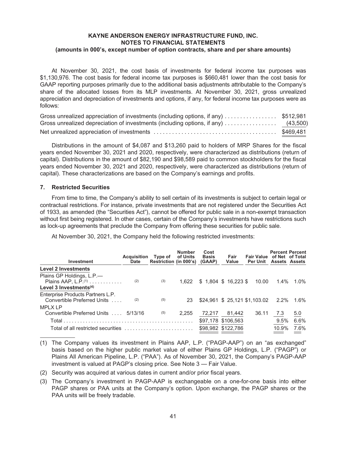At November 30, 2021, the cost basis of investments for federal income tax purposes was \$1,130,976. The cost basis for federal income tax purposes is \$660,481 lower than the cost basis for GAAP reporting purposes primarily due to the additional basis adjustments attributable to the Company's share of the allocated losses from its MLP investments. At November 30, 2021, gross unrealized appreciation and depreciation of investments and options, if any, for federal income tax purposes were as follows:

| Gross unrealized appreciation of investments (including options, if any) \$512,981 |           |
|------------------------------------------------------------------------------------|-----------|
|                                                                                    |           |
|                                                                                    | \$469,481 |

Distributions in the amount of \$4,087 and \$13,260 paid to holders of MRP Shares for the fiscal years ended November 30, 2021 and 2020, respectively, were characterized as distributions (return of capital). Distributions in the amount of \$82,190 and \$98,589 paid to common stockholders for the fiscal years ended November 30, 2021 and 2020, respectively, were characterized as distributions (return of capital). These characterizations are based on the Company's earnings and profits.

#### **7. Restricted Securities**

From time to time, the Company's ability to sell certain of its investments is subject to certain legal or contractual restrictions. For instance, private investments that are not registered under the Securities Act of 1933, as amended (the "Securities Act"), cannot be offered for public sale in a non-exempt transaction without first being registered. In other cases, certain of the Company's investments have restrictions such as lock-up agreements that preclude the Company from offering these securities for public sale.

At November 30, 2021, the Company held the following restricted investments:

| Investment                           | Acquisition Type of<br><b>Date</b> | Restriction (in 000's) | <b>Number</b><br>of Units | Cost<br><b>Basis</b><br>(GAAP) | Fair<br>Value         | <b>Fair Value</b><br><b>Per Unit</b>   | <b>Percent Percent</b><br><b>Assets Assets</b> | of Net of Total |
|--------------------------------------|------------------------------------|------------------------|---------------------------|--------------------------------|-----------------------|----------------------------------------|------------------------------------------------|-----------------|
| <b>Level 2 Investments</b>           |                                    |                        |                           |                                |                       |                                        |                                                |                 |
| Plains GP Holdings, L.P.-            |                                    |                        |                           |                                |                       |                                        |                                                |                 |
| Plains AAP, $L.P.(1)$                | (2)                                | (3)                    | 1.622                     |                                | $$1,804$ \$ 16,223 \$ | 10.00                                  | $1.4\%$                                        | $1.0\%$         |
| Level 3 Investments $(4)$            |                                    |                        |                           |                                |                       |                                        |                                                |                 |
| Enterprise Products Partners L.P.    |                                    |                        |                           |                                |                       |                                        |                                                |                 |
| Convertible Preferred Units          | (2)                                | (5)                    | 23                        |                                |                       | \$24,961 \$25,121 \$1,103.02 2.2% 1.6% |                                                |                 |
| <b>MPLX LP</b>                       |                                    |                        |                           |                                |                       |                                        |                                                |                 |
| Convertible Preferred Units  5/13/16 |                                    | (5)                    | 2.255                     | 72.217                         | 81,442                | 36.11                                  | 7.3                                            | 5.0             |
|                                      |                                    |                        |                           |                                | \$97,178 \$106,563    |                                        | 9.5%                                           | 6.6%            |
| Total of all restricted securities   |                                    |                        |                           |                                | \$98.982 \$122.786    |                                        | 10.9%                                          | 7.6%            |

(1) The Company values its investment in Plains AAP, L.P. ("PAGP-AAP") on an "as exchanged" basis based on the higher public market value of either Plains GP Holdings, L.P. ("PAGP") or Plains All American Pipeline, L.P. ("PAA"). As of November 30, 2021, the Company's PAGP-AAP investment is valued at PAGP's closing price. See Note 3 — Fair Value.

(2) Security was acquired at various dates in current and/or prior fiscal years.

(3) The Company's investment in PAGP-AAP is exchangeable on a one-for-one basis into either PAGP shares or PAA units at the Company's option. Upon exchange, the PAGP shares or the PAA units will be freely tradable.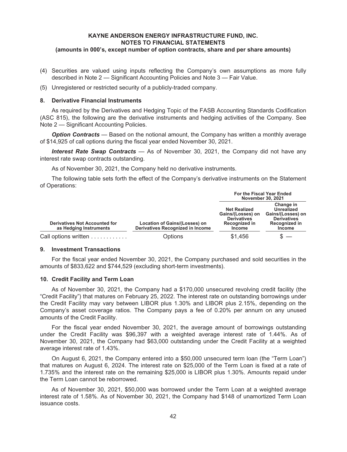- (4) Securities are valued using inputs reflecting the Company's own assumptions as more fully described in Note 2 — Significant Accounting Policies and Note 3 — Fair Value.
- (5) Unregistered or restricted security of a publicly-traded company.

#### **8. Derivative Financial Instruments**

As required by the Derivatives and Hedging Topic of the FASB Accounting Standards Codification (ASC 815), the following are the derivative instruments and hedging activities of the Company. See Note 2 — Significant Accounting Policies.

*Option Contracts* — Based on the notional amount, the Company has written a monthly average of \$14,925 of call options during the fiscal year ended November 30, 2021.

*Interest Rate Swap Contracts* — As of November 30, 2021, the Company did not have any interest rate swap contracts outstanding.

As of November 30, 2021, the Company held no derivative instruments.

The following table sets forth the effect of the Company's derivative instruments on the Statement of Operations:

|                                                                |                                                                   | <b>For the Fiscal Year Ended</b><br><b>November 30, 2021</b>                                     |                                                                                                             |  |
|----------------------------------------------------------------|-------------------------------------------------------------------|--------------------------------------------------------------------------------------------------|-------------------------------------------------------------------------------------------------------------|--|
| <b>Derivatives Not Accounted for</b><br>as Hedging Instruments | Location of Gains/(Losses) on<br>Derivatives Recognized in Income | <b>Net Realized</b><br>Gains/(Losses) on<br><b>Derivatives</b><br>Recognized in<br><b>Income</b> | Change in<br><b>Unrealized</b><br>Gains/(Losses) on<br><b>Derivatives</b><br>Recognized in<br><b>Income</b> |  |
| Call options written                                           | Options                                                           | \$1,456                                                                                          |                                                                                                             |  |

#### **9. Investment Transactions**

For the fiscal year ended November 30, 2021, the Company purchased and sold securities in the amounts of \$833,622 and \$744,529 (excluding short-term investments).

## **10. Credit Facility and Term Loan**

As of November 30, 2021, the Company had a \$170,000 unsecured revolving credit facility (the "Credit Facility") that matures on February 25, 2022. The interest rate on outstanding borrowings under the Credit Facility may vary between LIBOR plus 1.30% and LIBOR plus 2.15%, depending on the Company's asset coverage ratios. The Company pays a fee of 0.20% per annum on any unused amounts of the Credit Facility.

For the fiscal year ended November 30, 2021, the average amount of borrowings outstanding under the Credit Facility was \$96,397 with a weighted average interest rate of 1.44%. As of November 30, 2021, the Company had \$63,000 outstanding under the Credit Facility at a weighted average interest rate of 1.43%.

On August 6, 2021, the Company entered into a \$50,000 unsecured term loan (the "Term Loan") that matures on August 6, 2024. The interest rate on \$25,000 of the Term Loan is fixed at a rate of 1.735% and the interest rate on the remaining \$25,000 is LIBOR plus 1.30%. Amounts repaid under the Term Loan cannot be reborrowed.

As of November 30, 2021, \$50,000 was borrowed under the Term Loan at a weighted average interest rate of 1.58%. As of November 30, 2021, the Company had \$148 of unamortized Term Loan issuance costs.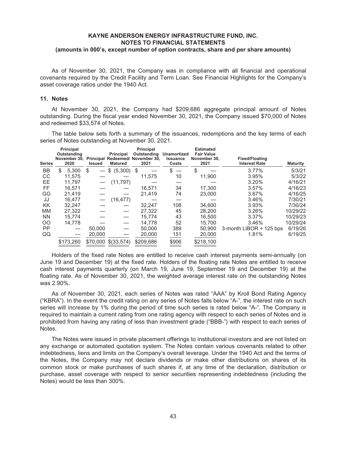As of November 30, 2021, the Company was in compliance with all financial and operational covenants required by the Credit Facility and Term Loan. See Financial Highlights for the Company's asset coverage ratios under the 1940 Act.

#### **11. Notes**

At November 30, 2021, the Company had \$209,686 aggregate principal amount of Notes outstanding. During the fiscal year ended November 30, 2021, the Company issued \$70,000 of Notes and redeemed \$33,574 of Notes.

The table below sets forth a summary of the issuances, redemptions and the key terms of each series of Notes outstanding at November 30, 2021.

| <b>Series</b> | <b>Principal</b><br>Outstanding<br>November 30,<br>2020 | <b>Issued</b> | Principal<br><b>Matured</b> | <b>Principal</b><br>Outstanding<br>Principal Redeemed/ November 30,<br>2021 | <b>Unamortized</b><br><b>Issuance</b><br>Costs | <b>Estimated</b><br><b>Fair Value</b><br>November 30,<br>2021 | <b>Fixed/Floating</b><br><b>Interest Rate</b> | <b>Maturity</b> |
|---------------|---------------------------------------------------------|---------------|-----------------------------|-----------------------------------------------------------------------------|------------------------------------------------|---------------------------------------------------------------|-----------------------------------------------|-----------------|
| BB            | \$<br>5,300                                             | S             | (5,300)<br>\$               | \$                                                                          | \$                                             | S                                                             | 3.77%                                         | 5/3/21          |
| CС            | 11.575                                                  |               |                             | 11,575                                                                      | 10                                             | 11,900                                                        | 3.95%                                         | 5/3/22          |
| EE            | 11.797                                                  |               | (11, 797)                   |                                                                             |                                                |                                                               | 3.20%                                         | 4/16/21         |
| FF            | 16.571                                                  |               |                             | 16.571                                                                      | 34                                             | 17.300                                                        | 3.57%                                         | 4/16/23         |
| GG            | 21.419                                                  |               |                             | 21,419                                                                      | 74                                             | 23,000                                                        | 3.67%                                         | 4/16/25         |
| JJ            | 16,477                                                  |               | (16, 477)                   |                                                                             |                                                |                                                               | 3.46%                                         | 7/30/21         |
| ΚK            | 32,247                                                  |               |                             | 32.247                                                                      | 108                                            | 34.600                                                        | 3.93%                                         | 7/30/24         |
| <b>MM</b>     | 27.322                                                  |               |                             | 27,322                                                                      | 45                                             | 28,200                                                        | 3.26%                                         | 10/29/22        |
| <b>NN</b>     | 15.774                                                  |               |                             | 15.774                                                                      | 43                                             | 16.500                                                        | 3.37%                                         | 10/29/23        |
| 00            | 14.778                                                  |               |                             | 14.778                                                                      | 52                                             | 15.700                                                        | 3.46%                                         | 10/29/24        |
| PP            |                                                         | 50,000        |                             | 50,000                                                                      | 389                                            | 50.900                                                        | 3-month LIBOR + 125 bps                       | 6/19/26         |
| QQ            |                                                         | 20,000        |                             | 20,000                                                                      | 151                                            | 20,000                                                        | 1.81%                                         | 6/19/25         |
|               | \$173,260                                               | \$70,000      | \$(33,574)                  | \$209,686                                                                   | \$906                                          | \$218,100                                                     |                                               |                 |

Holders of the fixed rate Notes are entitled to receive cash interest payments semi-annually (on June 19 and December 19) at the fixed rate. Holders of the floating rate Notes are entitled to receive cash interest payments quarterly (on March 19, June 19, September 19 and December 19) at the floating rate. As of November 30, 2021, the weighted average interest rate on the outstanding Notes was 2.90%.

As of November 30, 2021, each series of Notes was rated "AAA" by Kroll Bond Rating Agency ("KBRA"). In the event the credit rating on any series of Notes falls below "A-", the interest rate on such series will increase by 1% during the period of time such series is rated below "A-". The Company is required to maintain a current rating from one rating agency with respect to each series of Notes and is prohibited from having any rating of less than investment grade ("BBB-") with respect to each series of Notes.

The Notes were issued in private placement offerings to institutional investors and are not listed on any exchange or automated quotation system. The Notes contain various covenants related to other indebtedness, liens and limits on the Company's overall leverage. Under the 1940 Act and the terms of the Notes, the Company may not declare dividends or make other distributions on shares of its common stock or make purchases of such shares if, at any time of the declaration, distribution or purchase, asset coverage with respect to senior securities representing indebtedness (including the Notes) would be less than 300%.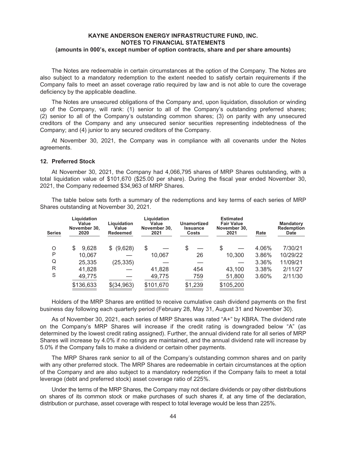The Notes are redeemable in certain circumstances at the option of the Company. The Notes are also subject to a mandatory redemption to the extent needed to satisfy certain requirements if the Company fails to meet an asset coverage ratio required by law and is not able to cure the coverage deficiency by the applicable deadline.

The Notes are unsecured obligations of the Company and, upon liquidation, dissolution or winding up of the Company, will rank: (1) senior to all of the Company's outstanding preferred shares; (2) senior to all of the Company's outstanding common shares; (3) on parity with any unsecured creditors of the Company and any unsecured senior securities representing indebtedness of the Company; and (4) junior to any secured creditors of the Company.

At November 30, 2021, the Company was in compliance with all covenants under the Notes agreements.

#### **12. Preferred Stock**

At November 30, 2021, the Company had 4,066,795 shares of MRP Shares outstanding, with a total liquidation value of \$101,670 (\$25.00 per share). During the fiscal year ended November 30, 2021, the Company redeemed \$34,963 of MRP Shares.

The table below sets forth a summary of the redemptions and key terms of each series of MRP Shares outstanding at November 30, 2021.

| <b>Series</b> | Liguidation<br>Value<br>November 30.<br>2020 | Liquidation<br>Value<br><b>Redeemed</b> | Liguidation<br>Value<br>November 30.<br>2021 | Unamortized<br><b>Issuance</b><br>Costs | <b>Estimated</b><br><b>Fair Value</b><br>November 30,<br>2021 | Rate  | <b>Mandatory</b><br><b>Redemption</b><br><b>Date</b> |
|---------------|----------------------------------------------|-----------------------------------------|----------------------------------------------|-----------------------------------------|---------------------------------------------------------------|-------|------------------------------------------------------|
| O             | 9,628<br>S                                   | (9,628)                                 | \$                                           | \$                                      | \$                                                            | 4.06% | 7/30/21                                              |
| P             | 10,067                                       |                                         | 10,067                                       | 26                                      | 10,300                                                        | 3.86% | 10/29/22                                             |
| Q             | 25,335                                       | (25, 335)                               |                                              |                                         |                                                               | 3.36% | 11/09/21                                             |
| R             | 41,828                                       |                                         | 41,828                                       | 454                                     | 43,100                                                        | 3.38% | 2/11/27                                              |
| S             | 49,775                                       |                                         | 49,775                                       | 759                                     | 51,800                                                        | 3.60% | 2/11/30                                              |
|               | \$136,633                                    | \$(34,963)                              | \$101,670                                    | \$1,239                                 | \$105,200                                                     |       |                                                      |

Holders of the MRP Shares are entitled to receive cumulative cash dividend payments on the first business day following each quarterly period (February 28, May 31, August 31 and November 30).

As of November 30, 2021, each series of MRP Shares was rated "A+" by KBRA. The dividend rate on the Company's MRP Shares will increase if the credit rating is downgraded below "A" (as determined by the lowest credit rating assigned). Further, the annual dividend rate for all series of MRP Shares will increase by 4.0% if no ratings are maintained, and the annual dividend rate will increase by 5.0% if the Company fails to make a dividend or certain other payments.

The MRP Shares rank senior to all of the Company's outstanding common shares and on parity with any other preferred stock. The MRP Shares are redeemable in certain circumstances at the option of the Company and are also subject to a mandatory redemption if the Company fails to meet a total leverage (debt and preferred stock) asset coverage ratio of 225%.

Under the terms of the MRP Shares, the Company may not declare dividends or pay other distributions on shares of its common stock or make purchases of such shares if, at any time of the declaration, distribution or purchase, asset coverage with respect to total leverage would be less than 225%.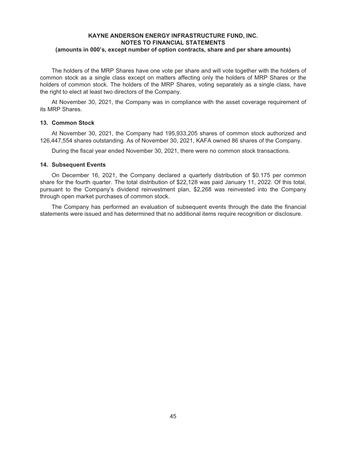The holders of the MRP Shares have one vote per share and will vote together with the holders of common stock as a single class except on matters affecting only the holders of MRP Shares or the holders of common stock. The holders of the MRP Shares, voting separately as a single class, have the right to elect at least two directors of the Company.

At November 30, 2021, the Company was in compliance with the asset coverage requirement of its MRP Shares.

#### **13. Common Stock**

At November 30, 2021, the Company had 195,933,205 shares of common stock authorized and 126,447,554 shares outstanding. As of November 30, 2021, KAFA owned 86 shares of the Company.

During the fiscal year ended November 30, 2021, there were no common stock transactions.

### **14. Subsequent Events**

On December 16, 2021, the Company declared a quarterly distribution of \$0.175 per common share for the fourth quarter. The total distribution of \$22,128 was paid January 11, 2022. Of this total, pursuant to the Company's dividend reinvestment plan, \$2,268 was reinvested into the Company through open market purchases of common stock.

The Company has performed an evaluation of subsequent events through the date the financial statements were issued and has determined that no additional items require recognition or disclosure.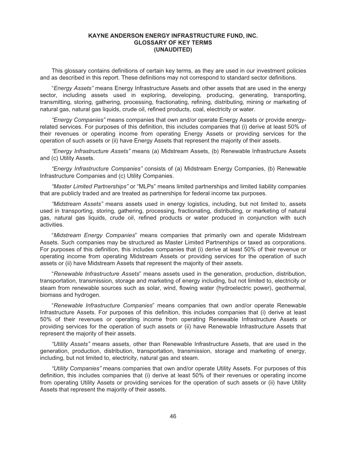## **KAYNE ANDERSON ENERGY INFRASTRUCTURE FUND, INC. GLOSSARY OF KEY TERMS (UNAUDITED)**

This glossary contains definitions of certain key terms, as they are used in our investment policies and as described in this report. These definitions may not correspond to standard sector definitions.

"*Energy Assets"* means Energy Infrastructure Assets and other assets that are used in the energy sector, including assets used in exploring, developing, producing, generating, transporting, transmitting, storing, gathering, processing, fractionating, refining, distributing, mining or marketing of natural gas, natural gas liquids, crude oil, refined products, coal, electricity or water.

*"Energy Companies"* means companies that own and/or operate Energy Assets or provide energyrelated services. For purposes of this definition, this includes companies that (i) derive at least 50% of their revenues or operating income from operating Energy Assets or providing services for the operation of such assets or (ii) have Energy Assets that represent the majority of their assets.

*"Energy Infrastructure Assets"* means (a) Midstream Assets, (b) Renewable Infrastructure Assets and (c) Utility Assets.

*"Energy Infrastructure Companies"* consists of (a) Midstream Energy Companies, (b) Renewable Infrastructure Companies and (c) Utility Companies.

*"Master Limited Partnerships"* or "MLPs" means limited partnerships and limited liability companies that are publicly traded and are treated as partnerships for federal income tax purposes.

*"Midstream Assets"* means assets used in energy logistics, including, but not limited to, assets used in transporting, storing, gathering, processing, fractionating, distributing, or marketing of natural gas, natural gas liquids, crude oil, refined products or water produced in conjunction with such activities.

"*Midstream Energy Companies*" means companies that primarily own and operate Midstream Assets. Such companies may be structured as Master Limited Partnerships or taxed as corporations. For purposes of this definition, this includes companies that (i) derive at least 50% of their revenue or operating income from operating Midstream Assets or providing services for the operation of such assets or (ii) have Midstream Assets that represent the majority of their assets.

"*Renewable Infrastructure Assets*" means assets used in the generation, production, distribution, transportation, transmission, storage and marketing of energy including, but not limited to, electricity or steam from renewable sources such as solar, wind, flowing water (hydroelectric power), geothermal, biomass and hydrogen.

"*Renewable Infrastructure Companies*" means companies that own and/or operate Renewable Infrastructure Assets. For purposes of this definition, this includes companies that (i) derive at least 50% of their revenues or operating income from operating Renewable Infrastructure Assets or providing services for the operation of such assets or (ii) have Renewable Infrastructure Assets that represent the majority of their assets.

*"Utility Assets"* means assets, other than Renewable Infrastructure Assets, that are used in the generation, production, distribution, transportation, transmission, storage and marketing of energy, including, but not limited to, electricity, natural gas and steam.

*"Utility Companies"* means companies that own and/or operate Utility Assets. For purposes of this definition, this includes companies that (i) derive at least 50% of their revenues or operating income from operating Utility Assets or providing services for the operation of such assets or (ii) have Utility Assets that represent the majority of their assets.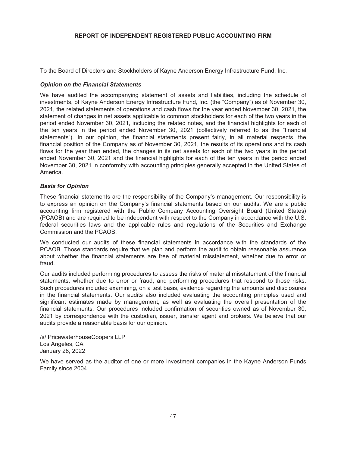# **REPORT OF INDEPENDENT REGISTERED PUBLIC ACCOUNTING FIRM**

To the Board of Directors and Stockholders of Kayne Anderson Energy Infrastructure Fund, Inc.

#### *Opinion on the Financial Statements*

We have audited the accompanying statement of assets and liabilities, including the schedule of investments, of Kayne Anderson Energy Infrastructure Fund, Inc. (the "Company") as of November 30, 2021, the related statements of operations and cash flows for the year ended November 30, 2021, the statement of changes in net assets applicable to common stockholders for each of the two years in the period ended November 30, 2021, including the related notes, and the financial highlights for each of the ten years in the period ended November 30, 2021 (collectively referred to as the "financial statements"). In our opinion, the financial statements present fairly, in all material respects, the financial position of the Company as of November 30, 2021, the results of its operations and its cash flows for the year then ended, the changes in its net assets for each of the two years in the period ended November 30, 2021 and the financial highlights for each of the ten years in the period ended November 30, 2021 in conformity with accounting principles generally accepted in the United States of America.

## *Basis for Opinion*

These financial statements are the responsibility of the Company's management. Our responsibility is to express an opinion on the Company's financial statements based on our audits. We are a public accounting firm registered with the Public Company Accounting Oversight Board (United States) (PCAOB) and are required to be independent with respect to the Company in accordance with the U.S. federal securities laws and the applicable rules and regulations of the Securities and Exchange Commission and the PCAOB.

We conducted our audits of these financial statements in accordance with the standards of the PCAOB. Those standards require that we plan and perform the audit to obtain reasonable assurance about whether the financial statements are free of material misstatement, whether due to error or fraud.

Our audits included performing procedures to assess the risks of material misstatement of the financial statements, whether due to error or fraud, and performing procedures that respond to those risks. Such procedures included examining, on a test basis, evidence regarding the amounts and disclosures in the financial statements. Our audits also included evaluating the accounting principles used and significant estimates made by management, as well as evaluating the overall presentation of the financial statements. Our procedures included confirmation of securities owned as of November 30, 2021 by correspondence with the custodian, issuer, transfer agent and brokers. We believe that our audits provide a reasonable basis for our opinion.

/s/ PricewaterhouseCoopers LLP Los Angeles, CA January 28, 2022

We have served as the auditor of one or more investment companies in the Kayne Anderson Funds Family since 2004.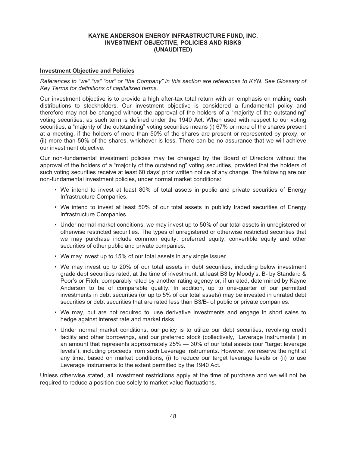## **Investment Objective and Policies**

*References to "we" "us" "our" or "the Company" in this section are references to KYN. See Glossary of Key Terms for definitions of capitalized terms.*

Our investment objective is to provide a high after-tax total return with an emphasis on making cash distributions to stockholders. Our investment objective is considered a fundamental policy and therefore may not be changed without the approval of the holders of a "majority of the outstanding" voting securities, as such term is defined under the 1940 Act. When used with respect to our voting securities, a "majority of the outstanding" voting securities means (i) 67% or more of the shares present at a meeting, if the holders of more than 50% of the shares are present or represented by proxy, or (ii) more than 50% of the shares, whichever is less. There can be no assurance that we will achieve our investment objective.

Our non-fundamental investment policies may be changed by the Board of Directors without the approval of the holders of a "majority of the outstanding" voting securities, provided that the holders of such voting securities receive at least 60 days' prior written notice of any change. The following are our non-fundamental investment policies, under normal market conditions:

- We intend to invest at least 80% of total assets in public and private securities of Energy Infrastructure Companies.
- We intend to invest at least 50% of our total assets in publicly traded securities of Energy Infrastructure Companies.
- Under normal market conditions, we may invest up to 50% of our total assets in unregistered or otherwise restricted securities. The types of unregistered or otherwise restricted securities that we may purchase include common equity, preferred equity, convertible equity and other securities of other public and private companies.
- We may invest up to 15% of our total assets in any single issuer.
- We may invest up to 20% of our total assets in debt securities, including below investment grade debt securities rated, at the time of investment, at least B3 by Moody's, B- by Standard & Poor's or Fitch, comparably rated by another rating agency or, if unrated, determined by Kayne Anderson to be of comparable quality. In addition, up to one-quarter of our permitted investments in debt securities (or up to 5% of our total assets) may be invested in unrated debt securities or debt securities that are rated less than B3/B- of public or private companies.
- We may, but are not required to, use derivative investments and engage in short sales to hedge against interest rate and market risks.
- Under normal market conditions, our policy is to utilize our debt securities, revolving credit facility and other borrowings, and our preferred stock (collectively, "Leverage Instruments") in an amount that represents approximately 25% — 30% of our total assets (our "target leverage levels"), including proceeds from such Leverage Instruments. However, we reserve the right at any time, based on market conditions, (i) to reduce our target leverage levels or (ii) to use Leverage Instruments to the extent permitted by the 1940 Act.

Unless otherwise stated, all investment restrictions apply at the time of purchase and we will not be required to reduce a position due solely to market value fluctuations.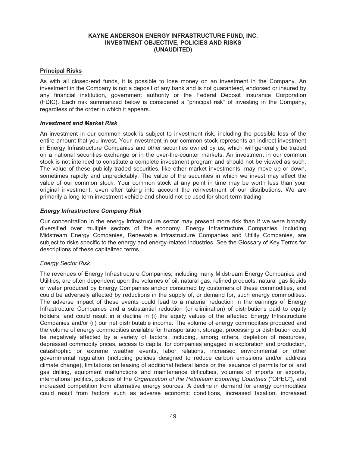## **Principal Risks**

As with all closed-end funds, it is possible to lose money on an investment in the Company. An investment in the Company is not a deposit of any bank and is not guaranteed, endorsed or insured by any financial institution, government authority or the Federal Deposit Insurance Corporation (FDIC). Each risk summarized below is considered a "principal risk" of investing in the Company, regardless of the order in which it appears.

## *Investment and Market Risk*

An investment in our common stock is subject to investment risk, including the possible loss of the entire amount that you invest. Your investment in our common stock represents an indirect investment in Energy Infrastructure Companies and other securities owned by us, which will generally be traded on a national securities exchange or in the over-the-counter markets. An investment in our common stock is not intended to constitute a complete investment program and should not be viewed as such. The value of these publicly traded securities, like other market investments, may move up or down, sometimes rapidly and unpredictably. The value of the securities in which we invest may affect the value of our common stock. Your common stock at any point in time may be worth less than your original investment, even after taking into account the reinvestment of our distributions. We are primarily a long-term investment vehicle and should not be used for short-term trading.

## *Energy Infrastructure Company Risk*

Our concentration in the energy infrastructure sector may present more risk than if we were broadly diversified over multiple sectors of the economy. Energy Infrastructure Companies, including Midstream Energy Companies, Renewable Infrastructure Companies and Utility Companies, are subject to risks specific to the energy and energy-related industries. See the Glossary of Key Terms for descriptions of these capitalized terms.

# *Energy Sector Risk*

The revenues of Energy Infrastructure Companies, including many Midstream Energy Companies and Utilities, are often dependent upon the volumes of oil, natural gas, refined products, natural gas liquids or water produced by Energy Companies and/or consumed by customers of these commodities, and could be adversely affected by reductions in the supply of, or demand for, such energy commodities. The adverse impact of these events could lead to a material reduction in the earnings of Energy Infrastructure Companies and a substantial reduction (or elimination) of distributions paid to equity holders, and could result in a decline in (i) the equity values of the affected Energy Infrastructure Companies and/or (ii) our net distributable income. The volume of energy commodities produced and the volume of energy commodities available for transportation, storage, processing or distribution could be negatively affected by a variety of factors, including, among others, depletion of resources, depressed commodity prices, access to capital for companies engaged in exploration and production, catastrophic or extreme weather events, labor relations, increased environmental or other governmental regulation (including policies designed to reduce carbon emissions and/or address climate change), limitations on leasing of additional federal lands or the issuance of permits for oil and gas drilling, equipment malfunctions and maintenance difficulties, volumes of imports or exports, international politics, policies of the *Organization of the Petroleum Exporting Countries* ("OPEC"), and increased competition from alternative energy sources. A decline in demand for energy commodities could result from factors such as adverse economic conditions, increased taxation, increased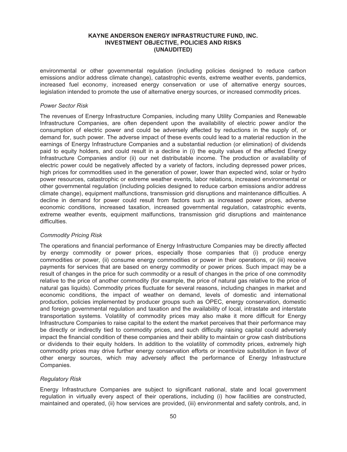environmental or other governmental regulation (including policies designed to reduce carbon emissions and/or address climate change), catastrophic events, extreme weather events, pandemics, increased fuel economy, increased energy conservation or use of alternative energy sources, legislation intended to promote the use of alternative energy sources, or increased commodity prices.

### *Power Sector Risk*

The revenues of Energy Infrastructure Companies, including many Utility Companies and Renewable Infrastructure Companies, are often dependent upon the availability of electric power and/or the consumption of electric power and could be adversely affected by reductions in the supply of, or demand for, such power. The adverse impact of these events could lead to a material reduction in the earnings of Energy Infrastructure Companies and a substantial reduction (or elimination) of dividends paid to equity holders, and could result in a decline in (i) the equity values of the affected Energy Infrastructure Companies and/or (ii) our net distributable income. The production or availability of electric power could be negatively affected by a variety of factors, including depressed power prices, high prices for commodities used in the generation of power, lower than expected wind, solar or hydro power resources, catastrophic or extreme weather events, labor relations, increased environmental or other governmental regulation (including policies designed to reduce carbon emissions and/or address climate change), equipment malfunctions, transmission grid disruptions and maintenance difficulties. A decline in demand for power could result from factors such as increased power prices, adverse economic conditions, increased taxation, increased governmental regulation, catastrophic events, extreme weather events, equipment malfunctions, transmission grid disruptions and maintenance difficulties.

## *Commodity Pricing Risk*

The operations and financial performance of Energy Infrastructure Companies may be directly affected by energy commodity or power prices, especially those companies that (i) produce energy commodities or power, (ii) consume energy commodities or power in their operations, or (iii) receive payments for services that are based on energy commodity or power prices. Such impact may be a result of changes in the price for such commodity or a result of changes in the price of one commodity relative to the price of another commodity (for example, the price of natural gas relative to the price of natural gas liquids). Commodity prices fluctuate for several reasons, including changes in market and economic conditions, the impact of weather on demand, levels of domestic and international production, policies implemented by producer groups such as OPEC, energy conservation, domestic and foreign governmental regulation and taxation and the availability of local, intrastate and interstate transportation systems. Volatility of commodity prices may also make it more difficult for Energy Infrastructure Companies to raise capital to the extent the market perceives that their performance may be directly or indirectly tied to commodity prices, and such difficulty raising capital could adversely impact the financial condition of these companies and their ability to maintain or grow cash distributions or dividends to their equity holders. In addition to the volatility of commodity prices, extremely high commodity prices may drive further energy conservation efforts or incentivize substitution in favor of other energy sources, which may adversely affect the performance of Energy Infrastructure Companies.

## *Regulatory Risk*

Energy Infrastructure Companies are subject to significant national, state and local government regulation in virtually every aspect of their operations, including (i) how facilities are constructed, maintained and operated, (ii) how services are provided, (iii) environmental and safety controls, and, in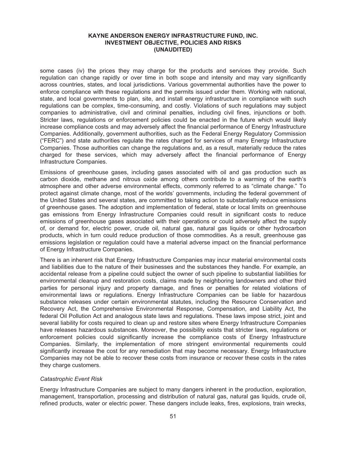some cases (iv) the prices they may charge for the products and services they provide. Such regulation can change rapidly or over time in both scope and intensity and may vary significantly across countries, states, and local jurisdictions. Various governmental authorities have the power to enforce compliance with these regulations and the permits issued under them. Working with national, state, and local governments to plan, site, and install energy infrastructure in compliance with such regulations can be complex, time-consuming, and costly. Violations of such regulations may subject companies to administrative, civil and criminal penalties, including civil fines, injunctions or both. Stricter laws, regulations or enforcement policies could be enacted in the future which would likely increase compliance costs and may adversely affect the financial performance of Energy Infrastructure Companies. Additionally, government authorities, such as the Federal Energy Regulatory Commission ("FERC") and state authorities regulate the rates charged for services of many Energy Infrastructure Companies. Those authorities can change the regulations and, as a result, materially reduce the rates charged for these services, which may adversely affect the financial performance of Energy Infrastructure Companies.

Emissions of greenhouse gases, including gases associated with oil and gas production such as carbon dioxide, methane and nitrous oxide among others contribute to a warming of the earth's atmosphere and other adverse environmental effects, commonly referred to as "climate change." To protect against climate change, most of the worlds' governments, including the federal government of the United States and several states, are committed to taking action to substantially reduce emissions of greenhouse gases. The adoption and implementation of federal, state or local limits on greenhouse gas emissions from Energy Infrastructure Companies could result in significant costs to reduce emissions of greenhouse gases associated with their operations or could adversely affect the supply of, or demand for, electric power, crude oil, natural gas, natural gas liquids or other hydrocarbon products, which in turn could reduce production of those commodities. As a result, greenhouse gas emissions legislation or regulation could have a material adverse impact on the financial performance of Energy Infrastructure Companies.

There is an inherent risk that Energy Infrastructure Companies may incur material environmental costs and liabilities due to the nature of their businesses and the substances they handle. For example, an accidental release from a pipeline could subject the owner of such pipeline to substantial liabilities for environmental cleanup and restoration costs, claims made by neighboring landowners and other third parties for personal injury and property damage, and fines or penalties for related violations of environmental laws or regulations. Energy Infrastructure Companies can be liable for hazardous substance releases under certain environmental statutes, including the Resource Conservation and Recovery Act, the Comprehensive Environmental Response, Compensation, and Liability Act, the federal Oil Pollution Act and analogous state laws and regulations. These laws impose strict, joint and several liability for costs required to clean up and restore sites where Energy Infrastructure Companies have releases hazardous substances. Moreover, the possibility exists that stricter laws, regulations or enforcement policies could significantly increase the compliance costs of Energy Infrastructure Companies. Similarly, the implementation of more stringent environmental requirements could significantly increase the cost for any remediation that may become necessary. Energy Infrastructure Companies may not be able to recover these costs from insurance or recover these costs in the rates they charge customers.

#### *Catastrophic Event Risk*

Energy Infrastructure Companies are subject to many dangers inherent in the production, exploration, management, transportation, processing and distribution of natural gas, natural gas liquids, crude oil, refined products, water or electric power. These dangers include leaks, fires, explosions, train wrecks,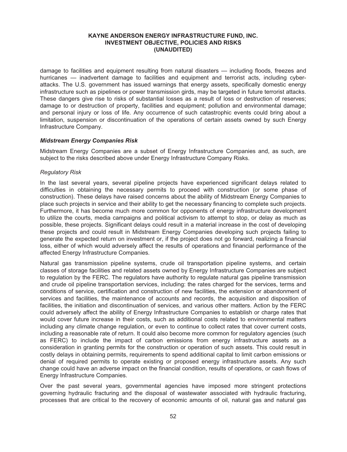damage to facilities and equipment resulting from natural disasters — including floods, freezes and hurricanes — inadvertent damage to facilities and equipment and terrorist acts, including cyberattacks. The U.S. government has issued warnings that energy assets, specifically domestic energy infrastructure such as pipelines or power transmission girds, may be targeted in future terrorist attacks. These dangers give rise to risks of substantial losses as a result of loss or destruction of reserves; damage to or destruction of property, facilities and equipment; pollution and environmental damage; and personal injury or loss of life. Any occurrence of such catastrophic events could bring about a limitation, suspension or discontinuation of the operations of certain assets owned by such Energy Infrastructure Company.

## *Midstream Energy Companies Risk*

Midstream Energy Companies are a subset of Energy Infrastructure Companies and, as such, are subject to the risks described above under Energy Infrastructure Company Risks.

#### *Regulatory Risk*

In the last several years, several pipeline projects have experienced significant delays related to difficulties in obtaining the necessary permits to proceed with construction (or some phase of construction). These delays have raised concerns about the ability of Midstream Energy Companies to place such projects in service and their ability to get the necessary financing to complete such projects. Furthermore, it has become much more common for opponents of energy infrastructure development to utilize the courts, media campaigns and political activism to attempt to stop, or delay as much as possible, these projects. Significant delays could result in a material increase in the cost of developing these projects and could result in Midstream Energy Companies developing such projects failing to generate the expected return on investment or, if the project does not go forward, realizing a financial loss, either of which would adversely affect the results of operations and financial performance of the affected Energy Infrastructure Companies.

Natural gas transmission pipeline systems, crude oil transportation pipeline systems, and certain classes of storage facilities and related assets owned by Energy Infrastructure Companies are subject to regulation by the FERC. The regulators have authority to regulate natural gas pipeline transmission and crude oil pipeline transportation services, including: the rates charged for the services, terms and conditions of service, certification and construction of new facilities, the extension or abandonment of services and facilities, the maintenance of accounts and records, the acquisition and disposition of facilities, the initiation and discontinuation of services, and various other matters. Action by the FERC could adversely affect the ability of Energy Infrastructure Companies to establish or charge rates that would cover future increase in their costs, such as additional costs related to environmental matters including any climate change regulation, or even to continue to collect rates that cover current costs, including a reasonable rate of return. It could also become more common for regulatory agencies (such as FERC) to include the impact of carbon emissions from energy infrastructure assets as a consideration in granting permits for the construction or operation of such assets. This could result in costly delays in obtaining permits, requirements to spend additional capital to limit carbon emissions or denial of required permits to operate existing or proposed energy infrastructure assets. Any such change could have an adverse impact on the financial condition, results of operations, or cash flows of Energy Infrastructure Companies.

Over the past several years, governmental agencies have imposed more stringent protections governing hydraulic fracturing and the disposal of wastewater associated with hydraulic fracturing, processes that are critical to the recovery of economic amounts of oil, natural gas and natural gas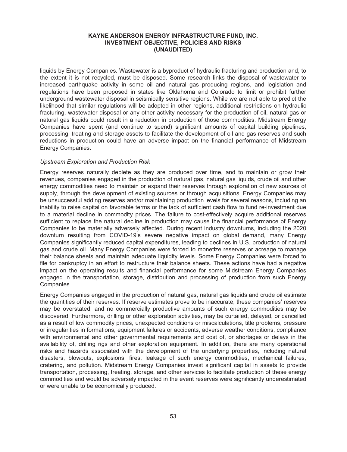liquids by Energy Companies. Wastewater is a byproduct of hydraulic fracturing and production and, to the extent it is not recycled, must be disposed. Some research links the disposal of wastewater to increased earthquake activity in some oil and natural gas producing regions, and legislation and regulations have been proposed in states like Oklahoma and Colorado to limit or prohibit further underground wastewater disposal in seismically sensitive regions. While we are not able to predict the likelihood that similar regulations will be adopted in other regions, additional restrictions on hydraulic fracturing, wastewater disposal or any other activity necessary for the production of oil, natural gas or natural gas liquids could result in a reduction in production of those commodities. Midstream Energy Companies have spent (and continue to spend) significant amounts of capital building pipelines, processing, treating and storage assets to facilitate the development of oil and gas reserves and such reductions in production could have an adverse impact on the financial performance of Midstream Energy Companies.

# *Upstream Exploration and Production Risk*

Energy reserves naturally deplete as they are produced over time, and to maintain or grow their revenues, companies engaged in the production of natural gas, natural gas liquids, crude oil and other energy commodities need to maintain or expand their reserves through exploration of new sources of supply, through the development of existing sources or through acquisitions. Energy Companies may be unsuccessful adding reserves and/or maintaining production levels for several reasons, including an inability to raise capital on favorable terms or the lack of sufficient cash flow to fund re-investment due to a material decline in commodity prices. The failure to cost-effectively acquire additional reserves sufficient to replace the natural decline in production may cause the financial performance of Energy Companies to be materially adversely affected. During recent industry downturns, including the 2020 downturn resulting from COVID-19's severe negative impact on global demand, many Energy Companies significantly reduced capital expenditures, leading to declines in U.S. production of natural gas and crude oil. Many Energy Companies were forced to monetize reserves or acreage to manage their balance sheets and maintain adequate liquidity levels. Some Energy Companies were forced to file for bankruptcy in an effort to restructure their balance sheets. These actions have had a negative impact on the operating results and financial performance for some Midstream Energy Companies engaged in the transportation, storage, distribution and processing of production from such Energy Companies.

Energy Companies engaged in the production of natural gas, natural gas liquids and crude oil estimate the quantities of their reserves. If reserve estimates prove to be inaccurate, these companies' reserves may be overstated, and no commercially productive amounts of such energy commodities may be discovered. Furthermore, drilling or other exploration activities, may be curtailed, delayed, or cancelled as a result of low commodity prices, unexpected conditions or miscalculations, title problems, pressure or irregularities in formations, equipment failures or accidents, adverse weather conditions, compliance with environmental and other governmental requirements and cost of, or shortages or delays in the availability of, drilling rigs and other exploration equipment. In addition, there are many operational risks and hazards associated with the development of the underlying properties, including natural disasters, blowouts, explosions, fires, leakage of such energy commodities, mechanical failures, cratering, and pollution. Midstream Energy Companies invest significant capital in assets to provide transportation, processing, treating, storage, and other services to facilitate production of these energy commodities and would be adversely impacted in the event reserves were significantly underestimated or were unable to be economically produced.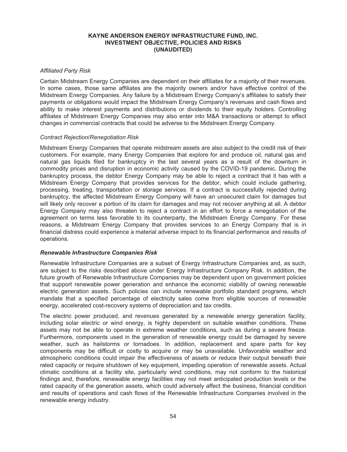## *Affiliated Party Risk*

Certain Midstream Energy Companies are dependent on their affiliates for a majority of their revenues. In some cases, those same affiliates are the majority owners and/or have effective control of the Midstream Energy Companies. Any failure by a Midstream Energy Company's affiliates to satisfy their payments or obligations would impact the Midstream Energy Company's revenues and cash flows and ability to make interest payments and distributions or dividends to their equity holders. Controlling affiliates of Midstream Energy Companies may also enter into M&A transactions or attempt to effect changes in commercial contracts that could be adverse to the Midstream Energy Company.

#### *Contract Rejection/Renegotiation Risk*

Midstream Energy Companies that operate midstream assets are also subject to the credit risk of their customers. For example, many Energy Companies that explore for and produce oil, natural gas and natural gas liquids filed for bankruptcy in the last several years as a result of the downturn in commodity prices and disruption in economic activity caused by the COVID-19 pandemic. During the bankruptcy process, the debtor Energy Company may be able to reject a contract that it has with a Midstream Energy Company that provides services for the debtor, which could include gathering, processing, treating, transportation or storage services. If a contract is successfully rejected during bankruptcy, the affected Midstream Energy Company will have an unsecured claim for damages but will likely only recover a portion of its claim for damages and may not recover anything at all. A debtor Energy Company may also threaten to reject a contract in an effort to force a renegotiation of the agreement on terms less favorable to its counterparty, the Midstream Energy Company. For these reasons, a Midstream Energy Company that provides services to an Energy Company that is in financial distress could experience a material adverse impact to its financial performance and results of operations.

## *Renewable Infrastructure Companies Risk*

Renewable Infrastructure Companies are a subset of Energy Infrastructure Companies and, as such, are subject to the risks described above under Energy Infrastructure Company Risk. In addition, the future growth of Renewable Infrastructure Companies may be dependent upon on government policies that support renewable power generation and enhance the economic viability of owning renewable electric generation assets. Such policies can include renewable portfolio standard programs, which mandate that a specified percentage of electricity sales come from eligible sources of renewable energy, accelerated cost-recovery systems of depreciation and tax credits.

The electric power produced, and revenues generated by a renewable energy generation facility, including solar electric or wind energy, is highly dependent on suitable weather conditions. These assets may not be able to operate in extreme weather conditions, such as during a severe freeze. Furthermore, components used in the generation of renewable energy could be damaged by severe weather, such as hailstorms or tornadoes. In addition, replacement and spare parts for key components may be difficult or costly to acquire or may be unavailable. Unfavorable weather and atmospheric conditions could impair the effectiveness of assets or reduce their output beneath their rated capacity or require shutdown of key equipment, impeding operation of renewable assets. Actual climatic conditions at a facility site, particularly wind conditions, may not conform to the historical findings and, therefore, renewable energy facilities may not meet anticipated production levels or the rated capacity of the generation assets, which could adversely affect the business, financial condition and results of operations and cash flows of the Renewable Infrastructure Companies involved in the renewable energy industry.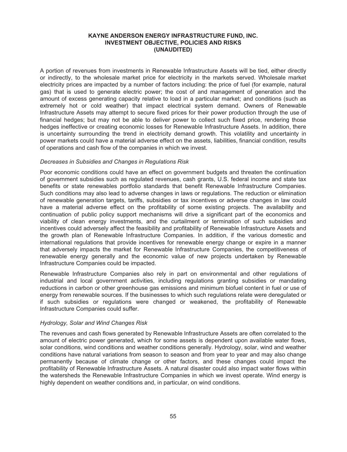A portion of revenues from investments in Renewable Infrastructure Assets will be tied, either directly or indirectly, to the wholesale market price for electricity in the markets served. Wholesale market electricity prices are impacted by a number of factors including: the price of fuel (for example, natural gas) that is used to generate electric power; the cost of and management of generation and the amount of excess generating capacity relative to load in a particular market; and conditions (such as extremely hot or cold weather) that impact electrical system demand. Owners of Renewable Infrastructure Assets may attempt to secure fixed prices for their power production through the use of financial hedges; but may not be able to deliver power to collect such fixed price, rendering those hedges ineffective or creating economic losses for Renewable Infrastructure Assets. In addition, there is uncertainty surrounding the trend in electricity demand growth. This volatility and uncertainty in power markets could have a material adverse effect on the assets, liabilities, financial condition, results of operations and cash flow of the companies in which we invest.

## *Decreases in Subsidies and Changes in Regulations Risk*

Poor economic conditions could have an effect on government budgets and threaten the continuation of government subsidies such as regulated revenues, cash grants, U.S. federal income and state tax benefits or state renewables portfolio standards that benefit Renewable Infrastructure Companies. Such conditions may also lead to adverse changes in laws or regulations. The reduction or elimination of renewable generation targets, tariffs, subsidies or tax incentives or adverse changes in law could have a material adverse effect on the profitability of some existing projects. The availability and continuation of public policy support mechanisms will drive a significant part of the economics and viability of clean energy investments, and the curtailment or termination of such subsidies and incentives could adversely affect the feasibility and profitability of Renewable Infrastructure Assets and the growth plan of Renewable Infrastructure Companies. In addition, if the various domestic and international regulations that provide incentives for renewable energy change or expire in a manner that adversely impacts the market for Renewable Infrastructure Companies, the competitiveness of renewable energy generally and the economic value of new projects undertaken by Renewable Infrastructure Companies could be impacted.

Renewable Infrastructure Companies also rely in part on environmental and other regulations of industrial and local government activities, including regulations granting subsidies or mandating reductions in carbon or other greenhouse gas emissions and minimum biofuel content in fuel or use of energy from renewable sources. If the businesses to which such regulations relate were deregulated or if such subsidies or regulations were changed or weakened, the profitability of Renewable Infrastructure Companies could suffer.

## *Hydrology, Solar and Wind Changes Risk*

The revenues and cash flows generated by Renewable Infrastructure Assets are often correlated to the amount of electric power generated, which for some assets is dependent upon available water flows, solar conditions, wind conditions and weather conditions generally. Hydrology, solar, wind and weather conditions have natural variations from season to season and from year to year and may also change permanently because of climate change or other factors, and these changes could impact the profitability of Renewable Infrastructure Assets. A natural disaster could also impact water flows within the watersheds the Renewable Infrastructure Companies in which we invest operate. Wind energy is highly dependent on weather conditions and, in particular, on wind conditions.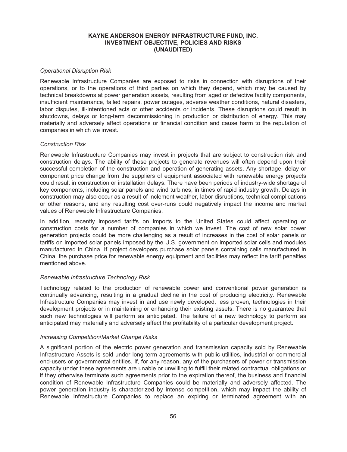## *Operational Disruption Risk*

Renewable Infrastructure Companies are exposed to risks in connection with disruptions of their operations, or to the operations of third parties on which they depend, which may be caused by technical breakdowns at power generation assets, resulting from aged or defective facility components, insufficient maintenance, failed repairs, power outages, adverse weather conditions, natural disasters, labor disputes, ill-intentioned acts or other accidents or incidents. These disruptions could result in shutdowns, delays or long-term decommissioning in production or distribution of energy. This may materially and adversely affect operations or financial condition and cause harm to the reputation of companies in which we invest.

#### *Construction Risk*

Renewable Infrastructure Companies may invest in projects that are subject to construction risk and construction delays. The ability of these projects to generate revenues will often depend upon their successful completion of the construction and operation of generating assets. Any shortage, delay or component price change from the suppliers of equipment associated with renewable energy projects could result in construction or installation delays. There have been periods of industry-wide shortage of key components, including solar panels and wind turbines, in times of rapid industry growth. Delays in construction may also occur as a result of inclement weather, labor disruptions, technical complications or other reasons, and any resulting cost over-runs could negatively impact the income and market values of Renewable Infrastructure Companies.

In addition, recently imposed tariffs on imports to the United States could affect operating or construction costs for a number of companies in which we invest. The cost of new solar power generation projects could be more challenging as a result of increases in the cost of solar panels or tariffs on imported solar panels imposed by the U.S. government on imported solar cells and modules manufactured in China. If project developers purchase solar panels containing cells manufactured in China, the purchase price for renewable energy equipment and facilities may reflect the tariff penalties mentioned above.

## *Renewable Infrastructure Technology Risk*

Technology related to the production of renewable power and conventional power generation is continually advancing, resulting in a gradual decline in the cost of producing electricity. Renewable Infrastructure Companies may invest in and use newly developed, less proven, technologies in their development projects or in maintaining or enhancing their existing assets. There is no guarantee that such new technologies will perform as anticipated. The failure of a new technology to perform as anticipated may materially and adversely affect the profitability of a particular development project.

## *Increasing Competition/Market Change Risks*

A significant portion of the electric power generation and transmission capacity sold by Renewable Infrastructure Assets is sold under long-term agreements with public utilities, industrial or commercial end-users or governmental entities. If, for any reason, any of the purchasers of power or transmission capacity under these agreements are unable or unwilling to fulfill their related contractual obligations or if they otherwise terminate such agreements prior to the expiration thereof, the business and financial condition of Renewable Infrastructure Companies could be materially and adversely affected. The power generation industry is characterized by intense competition, which may impact the ability of Renewable Infrastructure Companies to replace an expiring or terminated agreement with an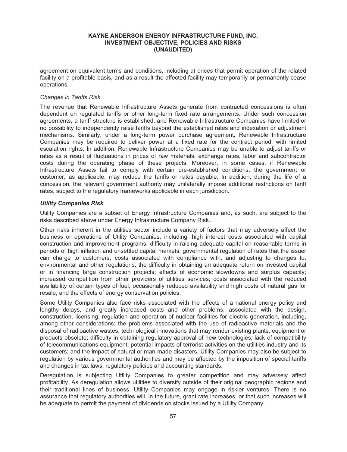agreement on equivalent terms and conditions, including at prices that permit operation of the related facility on a profitable basis, and as a result the affected facility may temporarily or permanently cease operations.

### *Changes in Tariffs Risk*

The revenue that Renewable Infrastructure Assets generate from contracted concessions is often dependent on regulated tariffs or other long-term fixed rate arrangements. Under such concession agreements, a tariff structure is established, and Renewable Infrastructure Companies have limited or no possibility to independently raise tariffs beyond the established rates and indexation or adjustment mechanisms. Similarly, under a long-term power purchase agreement, Renewable Infrastructure Companies may be required to deliver power at a fixed rate for the contract period, with limited escalation rights. In addition, Renewable Infrastructure Companies may be unable to adjust tariffs or rates as a result of fluctuations in prices of raw materials, exchange rates, labor and subcontractor costs during the operating phase of these projects. Moreover, in some cases, if Renewable Infrastructure Assets fail to comply with certain pre-established conditions, the government or customer, as applicable, may reduce the tariffs or rates payable. In addition, during the life of a concession, the relevant government authority may unilaterally impose additional restrictions on tariff rates, subject to the regulatory frameworks applicable in each jurisdiction.

#### *Utility Companies Risk*

Utility Companies are a subset of Energy Infrastructure Companies and, as such, are subject to the risks described above under Energy Infrastructure Company Risk.

Other risks inherent in the utilities sector include a variety of factors that may adversely affect the business or operations of Utility Companies, including: high interest costs associated with capital construction and improvement programs; difficulty in raising adequate capital on reasonable terms in periods of high inflation and unsettled capital markets; governmental regulation of rates that the issuer can charge to customers; costs associated with compliance with, and adjusting to changes to, environmental and other regulations; the difficulty in obtaining an adequate return on invested capital or in financing large construction projects; effects of economic slowdowns and surplus capacity; increased competition from other providers of utilities services; costs associated with the reduced availability of certain types of fuel, occasionally reduced availability and high costs of natural gas for resale, and the effects of energy conservation policies.

Some Utility Companies also face risks associated with the effects of a national energy policy and lengthy delays, and greatly increased costs and other problems, associated with the design, construction, licensing, regulation and operation of nuclear facilities for electric generation, including, among other considerations: the problems associated with the use of radioactive materials and the disposal of radioactive wastes; technological innovations that may render existing plants, equipment or products obsolete; difficulty in obtaining regulatory approval of new technologies; lack of compatibility of telecommunications equipment; potential impacts of terrorist activities on the utilities industry and its customers; and the impact of natural or man-made disasters. Utility Companies may also be subject to regulation by various governmental authorities and may be affected by the imposition of special tariffs and changes in tax laws, regulatory policies and accounting standards.

Deregulation is subjecting Utility Companies to greater competition and may adversely affect profitability. As deregulation allows utilities to diversify outside of their original geographic regions and their traditional lines of business, Utility Companies may engage in riskier ventures. There is no assurance that regulatory authorities will, in the future, grant rate increases, or that such increases will be adequate to permit the payment of dividends on stocks issued by a Utility Company.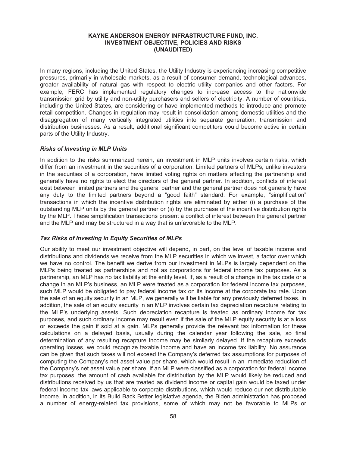In many regions, including the United States, the Utility Industry is experiencing increasing competitive pressures, primarily in wholesale markets, as a result of consumer demand, technological advances, greater availability of natural gas with respect to electric utility companies and other factors. For example, FERC has implemented regulatory changes to increase access to the nationwide transmission grid by utility and non-utility purchasers and sellers of electricity. A number of countries, including the United States, are considering or have implemented methods to introduce and promote retail competition. Changes in regulation may result in consolidation among domestic utilities and the disaggregation of many vertically integrated utilities into separate generation, transmission and distribution businesses. As a result, additional significant competitors could become active in certain parts of the Utility Industry.

#### *Risks of Investing in MLP Units*

In addition to the risks summarized herein, an investment in MLP units involves certain risks, which differ from an investment in the securities of a corporation. Limited partners of MLPs, unlike investors in the securities of a corporation, have limited voting rights on matters affecting the partnership and generally have no rights to elect the directors of the general partner. In addition, conflicts of interest exist between limited partners and the general partner and the general partner does not generally have any duty to the limited partners beyond a "good faith" standard. For example, "simplification" transactions in which the incentive distribution rights are eliminated by either (i) a purchase of the outstanding MLP units by the general partner or (ii) by the purchase of the incentive distribution rights by the MLP. These simplification transactions present a conflict of interest between the general partner and the MLP and may be structured in a way that is unfavorable to the MLP.

#### *Tax Risks of Investing in Equity Securities of MLPs*

Our ability to meet our investment objective will depend, in part, on the level of taxable income and distributions and dividends we receive from the MLP securities in which we invest, a factor over which we have no control. The benefit we derive from our investment in MLPs is largely dependent on the MLPs being treated as partnerships and not as corporations for federal income tax purposes. As a partnership, an MLP has no tax liability at the entity level. If, as a result of a change in the tax code or a change in an MLP's business, an MLP were treated as a corporation for federal income tax purposes, such MLP would be obligated to pay federal income tax on its income at the corporate tax rate. Upon the sale of an equity security in an MLP, we generally will be liable for any previously deferred taxes. In addition, the sale of an equity security in an MLP involves certain tax depreciation recapture relating to the MLP's underlying assets. Such depreciation recapture is treated as ordinary income for tax purposes, and such ordinary income may result even if the sale of the MLP equity security is at a loss or exceeds the gain if sold at a gain. MLPs generally provide the relevant tax information for these calculations on a delayed basis, usually during the calendar year following the sale, so final determination of any resulting recapture income may be similarly delayed. If the recapture exceeds operating losses, we could recognize taxable income and have an income tax liability. No assurance can be given that such taxes will not exceed the Company's deferred tax assumptions for purposes of computing the Company's net asset value per share, which would result in an immediate reduction of the Company's net asset value per share. If an MLP were classified as a corporation for federal income tax purposes, the amount of cash available for distribution by the MLP would likely be reduced and distributions received by us that are treated as dividend income or capital gain would be taxed under federal income tax laws applicable to corporate distributions, which would reduce our net distributable income. In addition, in its Build Back Better legislative agenda, the Biden administration has proposed a number of energy-related tax provisions, some of which may not be favorable to MLPs or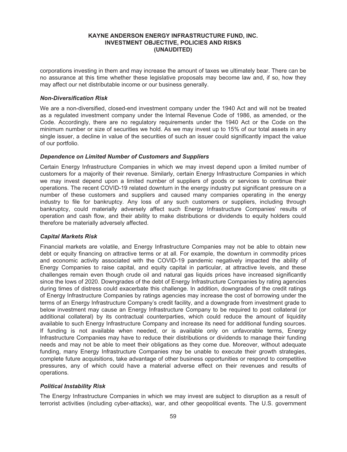corporations investing in them and may increase the amount of taxes we ultimately bear. There can be no assurance at this time whether these legislative proposals may become law and, if so, how they may affect our net distributable income or our business generally.

## *Non-Diversification Risk*

We are a non-diversified, closed-end investment company under the 1940 Act and will not be treated as a regulated investment company under the Internal Revenue Code of 1986, as amended, or the Code. Accordingly, there are no regulatory requirements under the 1940 Act or the Code on the minimum number or size of securities we hold. As we may invest up to 15% of our total assets in any single issuer, a decline in value of the securities of such an issuer could significantly impact the value of our portfolio.

### *Dependence on Limited Number of Customers and Suppliers*

Certain Energy Infrastructure Companies in which we may invest depend upon a limited number of customers for a majority of their revenue. Similarly, certain Energy Infrastructure Companies in which we may invest depend upon a limited number of suppliers of goods or services to continue their operations. The recent COVID-19 related downturn in the energy industry put significant pressure on a number of these customers and suppliers and caused many companies operating in the energy industry to file for bankruptcy. Any loss of any such customers or suppliers, including through bankruptcy, could materially adversely affect such Energy Infrastructure Companies' results of operation and cash flow, and their ability to make distributions or dividends to equity holders could therefore be materially adversely affected.

## *Capital Markets Risk*

Financial markets are volatile, and Energy Infrastructure Companies may not be able to obtain new debt or equity financing on attractive terms or at all. For example, the downturn in commodity prices and economic activity associated with the COVID-19 pandemic negatively impacted the ability of Energy Companies to raise capital, and equity capital in particular, at attractive levels, and these challenges remain even though crude oil and natural gas liquids prices have increased significantly since the lows of 2020. Downgrades of the debt of Energy Infrastructure Companies by rating agencies during times of distress could exacerbate this challenge. In addition, downgrades of the credit ratings of Energy Infrastructure Companies by ratings agencies may increase the cost of borrowing under the terms of an Energy Infrastructure Company's credit facility, and a downgrade from investment grade to below investment may cause an Energy Infrastructure Company to be required to post collateral (or additional collateral) by its contractual counterparties, which could reduce the amount of liquidity available to such Energy Infrastructure Company and increase its need for additional funding sources. If funding is not available when needed, or is available only on unfavorable terms, Energy Infrastructure Companies may have to reduce their distributions or dividends to manage their funding needs and may not be able to meet their obligations as they come due. Moreover, without adequate funding, many Energy Infrastructure Companies may be unable to execute their growth strategies, complete future acquisitions, take advantage of other business opportunities or respond to competitive pressures, any of which could have a material adverse effect on their revenues and results of operations.

## *Political Instability Risk*

The Energy Infrastructure Companies in which we may invest are subject to disruption as a result of terrorist activities (including cyber-attacks), war, and other geopolitical events. The U.S. government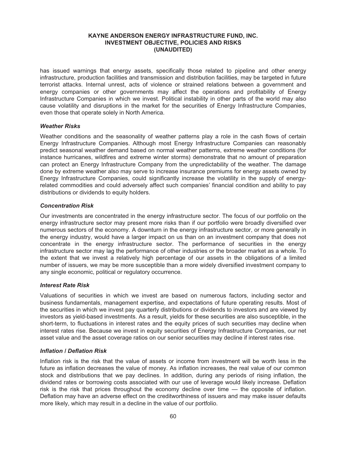has issued warnings that energy assets, specifically those related to pipeline and other energy infrastructure, production facilities and transmission and distribution facilities, may be targeted in future terrorist attacks. Internal unrest, acts of violence or strained relations between a government and energy companies or other governments may affect the operations and profitability of Energy Infrastructure Companies in which we invest. Political instability in other parts of the world may also cause volatility and disruptions in the market for the securities of Energy Infrastructure Companies, even those that operate solely in North America.

## *Weather Risks*

Weather conditions and the seasonality of weather patterns play a role in the cash flows of certain Energy Infrastructure Companies. Although most Energy Infrastructure Companies can reasonably predict seasonal weather demand based on normal weather patterns, extreme weather conditions (for instance hurricanes, wildfires and extreme winter storms) demonstrate that no amount of preparation can protect an Energy Infrastructure Company from the unpredictability of the weather. The damage done by extreme weather also may serve to increase insurance premiums for energy assets owned by Energy Infrastructure Companies, could significantly increase the volatility in the supply of energyrelated commodities and could adversely affect such companies' financial condition and ability to pay distributions or dividends to equity holders.

### *Concentration Risk*

Our investments are concentrated in the energy infrastructure sector. The focus of our portfolio on the energy infrastructure sector may present more risks than if our portfolio were broadly diversified over numerous sectors of the economy. A downturn in the energy infrastructure sector, or more generally in the energy industry, would have a larger impact on us than on an investment company that does not concentrate in the energy infrastructure sector. The performance of securities in the energy infrastructure sector may lag the performance of other industries or the broader market as a whole. To the extent that we invest a relatively high percentage of our assets in the obligations of a limited number of issuers, we may be more susceptible than a more widely diversified investment company to any single economic, political or regulatory occurrence.

#### *Interest Rate Risk*

Valuations of securities in which we invest are based on numerous factors, including sector and business fundamentals, management expertise, and expectations of future operating results. Most of the securities in which we invest pay quarterly distributions or dividends to investors and are viewed by investors as yield-based investments. As a result, yields for these securities are also susceptible, in the short-term, to fluctuations in interest rates and the equity prices of such securities may decline when interest rates rise. Because we invest in equity securities of Energy Infrastructure Companies, our net asset value and the asset coverage ratios on our senior securities may decline if interest rates rise.

## *Inflation / Deflation Risk*

Inflation risk is the risk that the value of assets or income from investment will be worth less in the future as inflation decreases the value of money. As inflation increases, the real value of our common stock and distributions that we pay declines. In addition, during any periods of rising inflation, the dividend rates or borrowing costs associated with our use of leverage would likely increase. Deflation risk is the risk that prices throughout the economy decline over time — the opposite of inflation. Deflation may have an adverse effect on the creditworthiness of issuers and may make issuer defaults more likely, which may result in a decline in the value of our portfolio.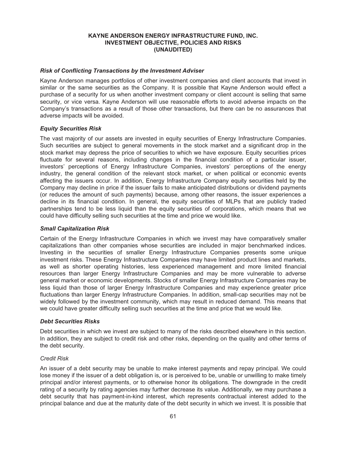## *Risk of Conflicting Transactions by the Investment Adviser*

Kayne Anderson manages portfolios of other investment companies and client accounts that invest in similar or the same securities as the Company. It is possible that Kayne Anderson would effect a purchase of a security for us when another investment company or client account is selling that same security, or vice versa. Kayne Anderson will use reasonable efforts to avoid adverse impacts on the Company's transactions as a result of those other transactions, but there can be no assurances that adverse impacts will be avoided.

#### *Equity Securities Risk*

The vast majority of our assets are invested in equity securities of Energy Infrastructure Companies. Such securities are subject to general movements in the stock market and a significant drop in the stock market may depress the price of securities to which we have exposure. Equity securities prices fluctuate for several reasons, including changes in the financial condition of a particular issuer, investors' perceptions of Energy Infrastructure Companies, investors' perceptions of the energy industry, the general condition of the relevant stock market, or when political or economic events affecting the issuers occur. In addition, Energy Infrastructure Company equity securities held by the Company may decline in price if the issuer fails to make anticipated distributions or dividend payments (or reduces the amount of such payments) because, among other reasons, the issuer experiences a decline in its financial condition. In general, the equity securities of MLPs that are publicly traded partnerships tend to be less liquid than the equity securities of corporations, which means that we could have difficulty selling such securities at the time and price we would like.

#### *Small Capitalization Risk*

Certain of the Energy Infrastructure Companies in which we invest may have comparatively smaller capitalizations than other companies whose securities are included in major benchmarked indices. Investing in the securities of smaller Energy Infrastructure Companies presents some unique investment risks. These Energy Infrastructure Companies may have limited product lines and markets, as well as shorter operating histories, less experienced management and more limited financial resources than larger Energy Infrastructure Companies and may be more vulnerable to adverse general market or economic developments. Stocks of smaller Energy Infrastructure Companies may be less liquid than those of larger Energy Infrastructure Companies and may experience greater price fluctuations than larger Energy Infrastructure Companies. In addition, small-cap securities may not be widely followed by the investment community, which may result in reduced demand. This means that we could have greater difficulty selling such securities at the time and price that we would like.

## *Debt Securities Risks*

Debt securities in which we invest are subject to many of the risks described elsewhere in this section. In addition, they are subject to credit risk and other risks, depending on the quality and other terms of the debt security.

#### *Credit Risk*

An issuer of a debt security may be unable to make interest payments and repay principal. We could lose money if the issuer of a debt obligation is, or is perceived to be, unable or unwilling to make timely principal and/or interest payments, or to otherwise honor its obligations. The downgrade in the credit rating of a security by rating agencies may further decrease its value. Additionally, we may purchase a debt security that has payment-in-kind interest, which represents contractual interest added to the principal balance and due at the maturity date of the debt security in which we invest. It is possible that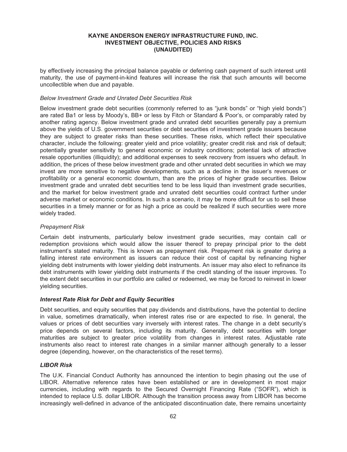by effectively increasing the principal balance payable or deferring cash payment of such interest until maturity, the use of payment-in-kind features will increase the risk that such amounts will become uncollectible when due and payable.

## *Below Investment Grade and Unrated Debt Securities Risk*

Below investment grade debt securities (commonly referred to as "junk bonds" or "high yield bonds") are rated Ba1 or less by Moody's, BB+ or less by Fitch or Standard & Poor's, or comparably rated by another rating agency. Below investment grade and unrated debt securities generally pay a premium above the yields of U.S. government securities or debt securities of investment grade issuers because they are subject to greater risks than these securities. These risks, which reflect their speculative character, include the following: greater yield and price volatility; greater credit risk and risk of default; potentially greater sensitivity to general economic or industry conditions; potential lack of attractive resale opportunities (illiquidity); and additional expenses to seek recovery from issuers who default. In addition, the prices of these below investment grade and other unrated debt securities in which we may invest are more sensitive to negative developments, such as a decline in the issuer's revenues or profitability or a general economic downturn, than are the prices of higher grade securities. Below investment grade and unrated debt securities tend to be less liquid than investment grade securities, and the market for below investment grade and unrated debt securities could contract further under adverse market or economic conditions. In such a scenario, it may be more difficult for us to sell these securities in a timely manner or for as high a price as could be realized if such securities were more widely traded.

## *Prepayment Risk*

Certain debt instruments, particularly below investment grade securities, may contain call or redemption provisions which would allow the issuer thereof to prepay principal prior to the debt instrument's stated maturity. This is known as prepayment risk. Prepayment risk is greater during a falling interest rate environment as issuers can reduce their cost of capital by refinancing higher yielding debt instruments with lower yielding debt instruments. An issuer may also elect to refinance its debt instruments with lower yielding debt instruments if the credit standing of the issuer improves. To the extent debt securities in our portfolio are called or redeemed, we may be forced to reinvest in lower yielding securities.

## *Interest Rate Risk for Debt and Equity Securities*

Debt securities, and equity securities that pay dividends and distributions, have the potential to decline in value, sometimes dramatically, when interest rates rise or are expected to rise. In general, the values or prices of debt securities vary inversely with interest rates. The change in a debt security's price depends on several factors, including its maturity. Generally, debt securities with longer maturities are subject to greater price volatility from changes in interest rates. Adjustable rate instruments also react to interest rate changes in a similar manner although generally to a lesser degree (depending, however, on the characteristics of the reset terms).

# *LIBOR Risk*

The U.K. Financial Conduct Authority has announced the intention to begin phasing out the use of LIBOR. Alternative reference rates have been established or are in development in most major currencies, including with regards to the Secured Overnight Financing Rate ("SOFR"), which is intended to replace U.S. dollar LIBOR. Although the transition process away from LIBOR has become increasingly well-defined in advance of the anticipated discontinuation date, there remains uncertainty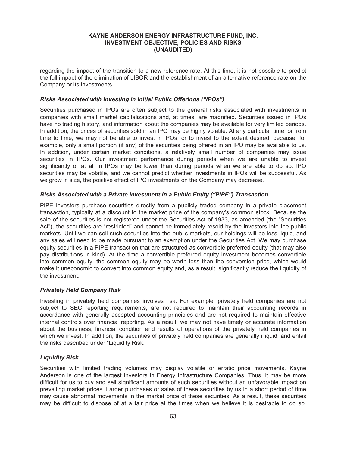regarding the impact of the transition to a new reference rate. At this time, it is not possible to predict the full impact of the elimination of LIBOR and the establishment of an alternative reference rate on the Company or its investments.

## *Risks Associated with Investing in Initial Public Offerings ("IPOs")*

Securities purchased in IPOs are often subject to the general risks associated with investments in companies with small market capitalizations and, at times, are magnified. Securities issued in IPOs have no trading history, and information about the companies may be available for very limited periods. In addition, the prices of securities sold in an IPO may be highly volatile. At any particular time, or from time to time, we may not be able to invest in IPOs, or to invest to the extent desired, because, for example, only a small portion (if any) of the securities being offered in an IPO may be available to us. In addition, under certain market conditions, a relatively small number of companies may issue securities in IPOs. Our investment performance during periods when we are unable to invest significantly or at all in IPOs may be lower than during periods when we are able to do so. IPO securities may be volatile, and we cannot predict whether investments in IPOs will be successful. As we grow in size, the positive effect of IPO investments on the Company may decrease.

## *Risks Associated with a Private Investment in a Public Entity ("PIPE") Transaction*

PIPE investors purchase securities directly from a publicly traded company in a private placement transaction, typically at a discount to the market price of the company's common stock. Because the sale of the securities is not registered under the Securities Act of 1933, as amended (the "Securities Act"), the securities are "restricted" and cannot be immediately resold by the investors into the public markets. Until we can sell such securities into the public markets, our holdings will be less liquid, and any sales will need to be made pursuant to an exemption under the Securities Act. We may purchase equity securities in a PIPE transaction that are structured as convertible preferred equity (that may also pay distributions in kind). At the time a convertible preferred equity investment becomes convertible into common equity, the common equity may be worth less than the conversion price, which would make it uneconomic to convert into common equity and, as a result, significantly reduce the liquidity of the investment.

## *Privately Held Company Risk*

Investing in privately held companies involves risk. For example, privately held companies are not subject to SEC reporting requirements, are not required to maintain their accounting records in accordance with generally accepted accounting principles and are not required to maintain effective internal controls over financial reporting. As a result, we may not have timely or accurate information about the business, financial condition and results of operations of the privately held companies in which we invest. In addition, the securities of privately held companies are generally illiquid, and entail the risks described under "Liquidity Risk."

## *Liquidity Risk*

Securities with limited trading volumes may display volatile or erratic price movements. Kayne Anderson is one of the largest investors in Energy Infrastructure Companies. Thus, it may be more difficult for us to buy and sell significant amounts of such securities without an unfavorable impact on prevailing market prices. Larger purchases or sales of these securities by us in a short period of time may cause abnormal movements in the market price of these securities. As a result, these securities may be difficult to dispose of at a fair price at the times when we believe it is desirable to do so.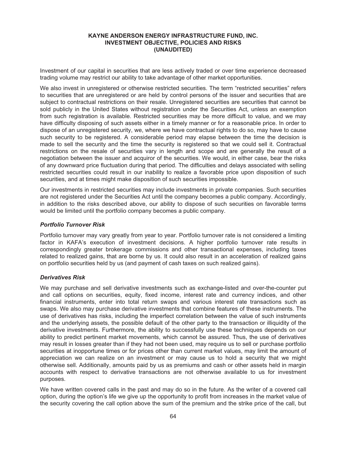Investment of our capital in securities that are less actively traded or over time experience decreased trading volume may restrict our ability to take advantage of other market opportunities.

We also invest in unregistered or otherwise restricted securities. The term "restricted securities" refers to securities that are unregistered or are held by control persons of the issuer and securities that are subject to contractual restrictions on their resale. Unregistered securities are securities that cannot be sold publicly in the United States without registration under the Securities Act, unless an exemption from such registration is available. Restricted securities may be more difficult to value, and we may have difficulty disposing of such assets either in a timely manner or for a reasonable price. In order to dispose of an unregistered security, we, where we have contractual rights to do so, may have to cause such security to be registered. A considerable period may elapse between the time the decision is made to sell the security and the time the security is registered so that we could sell it. Contractual restrictions on the resale of securities vary in length and scope and are generally the result of a negotiation between the issuer and acquiror of the securities. We would, in either case, bear the risks of any downward price fluctuation during that period. The difficulties and delays associated with selling restricted securities could result in our inability to realize a favorable price upon disposition of such securities, and at times might make disposition of such securities impossible.

Our investments in restricted securities may include investments in private companies. Such securities are not registered under the Securities Act until the company becomes a public company. Accordingly, in addition to the risks described above, our ability to dispose of such securities on favorable terms would be limited until the portfolio company becomes a public company.

## *Portfolio Turnover Risk*

Portfolio turnover may vary greatly from year to year. Portfolio turnover rate is not considered a limiting factor in KAFA's execution of investment decisions. A higher portfolio turnover rate results in correspondingly greater brokerage commissions and other transactional expenses, including taxes related to realized gains, that are borne by us. It could also result in an acceleration of realized gains on portfolio securities held by us (and payment of cash taxes on such realized gains).

## *Derivatives Risk*

We may purchase and sell derivative investments such as exchange-listed and over-the-counter put and call options on securities, equity, fixed income, interest rate and currency indices, and other financial instruments, enter into total return swaps and various interest rate transactions such as swaps. We also may purchase derivative investments that combine features of these instruments. The use of derivatives has risks, including the imperfect correlation between the value of such instruments and the underlying assets, the possible default of the other party to the transaction or illiquidity of the derivative investments. Furthermore, the ability to successfully use these techniques depends on our ability to predict pertinent market movements, which cannot be assured. Thus, the use of derivatives may result in losses greater than if they had not been used, may require us to sell or purchase portfolio securities at inopportune times or for prices other than current market values, may limit the amount of appreciation we can realize on an investment or may cause us to hold a security that we might otherwise sell. Additionally, amounts paid by us as premiums and cash or other assets held in margin accounts with respect to derivative transactions are not otherwise available to us for investment purposes.

We have written covered calls in the past and may do so in the future. As the writer of a covered call option, during the option's life we give up the opportunity to profit from increases in the market value of the security covering the call option above the sum of the premium and the strike price of the call, but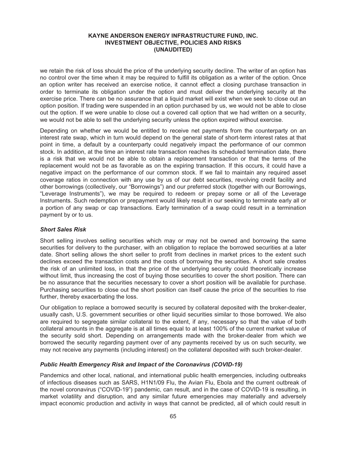we retain the risk of loss should the price of the underlying security decline. The writer of an option has no control over the time when it may be required to fulfill its obligation as a writer of the option. Once an option writer has received an exercise notice, it cannot effect a closing purchase transaction in order to terminate its obligation under the option and must deliver the underlying security at the exercise price. There can be no assurance that a liquid market will exist when we seek to close out an option position. If trading were suspended in an option purchased by us, we would not be able to close out the option. If we were unable to close out a covered call option that we had written on a security, we would not be able to sell the underlying security unless the option expired without exercise.

Depending on whether we would be entitled to receive net payments from the counterparty on an interest rate swap, which in turn would depend on the general state of short-term interest rates at that point in time, a default by a counterparty could negatively impact the performance of our common stock. In addition, at the time an interest rate transaction reaches its scheduled termination date, there is a risk that we would not be able to obtain a replacement transaction or that the terms of the replacement would not be as favorable as on the expiring transaction. If this occurs, it could have a negative impact on the performance of our common stock. If we fail to maintain any required asset coverage ratios in connection with any use by us of our debt securities, revolving credit facility and other borrowings (collectively, our "Borrowings") and our preferred stock (together with our Borrowings, "Leverage Instruments"), we may be required to redeem or prepay some or all of the Leverage Instruments. Such redemption or prepayment would likely result in our seeking to terminate early all or a portion of any swap or cap transactions. Early termination of a swap could result in a termination payment by or to us.

## *Short Sales Risk*

Short selling involves selling securities which may or may not be owned and borrowing the same securities for delivery to the purchaser, with an obligation to replace the borrowed securities at a later date. Short selling allows the short seller to profit from declines in market prices to the extent such declines exceed the transaction costs and the costs of borrowing the securities. A short sale creates the risk of an unlimited loss, in that the price of the underlying security could theoretically increase without limit, thus increasing the cost of buying those securities to cover the short position. There can be no assurance that the securities necessary to cover a short position will be available for purchase. Purchasing securities to close out the short position can itself cause the price of the securities to rise further, thereby exacerbating the loss.

Our obligation to replace a borrowed security is secured by collateral deposited with the broker-dealer, usually cash, U.S. government securities or other liquid securities similar to those borrowed. We also are required to segregate similar collateral to the extent, if any, necessary so that the value of both collateral amounts in the aggregate is at all times equal to at least 100% of the current market value of the security sold short. Depending on arrangements made with the broker-dealer from which we borrowed the security regarding payment over of any payments received by us on such security, we may not receive any payments (including interest) on the collateral deposited with such broker-dealer.

# *Public Health Emergency Risk and Impact of the Coronavirus (COVID-19)*

Pandemics and other local, national, and international public health emergencies, including outbreaks of infectious diseases such as SARS, H1N1/09 Flu, the Avian Flu, Ebola and the current outbreak of the novel coronavirus ("COVID-19") pandemic, can result, and in the case of COVID-19 is resulting, in market volatility and disruption, and any similar future emergencies may materially and adversely impact economic production and activity in ways that cannot be predicted, all of which could result in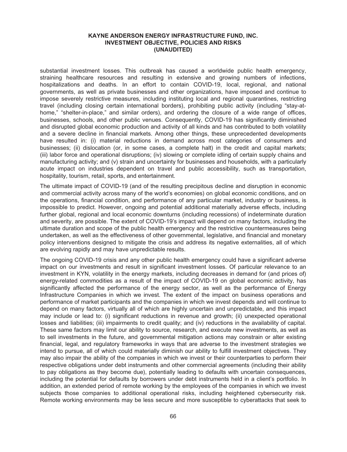substantial investment losses. This outbreak has caused a worldwide public health emergency, straining healthcare resources and resulting in extensive and growing numbers of infections, hospitalizations and deaths. In an effort to contain COVID-19, local, regional, and national governments, as well as private businesses and other organizations, have imposed and continue to impose severely restrictive measures, including instituting local and regional quarantines, restricting travel (including closing certain international borders), prohibiting public activity (including "stay-athome," "shelter-in-place," and similar orders), and ordering the closure of a wide range of offices, businesses, schools, and other public venues. Consequently, COVID-19 has significantly diminished and disrupted global economic production and activity of all kinds and has contributed to both volatility and a severe decline in financial markets. Among other things, these unprecedented developments have resulted in: (i) material reductions in demand across most categories of consumers and businesses; (ii) dislocation (or, in some cases, a complete halt) in the credit and capital markets; (iii) labor force and operational disruptions; (iv) slowing or complete idling of certain supply chains and manufacturing activity; and (v) strain and uncertainty for businesses and households, with a particularly acute impact on industries dependent on travel and public accessibility, such as transportation, hospitality, tourism, retail, sports, and entertainment.

The ultimate impact of COVID-19 (and of the resulting precipitous decline and disruption in economic and commercial activity across many of the world's economies) on global economic conditions, and on the operations, financial condition, and performance of any particular market, industry or business, is impossible to predict. However, ongoing and potential additional materially adverse effects, including further global, regional and local economic downturns (including recessions) of indeterminate duration and severity, are possible. The extent of COVID-19's impact will depend on many factors, including the ultimate duration and scope of the public health emergency and the restrictive countermeasures being undertaken, as well as the effectiveness of other governmental, legislative, and financial and monetary policy interventions designed to mitigate the crisis and address its negative externalities, all of which are evolving rapidly and may have unpredictable results.

The ongoing COVID-19 crisis and any other public health emergency could have a significant adverse impact on our investments and result in significant investment losses. Of particular relevance to an investment in KYN, volatility in the energy markets, including decreases in demand for (and prices of) energy-related commodities as a result of the impact of COVID-19 on global economic activity, has significantly affected the performance of the energy sector, as well as the performance of Energy Infrastructure Companies in which we invest. The extent of the impact on business operations and performance of market participants and the companies in which we invest depends and will continue to depend on many factors, virtually all of which are highly uncertain and unpredictable, and this impact may include or lead to: (i) significant reductions in revenue and growth; (ii) unexpected operational losses and liabilities; (iii) impairments to credit quality; and (iv) reductions in the availability of capital. These same factors may limit our ability to source, research, and execute new investments, as well as to sell investments in the future, and governmental mitigation actions may constrain or alter existing financial, legal, and regulatory frameworks in ways that are adverse to the investment strategies we intend to pursue, all of which could materially diminish our ability to fulfill investment objectives. They may also impair the ability of the companies in which we invest or their counterparties to perform their respective obligations under debt instruments and other commercial agreements (including their ability to pay obligations as they become due), potentially leading to defaults with uncertain consequences, including the potential for defaults by borrowers under debt instruments held in a client's portfolio. In addition, an extended period of remote working by the employees of the companies in which we invest subjects those companies to additional operational risks, including heightened cybersecurity risk. Remote working environments may be less secure and more susceptible to cyberattacks that seek to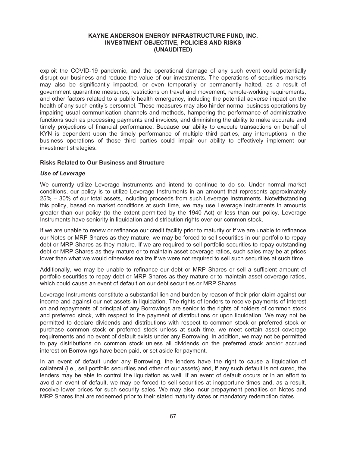exploit the COVID-19 pandemic, and the operational damage of any such event could potentially disrupt our business and reduce the value of our investments. The operations of securities markets may also be significantly impacted, or even temporarily or permanently halted, as a result of government quarantine measures, restrictions on travel and movement, remote-working requirements, and other factors related to a public health emergency, including the potential adverse impact on the health of any such entity's personnel. These measures may also hinder normal business operations by impairing usual communication channels and methods, hampering the performance of administrative functions such as processing payments and invoices, and diminishing the ability to make accurate and timely projections of financial performance. Because our ability to execute transactions on behalf of KYN is dependent upon the timely performance of multiple third parties, any interruptions in the business operations of those third parties could impair our ability to effectively implement our investment strategies.

## **Risks Related to Our Business and Structure**

### *Use of Leverage*

We currently utilize Leverage Instruments and intend to continue to do so. Under normal market conditions, our policy is to utilize Leverage Instruments in an amount that represents approximately 25% – 30% of our total assets, including proceeds from such Leverage Instruments. Notwithstanding this policy, based on market conditions at such time, we may use Leverage Instruments in amounts greater than our policy (to the extent permitted by the 1940 Act) or less than our policy. Leverage Instruments have seniority in liquidation and distribution rights over our common stock.

If we are unable to renew or refinance our credit facility prior to maturity or if we are unable to refinance our Notes or MRP Shares as they mature, we may be forced to sell securities in our portfolio to repay debt or MRP Shares as they mature. If we are required to sell portfolio securities to repay outstanding debt or MRP Shares as they mature or to maintain asset coverage ratios, such sales may be at prices lower than what we would otherwise realize if we were not required to sell such securities at such time.

Additionally, we may be unable to refinance our debt or MRP Shares or sell a sufficient amount of portfolio securities to repay debt or MRP Shares as they mature or to maintain asset coverage ratios, which could cause an event of default on our debt securities or MRP Shares.

Leverage Instruments constitute a substantial lien and burden by reason of their prior claim against our income and against our net assets in liquidation. The rights of lenders to receive payments of interest on and repayments of principal of any Borrowings are senior to the rights of holders of common stock and preferred stock, with respect to the payment of distributions or upon liquidation. We may not be permitted to declare dividends and distributions with respect to common stock or preferred stock or purchase common stock or preferred stock unless at such time, we meet certain asset coverage requirements and no event of default exists under any Borrowing. In addition, we may not be permitted to pay distributions on common stock unless all dividends on the preferred stock and/or accrued interest on Borrowings have been paid, or set aside for payment.

In an event of default under any Borrowing, the lenders have the right to cause a liquidation of collateral (i.e., sell portfolio securities and other of our assets) and, if any such default is not cured, the lenders may be able to control the liquidation as well. If an event of default occurs or in an effort to avoid an event of default, we may be forced to sell securities at inopportune times and, as a result, receive lower prices for such security sales. We may also incur prepayment penalties on Notes and MRP Shares that are redeemed prior to their stated maturity dates or mandatory redemption dates.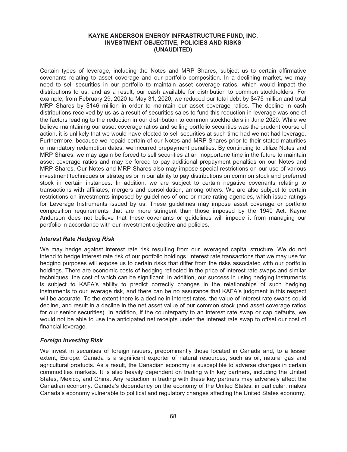Certain types of leverage, including the Notes and MRP Shares, subject us to certain affirmative covenants relating to asset coverage and our portfolio composition. In a declining market, we may need to sell securities in our portfolio to maintain asset coverage ratios, which would impact the distributions to us, and as a result, our cash available for distribution to common stockholders. For example, from February 29, 2020 to May 31, 2020, we reduced our total debt by \$475 million and total MRP Shares by \$146 million in order to maintain our asset coverage ratios. The decline in cash distributions received by us as a result of securities sales to fund this reduction in leverage was one of the factors leading to the reduction in our distribution to common stockholders in June 2020. While we believe maintaining our asset coverage ratios and selling portfolio securities was the prudent course of action, it is unlikely that we would have elected to sell securities at such time had we not had leverage. Furthermore, because we repaid certain of our Notes and MRP Shares prior to their stated maturities or mandatory redemption dates, we incurred prepayment penalties. By continuing to utilize Notes and MRP Shares, we may again be forced to sell securities at an inopportune time in the future to maintain asset coverage ratios and may be forced to pay additional prepayment penalties on our Notes and MRP Shares. Our Notes and MRP Shares also may impose special restrictions on our use of various investment techniques or strategies or in our ability to pay distributions on common stock and preferred stock in certain instances. In addition, we are subject to certain negative covenants relating to transactions with affiliates, mergers and consolidation, among others. We are also subject to certain restrictions on investments imposed by guidelines of one or more rating agencies, which issue ratings for Leverage Instruments issued by us. These guidelines may impose asset coverage or portfolio composition requirements that are more stringent than those imposed by the 1940 Act. Kayne Anderson does not believe that these covenants or guidelines will impede it from managing our portfolio in accordance with our investment objective and policies.

## *Interest Rate Hedging Risk*

We may hedge against interest rate risk resulting from our leveraged capital structure. We do not intend to hedge interest rate risk of our portfolio holdings. Interest rate transactions that we may use for hedging purposes will expose us to certain risks that differ from the risks associated with our portfolio holdings. There are economic costs of hedging reflected in the price of interest rate swaps and similar techniques, the cost of which can be significant. In addition, our success in using hedging instruments is subject to KAFA's ability to predict correctly changes in the relationships of such hedging instruments to our leverage risk, and there can be no assurance that KAFA's judgment in this respect will be accurate. To the extent there is a decline in interest rates, the value of interest rate swaps could decline, and result in a decline in the net asset value of our common stock (and asset coverage ratios for our senior securities). In addition, if the counterparty to an interest rate swap or cap defaults, we would not be able to use the anticipated net receipts under the interest rate swap to offset our cost of financial leverage.

## *Foreign Investing Risk*

We invest in securities of foreign issuers, predominantly those located in Canada and, to a lesser extent, Europe. Canada is a significant exporter of natural resources, such as oil, natural gas and agricultural products. As a result, the Canadian economy is susceptible to adverse changes in certain commodities markets. It is also heavily dependent on trading with key partners, including the United States, Mexico, and China. Any reduction in trading with these key partners may adversely affect the Canadian economy. Canada's dependency on the economy of the United States, in particular, makes Canada's economy vulnerable to political and regulatory changes affecting the United States economy.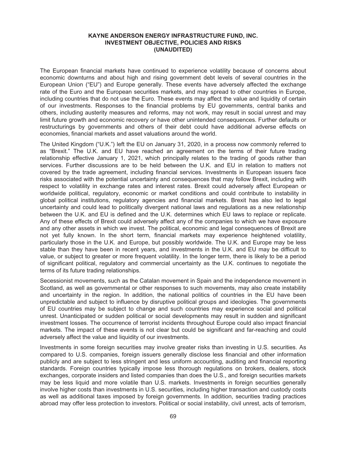The European financial markets have continued to experience volatility because of concerns about economic downturns and about high and rising government debt levels of several countries in the European Union ("EU") and Europe generally. These events have adversely affected the exchange rate of the Euro and the European securities markets, and may spread to other countries in Europe, including countries that do not use the Euro. These events may affect the value and liquidity of certain of our investments. Responses to the financial problems by EU governments, central banks and others, including austerity measures and reforms, may not work, may result in social unrest and may limit future growth and economic recovery or have other unintended consequences. Further defaults or restructurings by governments and others of their debt could have additional adverse effects on economies, financial markets and asset valuations around the world.

The United Kingdom ("U.K.") left the EU on January 31, 2020, in a process now commonly referred to as "Brexit." The U.K. and EU have reached an agreement on the terms of their future trading relationship effective January 1, 2021, which principally relates to the trading of goods rather than services. Further discussions are to be held between the U.K. and EU in relation to matters not covered by the trade agreement, including financial services. Investments in European issuers face risks associated with the potential uncertainty and consequences that may follow Brexit, including with respect to volatility in exchange rates and interest rates. Brexit could adversely affect European or worldwide political, regulatory, economic or market conditions and could contribute to instability in global political institutions, regulatory agencies and financial markets. Brexit has also led to legal uncertainty and could lead to politically divergent national laws and regulations as a new relationship between the U.K. and EU is defined and the U.K. determines which EU laws to replace or replicate. Any of these effects of Brexit could adversely affect any of the companies to which we have exposure and any other assets in which we invest. The political, economic and legal consequences of Brexit are not yet fully known. In the short term, financial markets may experience heightened volatility, particularly those in the U.K. and Europe, but possibly worldwide. The U.K. and Europe may be less stable than they have been in recent years, and investments in the U.K. and EU may be difficult to value, or subject to greater or more frequent volatility. In the longer term, there is likely to be a period of significant political, regulatory and commercial uncertainty as the U.K. continues to negotiate the terms of its future trading relationships.

Secessionist movements, such as the Catalan movement in Spain and the independence movement in Scotland, as well as governmental or other responses to such movements, may also create instability and uncertainty in the region. In addition, the national politics of countries in the EU have been unpredictable and subject to influence by disruptive political groups and ideologies. The governments of EU countries may be subject to change and such countries may experience social and political unrest. Unanticipated or sudden political or social developments may result in sudden and significant investment losses. The occurrence of terrorist incidents throughout Europe could also impact financial markets. The impact of these events is not clear but could be significant and far-reaching and could adversely affect the value and liquidity of our investments.

Investments in some foreign securities may involve greater risks than investing in U.S. securities. As compared to U.S. companies, foreign issuers generally disclose less financial and other information publicly and are subject to less stringent and less uniform accounting, auditing and financial reporting standards. Foreign countries typically impose less thorough regulations on brokers, dealers, stock exchanges, corporate insiders and listed companies than does the U.S., and foreign securities markets may be less liquid and more volatile than U.S. markets. Investments in foreign securities generally involve higher costs than investments in U.S. securities, including higher transaction and custody costs as well as additional taxes imposed by foreign governments. In addition, securities trading practices abroad may offer less protection to investors. Political or social instability, civil unrest, acts of terrorism,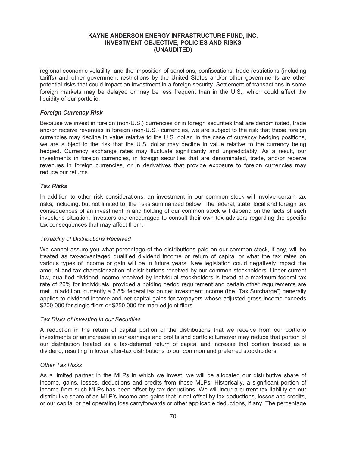regional economic volatility, and the imposition of sanctions, confiscations, trade restrictions (including tariffs) and other government restrictions by the United States and/or other governments are other potential risks that could impact an investment in a foreign security. Settlement of transactions in some foreign markets may be delayed or may be less frequent than in the U.S., which could affect the liquidity of our portfolio.

## *Foreign Currency Risk*

Because we invest in foreign (non-U.S.) currencies or in foreign securities that are denominated, trade and/or receive revenues in foreign (non-U.S.) currencies, we are subject to the risk that those foreign currencies may decline in value relative to the U.S. dollar. In the case of currency hedging positions, we are subject to the risk that the U.S. dollar may decline in value relative to the currency being hedged. Currency exchange rates may fluctuate significantly and unpredictably. As a result, our investments in foreign currencies, in foreign securities that are denominated, trade, and/or receive revenues in foreign currencies, or in derivatives that provide exposure to foreign currencies may reduce our returns.

## *Tax Risks*

In addition to other risk considerations, an investment in our common stock will involve certain tax risks, including, but not limited to, the risks summarized below. The federal, state, local and foreign tax consequences of an investment in and holding of our common stock will depend on the facts of each investor's situation. Investors are encouraged to consult their own tax advisers regarding the specific tax consequences that may affect them.

## *Taxability of Distributions Received*

We cannot assure you what percentage of the distributions paid on our common stock, if any, will be treated as tax-advantaged qualified dividend income or return of capital or what the tax rates on various types of income or gain will be in future years. New legislation could negatively impact the amount and tax characterization of distributions received by our common stockholders. Under current law, qualified dividend income received by individual stockholders is taxed at a maximum federal tax rate of 20% for individuals, provided a holding period requirement and certain other requirements are met. In addition, currently a 3.8% federal tax on net investment income (the "Tax Surcharge") generally applies to dividend income and net capital gains for taxpayers whose adjusted gross income exceeds \$200,000 for single filers or \$250,000 for married joint filers.

## *Tax Risks of Investing in our Securities*

A reduction in the return of capital portion of the distributions that we receive from our portfolio investments or an increase in our earnings and profits and portfolio turnover may reduce that portion of our distribution treated as a tax-deferred return of capital and increase that portion treated as a dividend, resulting in lower after-tax distributions to our common and preferred stockholders.

## *Other Tax Risks*

As a limited partner in the MLPs in which we invest, we will be allocated our distributive share of income, gains, losses, deductions and credits from those MLPs. Historically, a significant portion of income from such MLPs has been offset by tax deductions. We will incur a current tax liability on our distributive share of an MLP's income and gains that is not offset by tax deductions, losses and credits, or our capital or net operating loss carryforwards or other applicable deductions, if any. The percentage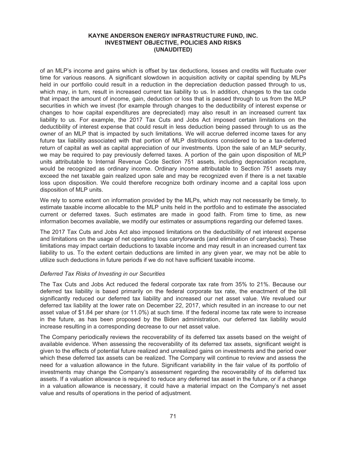of an MLP's income and gains which is offset by tax deductions, losses and credits will fluctuate over time for various reasons. A significant slowdown in acquisition activity or capital spending by MLPs held in our portfolio could result in a reduction in the depreciation deduction passed through to us, which may, in turn, result in increased current tax liability to us. In addition, changes to the tax code that impact the amount of income, gain, deduction or loss that is passed through to us from the MLP securities in which we invest (for example through changes to the deductibility of interest expense or changes to how capital expenditures are depreciated) may also result in an increased current tax liability to us. For example, the 2017 Tax Cuts and Jobs Act imposed certain limitations on the deductibility of interest expense that could result in less deduction being passed through to us as the owner of an MLP that is impacted by such limitations. We will accrue deferred income taxes for any future tax liability associated with that portion of MLP distributions considered to be a tax-deferred return of capital as well as capital appreciation of our investments. Upon the sale of an MLP security, we may be required to pay previously deferred taxes. A portion of the gain upon disposition of MLP units attributable to Internal Revenue Code Section 751 assets, including depreciation recapture, would be recognized as ordinary income. Ordinary income attributable to Section 751 assets may exceed the net taxable gain realized upon sale and may be recognized even if there is a net taxable loss upon disposition. We could therefore recognize both ordinary income and a capital loss upon disposition of MLP units.

We rely to some extent on information provided by the MLPs, which may not necessarily be timely, to estimate taxable income allocable to the MLP units held in the portfolio and to estimate the associated current or deferred taxes. Such estimates are made in good faith. From time to time, as new information becomes available, we modify our estimates or assumptions regarding our deferred taxes.

The 2017 Tax Cuts and Jobs Act also imposed limitations on the deductibility of net interest expense and limitations on the usage of net operating loss carryforwards (and elimination of carrybacks). These limitations may impact certain deductions to taxable income and may result in an increased current tax liability to us. To the extent certain deductions are limited in any given year, we may not be able to utilize such deductions in future periods if we do not have sufficient taxable income.

#### *Deferred Tax Risks of Investing in our Securities*

The Tax Cuts and Jobs Act reduced the federal corporate tax rate from 35% to 21%. Because our deferred tax liability is based primarily on the federal corporate tax rate, the enactment of the bill significantly reduced our deferred tax liability and increased our net asset value. We revalued our deferred tax liability at the lower rate on December 22, 2017, which resulted in an increase to our net asset value of \$1.84 per share (or 11.0%) at such time. If the federal income tax rate were to increase in the future, as has been proposed by the Biden administration, our deferred tax liability would increase resulting in a corresponding decrease to our net asset value.

The Company periodically reviews the recoverability of its deferred tax assets based on the weight of available evidence. When assessing the recoverability of its deferred tax assets, significant weight is given to the effects of potential future realized and unrealized gains on investments and the period over which these deferred tax assets can be realized. The Company will continue to review and assess the need for a valuation allowance in the future. Significant variability in the fair value of its portfolio of investments may change the Company's assessment regarding the recoverability of its deferred tax assets. If a valuation allowance is required to reduce any deferred tax asset in the future, or if a change in a valuation allowance is necessary, it could have a material impact on the Company's net asset value and results of operations in the period of adjustment.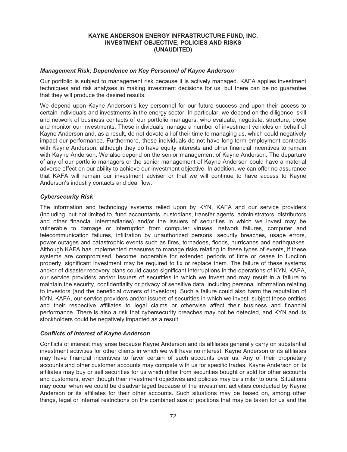#### *Management Risk; Dependence on Key Personnel of Kayne Anderson*

Our portfolio is subject to management risk because it is actively managed. KAFA applies investment techniques and risk analyses in making investment decisions for us, but there can be no guarantee that they will produce the desired results.

We depend upon Kayne Anderson's key personnel for our future success and upon their access to certain individuals and investments in the energy sector. In particular, we depend on the diligence, skill and network of business contacts of our portfolio managers, who evaluate, negotiate, structure, close and monitor our investments. These individuals manage a number of investment vehicles on behalf of Kayne Anderson and, as a result, do not devote all of their time to managing us, which could negatively impact our performance. Furthermore, these individuals do not have long-term employment contracts with Kayne Anderson, although they do have equity interests and other financial incentives to remain with Kayne Anderson. We also depend on the senior management of Kayne Anderson. The departure of any of our portfolio managers or the senior management of Kayne Anderson could have a material adverse effect on our ability to achieve our investment objective. In addition, we can offer no assurance that KAFA will remain our investment adviser or that we will continue to have access to Kayne Anderson's industry contacts and deal flow.

#### *Cybersecurity Risk*

The information and technology systems relied upon by KYN, KAFA and our service providers (including, but not limited to, fund accountants, custodians, transfer agents, administrators, distributors and other financial intermediaries) and/or the issuers of securities in which we invest may be vulnerable to damage or interruption from computer viruses, network failures, computer and telecommunication failures, infiltration by unauthorized persons, security breaches, usage errors, power outages and catastrophic events such as fires, tornadoes, floods, hurricanes and earthquakes. Although KAFA has implemented measures to manage risks relating to these types of events, if these systems are compromised, become inoperable for extended periods of time or cease to function properly, significant investment may be required to fix or replace them. The failure of these systems and/or of disaster recovery plans could cause significant interruptions in the operations of KYN, KAFA, our service providers and/or issuers of securities in which we invest and may result in a failure to maintain the security, confidentiality or privacy of sensitive data, including personal information relating to investors (and the beneficial owners of investors). Such a failure could also harm the reputation of KYN, KAFA, our service providers and/or issuers of securities in which we invest, subject these entities and their respective affiliates to legal claims or otherwise affect their business and financial performance. There is also a risk that cybersecurity breaches may not be detected, and KYN and its stockholders could be negatively impacted as a result.

#### *Conflicts of Interest of Kayne Anderson*

Conflicts of interest may arise because Kayne Anderson and its affiliates generally carry on substantial investment activities for other clients in which we will have no interest. Kayne Anderson or its affiliates may have financial incentives to favor certain of such accounts over us. Any of their proprietary accounts and other customer accounts may compete with us for specific trades. Kayne Anderson or its affiliates may buy or sell securities for us which differ from securities bought or sold for other accounts and customers, even though their investment objectives and policies may be similar to ours. Situations may occur when we could be disadvantaged because of the investment activities conducted by Kayne Anderson or its affiliates for their other accounts. Such situations may be based on, among other things, legal or internal restrictions on the combined size of positions that may be taken for us and the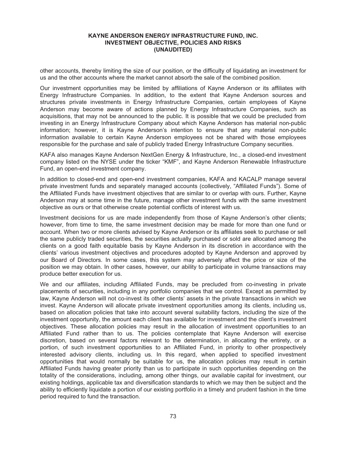other accounts, thereby limiting the size of our position, or the difficulty of liquidating an investment for us and the other accounts where the market cannot absorb the sale of the combined position.

Our investment opportunities may be limited by affiliations of Kayne Anderson or its affiliates with Energy Infrastructure Companies. In addition, to the extent that Kayne Anderson sources and structures private investments in Energy Infrastructure Companies, certain employees of Kayne Anderson may become aware of actions planned by Energy Infrastructure Companies, such as acquisitions, that may not be announced to the public. It is possible that we could be precluded from investing in an Energy Infrastructure Company about which Kayne Anderson has material non-public information; however, it is Kayne Anderson's intention to ensure that any material non-public information available to certain Kayne Anderson employees not be shared with those employees responsible for the purchase and sale of publicly traded Energy Infrastructure Company securities.

KAFA also manages Kayne Anderson NextGen Energy & Infrastructure, Inc., a closed-end investment company listed on the NYSE under the ticker "KMF", and Kayne Anderson Renewable Infrastructure Fund, an open-end investment company.

In addition to closed-end and open-end investment companies, KAFA and KACALP manage several private investment funds and separately managed accounts (collectively, "Affiliated Funds"). Some of the Affiliated Funds have investment objectives that are similar to or overlap with ours. Further, Kayne Anderson may at some time in the future, manage other investment funds with the same investment objective as ours or that otherwise create potential conflicts of interest with us.

Investment decisions for us are made independently from those of Kayne Anderson's other clients; however, from time to time, the same investment decision may be made for more than one fund or account. When two or more clients advised by Kayne Anderson or its affiliates seek to purchase or sell the same publicly traded securities, the securities actually purchased or sold are allocated among the clients on a good faith equitable basis by Kayne Anderson in its discretion in accordance with the clients' various investment objectives and procedures adopted by Kayne Anderson and approved by our Board of Directors. In some cases, this system may adversely affect the price or size of the position we may obtain. In other cases, however, our ability to participate in volume transactions may produce better execution for us.

We and our affiliates, including Affiliated Funds, may be precluded from co-investing in private placements of securities, including in any portfolio companies that we control. Except as permitted by law, Kayne Anderson will not co-invest its other clients' assets in the private transactions in which we invest. Kayne Anderson will allocate private investment opportunities among its clients, including us, based on allocation policies that take into account several suitability factors, including the size of the investment opportunity, the amount each client has available for investment and the client's investment objectives. These allocation policies may result in the allocation of investment opportunities to an Affiliated Fund rather than to us. The policies contemplate that Kayne Anderson will exercise discretion, based on several factors relevant to the determination, in allocating the entirety, or a portion, of such investment opportunities to an Affiliated Fund, in priority to other prospectively interested advisory clients, including us. In this regard, when applied to specified investment opportunities that would normally be suitable for us, the allocation policies may result in certain Affiliated Funds having greater priority than us to participate in such opportunities depending on the totality of the considerations, including, among other things, our available capital for investment, our existing holdings, applicable tax and diversification standards to which we may then be subject and the ability to efficiently liquidate a portion of our existing portfolio in a timely and prudent fashion in the time period required to fund the transaction.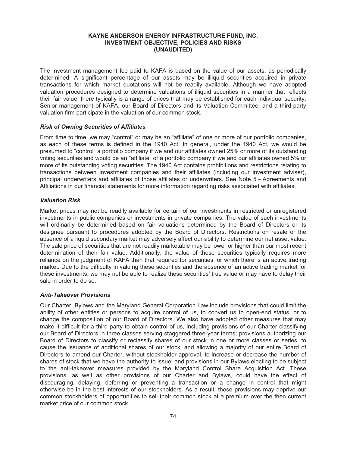The investment management fee paid to KAFA is based on the value of our assets, as periodically determined. A significant percentage of our assets may be illiquid securities acquired in private transactions for which market quotations will not be readily available. Although we have adopted valuation procedures designed to determine valuations of illiquid securities in a manner that reflects their fair value, there typically is a range of prices that may be established for each individual security. Senior management of KAFA, our Board of Directors and its Valuation Committee, and a third-party valuation firm participate in the valuation of our common stock.

#### *Risk of Owning Securities of Affiliates*

From time to time, we may "control" or may be an "affiliate" of one or more of our portfolio companies, as each of these terms is defined in the 1940 Act. In general, under the 1940 Act, we would be presumed to "control" a portfolio company if we and our affiliates owned 25% or more of its outstanding voting securities and would be an "affiliate" of a portfolio company if we and our affiliates owned 5% or more of its outstanding voting securities. The 1940 Act contains prohibitions and restrictions relating to transactions between investment companies and their affiliates (including our investment adviser), principal underwriters and affiliates of those affiliates or underwriters. See Note 5 – Agreements and Affiliations in our financial statements for more information regarding risks associated with affiliates.

#### *Valuation Risk*

Market prices may not be readily available for certain of our investments in restricted or unregistered investments in public companies or investments in private companies. The value of such investments will ordinarily be determined based on fair valuations determined by the Board of Directors or its designee pursuant to procedures adopted by the Board of Directors. Restrictions on resale or the absence of a liquid secondary market may adversely affect our ability to determine our net asset value. The sale price of securities that are not readily marketable may be lower or higher than our most recent determination of their fair value. Additionally, the value of these securities typically requires more reliance on the judgment of KAFA than that required for securities for which there is an active trading market. Due to the difficulty in valuing these securities and the absence of an active trading market for these investments, we may not be able to realize these securities' true value or may have to delay their sale in order to do so.

#### *Anti-Takeover Provisions*

Our Charter, Bylaws and the Maryland General Corporation Law include provisions that could limit the ability of other entities or persons to acquire control of us, to convert us to open-end status, or to change the composition of our Board of Directors. We also have adopted other measures that may make it difficult for a third party to obtain control of us, including provisions of our Charter classifying our Board of Directors in three classes serving staggered three-year terms; provisions authorizing our Board of Directors to classify or reclassify shares of our stock in one or more classes or series, to cause the issuance of additional shares of our stock, and allowing a majority of our entire Board of Directors to amend our Charter, without stockholder approval, to increase or decrease the number of shares of stock that we have the authority to issue; and provisions in our Bylaws electing to be subject to the anti-takeover measures provided by the Maryland Control Share Acquisition Act. These provisions, as well as other provisions of our Charter and Bylaws, could have the effect of discouraging, delaying, deferring or preventing a transaction or a change in control that might otherwise be in the best interests of our stockholders. As a result, these provisions may deprive our common stockholders of opportunities to sell their common stock at a premium over the then current market price of our common stock.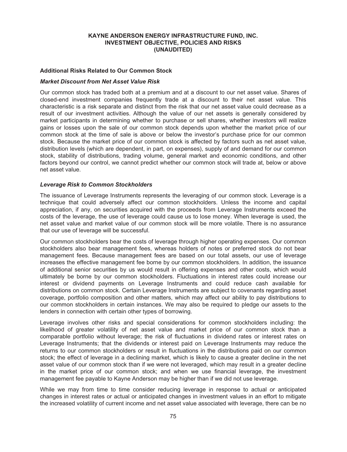#### **Additional Risks Related to Our Common Stock**

#### *Market Discount from Net Asset Value Risk*

Our common stock has traded both at a premium and at a discount to our net asset value. Shares of closed-end investment companies frequently trade at a discount to their net asset value. This characteristic is a risk separate and distinct from the risk that our net asset value could decrease as a result of our investment activities. Although the value of our net assets is generally considered by market participants in determining whether to purchase or sell shares, whether investors will realize gains or losses upon the sale of our common stock depends upon whether the market price of our common stock at the time of sale is above or below the investor's purchase price for our common stock. Because the market price of our common stock is affected by factors such as net asset value, distribution levels (which are dependent, in part, on expenses), supply of and demand for our common stock, stability of distributions, trading volume, general market and economic conditions, and other factors beyond our control, we cannot predict whether our common stock will trade at, below or above net asset value.

#### *Leverage Risk to Common Stockholders*

The issuance of Leverage Instruments represents the leveraging of our common stock. Leverage is a technique that could adversely affect our common stockholders. Unless the income and capital appreciation, if any, on securities acquired with the proceeds from Leverage Instruments exceed the costs of the leverage, the use of leverage could cause us to lose money. When leverage is used, the net asset value and market value of our common stock will be more volatile. There is no assurance that our use of leverage will be successful.

Our common stockholders bear the costs of leverage through higher operating expenses. Our common stockholders also bear management fees, whereas holders of notes or preferred stock do not bear management fees. Because management fees are based on our total assets, our use of leverage increases the effective management fee borne by our common stockholders. In addition, the issuance of additional senior securities by us would result in offering expenses and other costs, which would ultimately be borne by our common stockholders. Fluctuations in interest rates could increase our interest or dividend payments on Leverage Instruments and could reduce cash available for distributions on common stock. Certain Leverage Instruments are subject to covenants regarding asset coverage, portfolio composition and other matters, which may affect our ability to pay distributions to our common stockholders in certain instances. We may also be required to pledge our assets to the lenders in connection with certain other types of borrowing.

Leverage involves other risks and special considerations for common stockholders including: the likelihood of greater volatility of net asset value and market price of our common stock than a comparable portfolio without leverage; the risk of fluctuations in dividend rates or interest rates on Leverage Instruments; that the dividends or interest paid on Leverage Instruments may reduce the returns to our common stockholders or result in fluctuations in the distributions paid on our common stock; the effect of leverage in a declining market, which is likely to cause a greater decline in the net asset value of our common stock than if we were not leveraged, which may result in a greater decline in the market price of our common stock; and when we use financial leverage, the investment management fee payable to Kayne Anderson may be higher than if we did not use leverage.

While we may from time to time consider reducing leverage in response to actual or anticipated changes in interest rates or actual or anticipated changes in investment values in an effort to mitigate the increased volatility of current income and net asset value associated with leverage, there can be no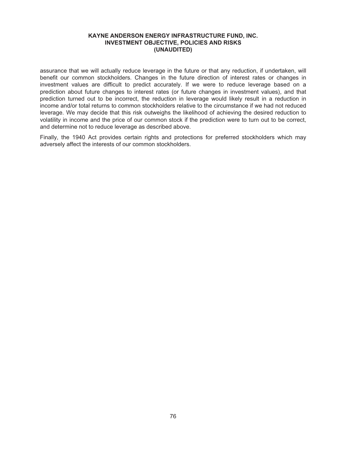assurance that we will actually reduce leverage in the future or that any reduction, if undertaken, will benefit our common stockholders. Changes in the future direction of interest rates or changes in investment values are difficult to predict accurately. If we were to reduce leverage based on a prediction about future changes to interest rates (or future changes in investment values), and that prediction turned out to be incorrect, the reduction in leverage would likely result in a reduction in income and/or total returns to common stockholders relative to the circumstance if we had not reduced leverage. We may decide that this risk outweighs the likelihood of achieving the desired reduction to volatility in income and the price of our common stock if the prediction were to turn out to be correct, and determine not to reduce leverage as described above.

Finally, the 1940 Act provides certain rights and protections for preferred stockholders which may adversely affect the interests of our common stockholders.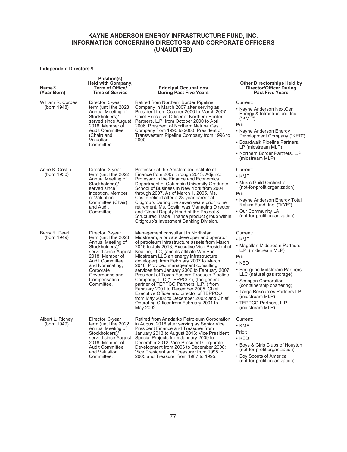#### **Independent Directors(1)**

| Name <sup>(2)</sup><br>(Year Born) | Position(s)<br>Held with Company,<br><b>Term of Office/</b><br><b>Time of Service</b>                                                                                                                                               | <b>Principal Occupations</b><br><b>During Past Five Years</b>                                                                                                                                                                                                                                                                                                                                                                                                                                                                                                                                                                                                                                                                              | <b>Other Directorships Held by</b><br><b>Director/Officer During</b><br><b>Past Five Years</b>                                                                                                                                                                                                                                     |
|------------------------------------|-------------------------------------------------------------------------------------------------------------------------------------------------------------------------------------------------------------------------------------|--------------------------------------------------------------------------------------------------------------------------------------------------------------------------------------------------------------------------------------------------------------------------------------------------------------------------------------------------------------------------------------------------------------------------------------------------------------------------------------------------------------------------------------------------------------------------------------------------------------------------------------------------------------------------------------------------------------------------------------------|------------------------------------------------------------------------------------------------------------------------------------------------------------------------------------------------------------------------------------------------------------------------------------------------------------------------------------|
| William R. Cordes<br>(born 1948)   | Director. 3-year<br>term (until the 2023<br>Annual Meeting of<br>Stockholders)/<br>served since August<br>2018. Member of<br><b>Audit Committee</b><br>(Chair) and<br>Valuation<br>Committee.                                       | Retired from Northern Border Pipeline<br>Company in March 2007 after serving as<br>President from October 2000 to March 2007.<br>Chief Executive Officer of Northern Border<br>Partners, L.P. from October 2000 to April<br>2006. President of Northern Natural Gas<br>Company from 1993 to 2000. President of<br>Transwestern Pipeline Company from 1996 to<br>2000.                                                                                                                                                                                                                                                                                                                                                                      | Current:<br>• Kayne Anderson NextGen<br>Energy & Infrastructure, Inc.<br>("KMF")<br>Prior:<br>• Kayne Anderson Energy<br>Development Company ("KED")<br>• Boardwalk Pipeline Partners,<br>LP (midstream MLP)<br>• Northern Border Partners, L.P.<br>(midstream MLP)                                                                |
| Anne K. Costin<br>(born 1950)      | Director. 3-year<br>term (until the 2022<br>Annual Meeting of<br>Stockholders)/<br>served since<br>inception. Member<br>of Valuation<br>Committee (Chair)<br>and Audit<br>Committee.                                                | Professor at the Amsterdam Institute of<br>Finance from 2007 through 2013. Adjunct<br>Professor in the Finance and Economics<br>Department of Columbia University Graduate<br>School of Business in New York from 2004<br>through 2007. As of March 1, 2005, Ms.<br>Costin retired after a 28-year career at<br>Citigroup. During the seven years prior to her<br>retirement, Ms. Costin was Managing Director<br>and Global Deputy Head of the Project &<br>Structured Trade Finance product group within<br>Citigroup's Investment Banking Division.                                                                                                                                                                                     | Current:<br>• KMF<br>• Music Guild Orchestra<br>(not-for-profit organization)<br>Prior:<br>• Kayne Anderson Energy Total<br>Return Fund, Inc. ("KYE")<br>• Our Community LA<br>(not-for-profit organization)                                                                                                                       |
| Barry R. Pearl<br>(born 1949)      | Director. 3-year<br>term (until the 2023<br>Annual Meeting of<br>Stockholders)/<br>served since August<br>2018. Member of<br><b>Audit Committee</b><br>and Nominating,<br>Corporate<br>Governance and<br>Compensation<br>Committee. | Management consultant to Northstar<br>Midstream, a private developer and operator<br>of petroleum infrastructure assets from March<br>2016 to July 2018, Executive Vice President of<br>Kealine, LLC, (and its affiliate WesPac<br>Midstream LLC an energy infrastructure<br>developer), from February 2007 to March<br>2016. Provided management consulting<br>services from January 2006 to February 2007.<br>President of Texas Eastern Products Pipeline<br>Company, LLC ("TEPPCO"), (the general<br>partner of TEPPCO Partners, L.P.,) from<br>February 2001 to December 2005. Chief<br>Executive Officer and director of TEPPCO<br>from May 2002 to December 2005; and Chief<br>Operating Officer from February 2001 to<br>May 2002. | Current:<br>$\cdot$ KMF<br>• Magellan Midstream Partners,<br>L.P. (midstream MLP)<br>Prior:<br>$\cdot$ KED<br>• Peregrine Midstream Partners<br>LLC (natural gas storage)<br>• Seaspan Corporation<br>(containership chartering)<br>• Targa Resources Partners LP<br>(midstream MLP)<br>• TEPPCO Partners, L.P.<br>(midstream MLP) |
| Albert L. Richey<br>(born 1949)    | Director. 3-year<br>term (until the 2022<br>Annual Meeting of<br>Stockholders)/<br>served since August<br>2018. Member of<br><b>Audit Committee</b><br>and Valuation<br>Committee.                                                  | Retired from Anadarko Petroleum Corporation<br>in August 2016 after serving as Senior Vice<br>President Finance and Treasurer from<br>January 2013 to August 2016; Vice President<br>Special Projects from January 2009 to<br>December 2012; Vice President Corporate<br>Development from 2006 to December 2008;<br>Vice President and Treasurer from 1995 to<br>2005 and Treasurer from 1987 to 1995.                                                                                                                                                                                                                                                                                                                                     | Current:<br>$\cdot$ KMF<br>Prior:<br>$\cdot$ KED<br>• Boys & Girls Clubs of Houston<br>(not-for-profit organization)<br>• Boy Scouts of America<br>(not-for-profit organization)                                                                                                                                                   |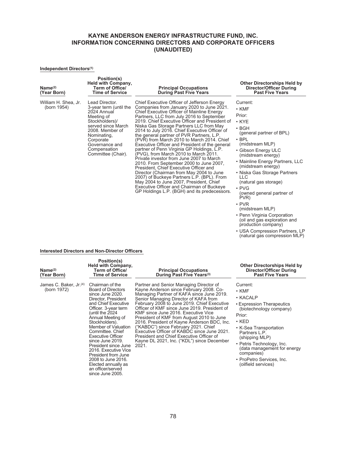#### **Independent Directors(1)**

| $Name^{(2)}$<br>(Year Born)         | Position(s)<br>Held with Company,<br>Term of Office/<br><b>Time of Service</b>                                                                                                                                       | <b>Principal Occupations</b><br><b>During Past Five Years</b>                                                                                                                                                                                                                                                                                                                                                                                                                                                                                                                                                                                                                                                                                                                                                                                                                                                                            | <b>Other Directorships Held by</b><br><b>Director/Officer During</b><br><b>Past Five Years</b>                                                                                                                                                                                                                                                                                |
|-------------------------------------|----------------------------------------------------------------------------------------------------------------------------------------------------------------------------------------------------------------------|------------------------------------------------------------------------------------------------------------------------------------------------------------------------------------------------------------------------------------------------------------------------------------------------------------------------------------------------------------------------------------------------------------------------------------------------------------------------------------------------------------------------------------------------------------------------------------------------------------------------------------------------------------------------------------------------------------------------------------------------------------------------------------------------------------------------------------------------------------------------------------------------------------------------------------------|-------------------------------------------------------------------------------------------------------------------------------------------------------------------------------------------------------------------------------------------------------------------------------------------------------------------------------------------------------------------------------|
| William H. Shea, Jr.<br>(born 1954) | Lead Director.<br>3-year term (until the<br>2024 Annual<br>Meeting of<br>Stockholders)/<br>served since March<br>2008. Member of<br>Nominating,<br>Corporate<br>Governance and<br>Compensation<br>Committee (Chair). | Chief Executive Officer of Jefferson Energy<br>Companies from January 2020 to June 2021.<br>Chief Executive Officer of Mainline Energy<br>Partners, LLC from July 2016 to September<br>2019. Chief Executive Officer and President of<br>Niska Gas Storage Partners LLC from May<br>2014 to July 2016. Chief Executive Officer of<br>the general partner of PVR Partners, L.P.<br>(PVR) from March 2010 to March 2014. Chief<br>Executive Officer and President of the general<br>partner of Penn Virginia GP Holdings, L.P.<br>(PVG), from March 2010 to March 2011.<br>Private investor from June 2007 to March<br>2010. From September 2000 to June 2007,<br>President, Chief Executive Officer and<br>Director (Chairman from May 2004 to June<br>2007) of Buckeye Partners L.P. (BPL). From<br>May 2004 to June 2007, President, Chief<br>Executive Officer and Chairman of Buckeye<br>GP Holdings L.P. (BGH) and its predecessors. | Current:<br>$\cdot$ KMF<br>Prior:<br>$\cdot$ KYE<br>$\cdot$ BGH<br>(general partner of BPL)<br>$\cdot$ BPL<br>(midstream MLP)<br>• Gibson Energy ULC<br>(midstream energy)<br>• Mainline Energy Partners, LLC<br>(midstream energy)<br>• Niska Gas Storage Partners<br><b>LLC</b><br>(natural gas storage)<br>$\cdot$ PVG<br>(owned general partner of<br>PVR)<br>$\cdot$ PVR |

(midstream MLP) • Penn Virginia Corporation (oil and gas exploration and production company) • USA Compression Partners, LP (natural gas compression MLP)

#### **Interested Directors and Non-Director Officers**

| Name <sup>(2)</sup><br>(Year Born)                | Position(s)<br>Held with Company,<br>Term of Office/<br><b>Time of Service</b>                                                                                                                                                                                                                                                                                                                                                                           | <b>Principal Occupations</b><br>During Past Five Years <sup>(3)</sup>                                                                                                                                                                                                                                                                                                                                                                                                                                                                                                                                | <b>Other Directorships Held by</b><br><b>Director/Officer During</b><br><b>Past Five Years</b>                                                                                                                                                                                                                  |
|---------------------------------------------------|----------------------------------------------------------------------------------------------------------------------------------------------------------------------------------------------------------------------------------------------------------------------------------------------------------------------------------------------------------------------------------------------------------------------------------------------------------|------------------------------------------------------------------------------------------------------------------------------------------------------------------------------------------------------------------------------------------------------------------------------------------------------------------------------------------------------------------------------------------------------------------------------------------------------------------------------------------------------------------------------------------------------------------------------------------------------|-----------------------------------------------------------------------------------------------------------------------------------------------------------------------------------------------------------------------------------------------------------------------------------------------------------------|
| James C. Baker, Jr. <sup>(4)</sup><br>(born 1972) | Chairman of the<br><b>Board of Directors</b><br>since June 2020.<br>Director, President<br>and Chief Executive<br>Officer. 3-year term<br>until the 2024)<br>Annual Meeting of<br>Stockholders).<br>Member of Valuation<br>Committee, Chief<br><b>Executive Officer</b><br>since June 2019.<br>President since June<br>2016. Executive Vice<br>President from June<br>2008 to June 2016.<br>Elected annually as<br>an officer/served<br>since June 2005. | Partner and Senior Managing Director of<br>Kayne Anderson since February 2008. Co-<br>Managing Partner of KAFA since June 2019.<br>Senior Managing Director of KAFA from<br>February 2008 to June 2019. Chief Executive<br>Officer of KMF since June 2019. President of<br>KMF since June 2016. Executive Vice<br>President of KMF from August 2010 to June<br>2016. President of Kayne Anderson BDC, Inc.<br>("KABDC") since February 2021. Chief<br>Executive Officer of KABDC since June 2021.<br>President and Chief Executive Officer of<br>Kayne DL 2021, Inc. ("KDL") since December<br>2021. | Current:<br>$\cdot$ KMF<br>• KACALP<br>• Expression Therapeutics<br>(biotechnology company)<br>Prior:<br>$\cdot$ KED<br>• K-Sea Transportation<br>Partners L.P.<br>(shipping MLP)<br>• Petris Technology, Inc.<br>(data management for energy<br>companies)<br>• ProPetro Services, Inc.<br>(oilfield services) |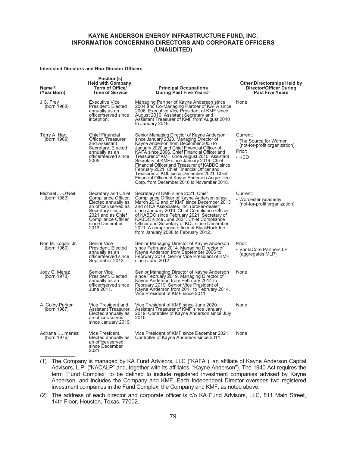#### **Interested Directors and Non-Director Officers**

| $Name^{(2)}$<br>(Year Born)       | Position(s)<br>Held with Company,<br><b>Term of Office/</b><br><b>Time of Service</b>                                                                                              | <b>Principal Occupations</b><br>During Past Five Years <sup>(3)</sup>                                                                                                                                                                                                                                                                                                                                                                                                                                                                                                        | <b>Other Directorships Held by</b><br><b>Director/Officer During</b><br><b>Past Five Years</b> |
|-----------------------------------|------------------------------------------------------------------------------------------------------------------------------------------------------------------------------------|------------------------------------------------------------------------------------------------------------------------------------------------------------------------------------------------------------------------------------------------------------------------------------------------------------------------------------------------------------------------------------------------------------------------------------------------------------------------------------------------------------------------------------------------------------------------------|------------------------------------------------------------------------------------------------|
| J.C. Frev<br>(born 1968)          | Executive Vice<br>President, Elected<br>annually as an<br>officer/served since<br>inception.                                                                                       | Managing Partner of Kayne Anderson since<br>2004 and Co-Managing Partner of KAFA since<br>2006. Executive Vice President of KMF since<br>August 2010. Assistant Secretary and<br>Assistant Treasurer of KMF from August 2010<br>to January 2019.                                                                                                                                                                                                                                                                                                                             | None                                                                                           |
| Terry A. Hart<br>(born 1969)      | <b>Chief Financial</b><br>Officer, Treasurer<br>and Assistant<br>Secretary. Elected<br>annually as an<br>officer/served since<br>2005.                                             | Senior Managing Director of Kayne Anderson<br>since January 2020. Managing Director of<br>Kayne Anderson from December 2005 to<br>January 2020 and Chief Financial Officer of<br>KAFA since 2006. Chief Financial Officer and<br>Treasurer of KMF since August 2010. Assistant<br>Secretary of KMF since January 2019. Chief<br>Financial Officer and Treasurer of KABDC since<br>February 2021. Chief Financial Officer and<br>Treasurer of KDL since December 2021. Chief<br>Financial Officer of Kayne Anderson Acquisition<br>Corp. from December 2016 to November 2018. | Current:<br>• The Source for Women<br>(not-for-profit organization)<br>Prior:<br>$\cdot$ KED   |
| Michael J. O'Neil<br>(born 1983)  | Secretary and Chief<br>Compliance Officer.<br>Elected annually as<br>an officer/served as<br>Secretary since<br>2021 and as Chief<br>Compliance Officer<br>since December<br>2013. | Secretary of KMF since 2021. Chief<br>Compliance Officer of Kayne Anderson since<br>March 2012 and of KMF since December 2013<br>and of KA Associates, Inc. (broker-dealer)<br>since January 2013. Chief Compliance Officer<br>of KABDC since February 2021. Secretary of<br>KABDC since June 2021. Chief Compliance<br>Officer and Secretary of KDL since December<br>2021. A compliance officer at BlackRock Inc.<br>from January 2008 to February 2012.                                                                                                                   | Current:<br>• Worcester Academy<br>(not-for-profit organization)                               |
| Ron M. Logan, Jr.<br>(born 1960)  | <b>Senior Vice</b><br>President. Elected<br>annually as an<br>officer/served since<br>September 2012.                                                                              | Senior Managing Director of Kayne Anderson<br>since February 2014. Managing Director of<br>Kayne Anderson from September 2006 to<br>February 2014. Senior Vice President of KMF<br>since June 2012.                                                                                                                                                                                                                                                                                                                                                                          | Prior:<br>• VantaCore Partners LP<br>(aggregates MLP)                                          |
| Jody C. Meraz<br>(born 1978)      | Senior Vice<br>President. Elected<br>annually as an<br>officer/served since<br>June 2011.                                                                                          | Senior Managing Director of Kayne Anderson<br>since February 2019. Managing Director of<br>Kayne Anderson from February 2014 to<br>February 2019. Senior Vice President of<br>Kayne Anderson from 2011 to February 2014.<br>Vice President of KMF since 2011.                                                                                                                                                                                                                                                                                                                | None                                                                                           |
| A. Colby Parker<br>(born 1987)    | Vice President and<br>Assistant Treasurer.<br>Elected annually as<br>an officer/served<br>since January 2019.                                                                      | Vice President of KMF since June 2020.<br>Assistant Treasurer of KMF since January<br>2019. Controller of Kayne Anderson since July<br>2015.                                                                                                                                                                                                                                                                                                                                                                                                                                 | None                                                                                           |
| Adriana I. Jimenez<br>(born 1976) | Vice President.<br>Elected annually as<br>an officer/served<br>since December<br>2021.                                                                                             | Vice President of KMF since December 2021.<br>Controller of Kayne Anderson since 2011.                                                                                                                                                                                                                                                                                                                                                                                                                                                                                       | None                                                                                           |

- (1) The Company is managed by KA Fund Advisors, LLC ("KAFA"), an affiliate of Kayne Anderson Capital Advisors, L.P. ("KACALP" and, together with its affiliates, "Kayne Anderson"). The 1940 Act requires the term "Fund Complex" to be defined to include registered investment companies advised by Kayne Anderson, and includes the Company and KMF. Each Independent Director oversees two registered investment companies in the Fund Complex, the Company and KMF, as noted above.
- (2) The address of each director and corporate officer is c/o KA Fund Advisors, LLC, 811 Main Street, 14th Floor, Houston, Texas, 77002.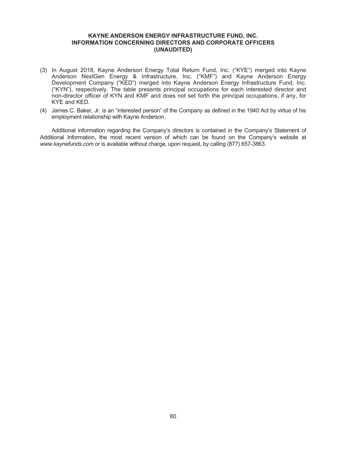- (3) In August 2018, Kayne Anderson Energy Total Return Fund, Inc. ("KYE") merged into Kayne Anderson NextGen Energy & Infrastructure, Inc. ("KMF") and Kayne Anderson Energy Development Company ("KED") merged into Kayne Anderson Energy Infrastructure Fund, Inc. ("KYN"), respectively. The table presents principal occupations for each interested director and non-director officer of KYN and KMF and does not set forth the principal occupations, if any, for KYE and KED.
- (4) James C. Baker, Jr. is an "interested person" of the Company as defined in the 1940 Act by virtue of his employment relationship with Kayne Anderson.

Additional information regarding the Company's directors is contained in the Company's Statement of Additional Information, the most recent version of which can be found on the Company's website at *www.kaynefunds.com* or is available without charge, upon request, by calling (877) 657-3863.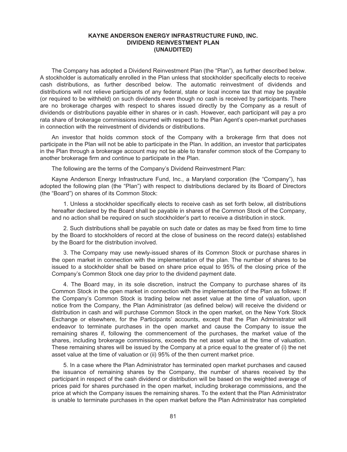#### **KAYNE ANDERSON ENERGY INFRASTRUCTURE FUND, INC. DIVIDEND REINVESTMENT PLAN (UNAUDITED)**

The Company has adopted a Dividend Reinvestment Plan (the "Plan"), as further described below. A stockholder is automatically enrolled in the Plan unless that stockholder specifically elects to receive cash distributions, as further described below. The automatic reinvestment of dividends and distributions will not relieve participants of any federal, state or local income tax that may be payable (or required to be withheld) on such dividends even though no cash is received by participants. There are no brokerage charges with respect to shares issued directly by the Company as a result of dividends or distributions payable either in shares or in cash. However, each participant will pay a pro rata share of brokerage commissions incurred with respect to the Plan Agent's open-market purchases in connection with the reinvestment of dividends or distributions.

An investor that holds common stock of the Company with a brokerage firm that does not participate in the Plan will not be able to participate in the Plan. In addition, an investor that participates in the Plan through a brokerage account may not be able to transfer common stock of the Company to another brokerage firm and continue to participate in the Plan.

The following are the terms of the Company's Dividend Reinvestment Plan:

Kayne Anderson Energy Infrastructure Fund, Inc., a Maryland corporation (the "Company"), has adopted the following plan (the "Plan") with respect to distributions declared by its Board of Directors (the "Board") on shares of its Common Stock:

1. Unless a stockholder specifically elects to receive cash as set forth below, all distributions hereafter declared by the Board shall be payable in shares of the Common Stock of the Company, and no action shall be required on such stockholder's part to receive a distribution in stock.

2. Such distributions shall be payable on such date or dates as may be fixed from time to time by the Board to stockholders of record at the close of business on the record date(s) established by the Board for the distribution involved.

3. The Company may use newly-issued shares of its Common Stock or purchase shares in the open market in connection with the implementation of the plan. The number of shares to be issued to a stockholder shall be based on share price equal to 95% of the closing price of the Company's Common Stock one day prior to the dividend payment date.

4. The Board may, in its sole discretion, instruct the Company to purchase shares of its Common Stock in the open market in connection with the implementation of the Plan as follows: If the Company's Common Stock is trading below net asset value at the time of valuation, upon notice from the Company, the Plan Administrator (as defined below) will receive the dividend or distribution in cash and will purchase Common Stock in the open market, on the New York Stock Exchange or elsewhere, for the Participants' accounts, except that the Plan Administrator will endeavor to terminate purchases in the open market and cause the Company to issue the remaining shares if, following the commencement of the purchases, the market value of the shares, including brokerage commissions, exceeds the net asset value at the time of valuation. These remaining shares will be issued by the Company at a price equal to the greater of (i) the net asset value at the time of valuation or (ii) 95% of the then current market price.

5. In a case where the Plan Administrator has terminated open market purchases and caused the issuance of remaining shares by the Company, the number of shares received by the participant in respect of the cash dividend or distribution will be based on the weighted average of prices paid for shares purchased in the open market, including brokerage commissions, and the price at which the Company issues the remaining shares. To the extent that the Plan Administrator is unable to terminate purchases in the open market before the Plan Administrator has completed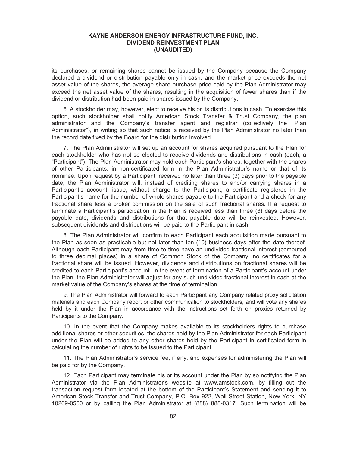#### **KAYNE ANDERSON ENERGY INFRASTRUCTURE FUND, INC. DIVIDEND REINVESTMENT PLAN (UNAUDITED)**

its purchases, or remaining shares cannot be issued by the Company because the Company declared a dividend or distribution payable only in cash, and the market price exceeds the net asset value of the shares, the average share purchase price paid by the Plan Administrator may exceed the net asset value of the shares, resulting in the acquisition of fewer shares than if the dividend or distribution had been paid in shares issued by the Company.

6. A stockholder may, however, elect to receive his or its distributions in cash. To exercise this option, such stockholder shall notify American Stock Transfer & Trust Company, the plan administrator and the Company's transfer agent and registrar (collectively the "Plan Administrator"), in writing so that such notice is received by the Plan Administrator no later than the record date fixed by the Board for the distribution involved.

7. The Plan Administrator will set up an account for shares acquired pursuant to the Plan for each stockholder who has not so elected to receive dividends and distributions in cash (each, a "Participant"). The Plan Administrator may hold each Participant's shares, together with the shares of other Participants, in non-certificated form in the Plan Administrator's name or that of its nominee. Upon request by a Participant, received no later than three (3) days prior to the payable date, the Plan Administrator will, instead of crediting shares to and/or carrying shares in a Participant's account, issue, without charge to the Participant, a certificate registered in the Participant's name for the number of whole shares payable to the Participant and a check for any fractional share less a broker commission on the sale of such fractional shares. If a request to terminate a Participant's participation in the Plan is received less than three (3) days before the payable date, dividends and distributions for that payable date will be reinvested. However, subsequent dividends and distributions will be paid to the Participant in cash.

8. The Plan Administrator will confirm to each Participant each acquisition made pursuant to the Plan as soon as practicable but not later than ten (10) business days after the date thereof. Although each Participant may from time to time have an undivided fractional interest (computed to three decimal places) in a share of Common Stock of the Company, no certificates for a fractional share will be issued. However, dividends and distributions on fractional shares will be credited to each Participant's account. In the event of termination of a Participant's account under the Plan, the Plan Administrator will adjust for any such undivided fractional interest in cash at the market value of the Company's shares at the time of termination.

9. The Plan Administrator will forward to each Participant any Company related proxy solicitation materials and each Company report or other communication to stockholders, and will vote any shares held by it under the Plan in accordance with the instructions set forth on proxies returned by Participants to the Company.

10. In the event that the Company makes available to its stockholders rights to purchase additional shares or other securities, the shares held by the Plan Administrator for each Participant under the Plan will be added to any other shares held by the Participant in certificated form in calculating the number of rights to be issued to the Participant.

11. The Plan Administrator's service fee, if any, and expenses for administering the Plan will be paid for by the Company.

12. Each Participant may terminate his or its account under the Plan by so notifying the Plan Administrator via the Plan Administrator's website at www.amstock.com, by filling out the transaction request form located at the bottom of the Participant's Statement and sending it to American Stock Transfer and Trust Company, P.O. Box 922, Wall Street Station, New York, NY 10269-0560 or by calling the Plan Administrator at (888) 888-0317. Such termination will be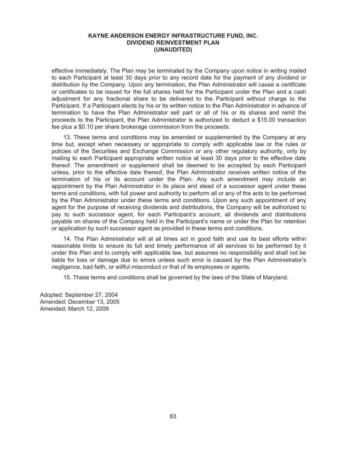#### **KAYNE ANDERSON ENERGY INFRASTRUCTURE FUND, INC. DIVIDEND REINVESTMENT PLAN (UNAUDITED)**

effective immediately. The Plan may be terminated by the Company upon notice in writing mailed to each Participant at least 30 days prior to any record date for the payment of any dividend or distribution by the Company. Upon any termination, the Plan Administrator will cause a certificate or certificates to be issued for the full shares held for the Participant under the Plan and a cash adjustment for any fractional share to be delivered to the Participant without charge to the Participant. If a Participant elects by his or its written notice to the Plan Administrator in advance of termination to have the Plan Administrator sell part or all of his or its shares and remit the proceeds to the Participant, the Plan Administrator is authorized to deduct a \$15.00 transaction fee plus a \$0.10 per share brokerage commission from the proceeds.

13. These terms and conditions may be amended or supplemented by the Company at any time but, except when necessary or appropriate to comply with applicable law or the rules or policies of the Securities and Exchange Commission or any other regulatory authority, only by mailing to each Participant appropriate written notice at least 30 days prior to the effective date thereof. The amendment or supplement shall be deemed to be accepted by each Participant unless, prior to the effective date thereof, the Plan Administrator receives written notice of the termination of his or its account under the Plan. Any such amendment may include an appointment by the Plan Administrator in its place and stead of a successor agent under these terms and conditions, with full power and authority to perform all or any of the acts to be performed by the Plan Administrator under these terms and conditions. Upon any such appointment of any agent for the purpose of receiving dividends and distributions, the Company will be authorized to pay to such successor agent, for each Participant's account, all dividends and distributions payable on shares of the Company held in the Participant's name or under the Plan for retention or application by such successor agent as provided in these terms and conditions.

14. The Plan Administrator will at all times act in good faith and use its best efforts within reasonable limits to ensure its full and timely performance of all services to be performed by it under this Plan and to comply with applicable law, but assumes no responsibility and shall not be liable for loss or damage due to errors unless such error is caused by the Plan Administrator's negligence, bad faith, or willful misconduct or that of its employees or agents.

15. These terms and conditions shall be governed by the laws of the State of Maryland.

Adopted: September 27, 2004 Amended: December 13, 2005 Amended: March 12, 2009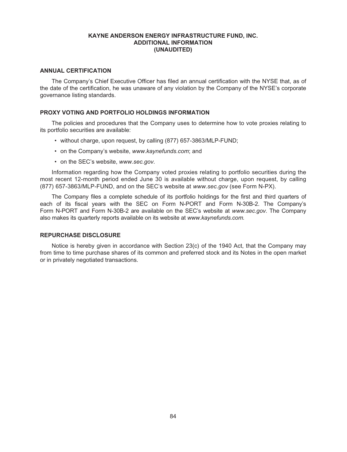#### **KAYNE ANDERSON ENERGY INFRASTRUCTURE FUND, INC. ADDITIONAL INFORMATION (UNAUDITED)**

#### **ANNUAL CERTIFICATION**

The Company's Chief Executive Officer has filed an annual certification with the NYSE that, as of the date of the certification, he was unaware of any violation by the Company of the NYSE's corporate governance listing standards.

#### **PROXY VOTING AND PORTFOLIO HOLDINGS INFORMATION**

The policies and procedures that the Company uses to determine how to vote proxies relating to its portfolio securities are available:

- without charge, upon request, by calling (877) 657-3863/MLP-FUND;
- on the Company's website, *www.kaynefunds.com*; and
- on the SEC's website, *www.sec.gov*.

Information regarding how the Company voted proxies relating to portfolio securities during the most recent 12-month period ended June 30 is available without charge, upon request, by calling (877) 657-3863/MLP-FUND, and on the SEC's website at *www.sec.gov* (see Form N-PX).

The Company files a complete schedule of its portfolio holdings for the first and third quarters of each of its fiscal years with the SEC on Form N-PORT and Form N-30B-2. The Company's Form N-PORT and Form N-30B-2 are available on the SEC's website at *www.sec.gov*. The Company also makes its quarterly reports available on its website at *www.kaynefunds.com.*

#### **REPURCHASE DISCLOSURE**

Notice is hereby given in accordance with Section 23(c) of the 1940 Act, that the Company may from time to time purchase shares of its common and preferred stock and its Notes in the open market or in privately negotiated transactions.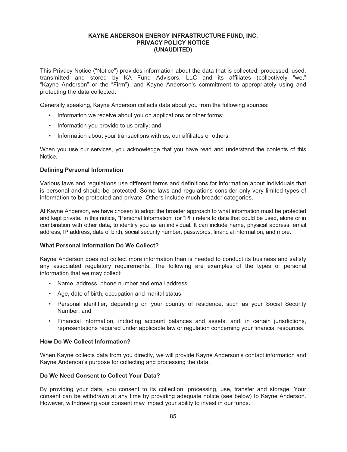This Privacy Notice ("Notice") provides information about the data that is collected, processed, used, transmitted and stored by KA Fund Advisors, LLC and its affiliates (collectively "we," "Kayne Anderson" or the "Firm"), and Kayne Anderson's commitment to appropriately using and protecting the data collected.

Generally speaking, Kayne Anderson collects data about you from the following sources:

- Information we receive about you on applications or other forms;
- Information you provide to us orally; and
- Information about your transactions with us, our affiliates or others.

When you use our services, you acknowledge that you have read and understand the contents of this Notice.

#### **Defining Personal Information**

Various laws and regulations use different terms and definitions for information about individuals that is personal and should be protected. Some laws and regulations consider only very limited types of information to be protected and private. Others include much broader categories.

At Kayne Anderson, we have chosen to adopt the broader approach to what information must be protected and kept private. In this notice, "Personal Information" (or "PI") refers to data that could be used, alone or in combination with other data, to identify you as an individual. It can include name, physical address, email address, IP address, date of birth, social security number, passwords, financial information, and more.

#### **What Personal Information Do We Collect?**

Kayne Anderson does not collect more information than is needed to conduct its business and satisfy any associated regulatory requirements. The following are examples of the types of personal information that we may collect:

- Name, address, phone number and email address;
- Age, date of birth, occupation and marital status;
- Personal identifier, depending on your country of residence, such as your Social Security Number; and
- Financial information, including account balances and assets, and, in certain jurisdictions, representations required under applicable law or regulation concerning your financial resources.

#### **How Do We Collect Information?**

When Kayne collects data from you directly, we will provide Kayne Anderson's contact information and Kayne Anderson's purpose for collecting and processing the data.

#### **Do We Need Consent to Collect Your Data?**

By providing your data, you consent to its collection, processing, use, transfer and storage. Your consent can be withdrawn at any time by providing adequate notice (see below) to Kayne Anderson. However, withdrawing your consent may impact your ability to invest in our funds.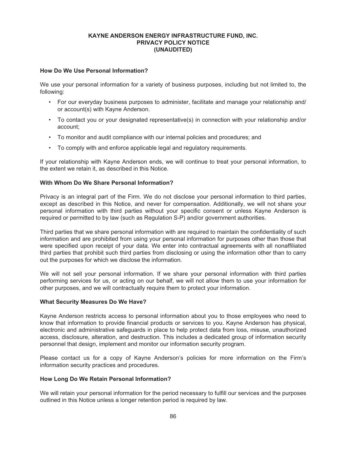#### **How Do We Use Personal Information?**

We use your personal information for a variety of business purposes, including but not limited to, the following:

- For our everyday business purposes to administer, facilitate and manage your relationship and/ or account(s) with Kayne Anderson.
- To contact you or your designated representative(s) in connection with your relationship and/or account;
- To monitor and audit compliance with our internal policies and procedures; and
- To comply with and enforce applicable legal and regulatory requirements.

If your relationship with Kayne Anderson ends, we will continue to treat your personal information, to the extent we retain it, as described in this Notice.

#### **With Whom Do We Share Personal Information?**

Privacy is an integral part of the Firm. We do not disclose your personal information to third parties, except as described in this Notice, and never for compensation. Additionally, we will not share your personal information with third parties without your specific consent or unless Kayne Anderson is required or permitted to by law (such as Regulation S-P) and/or government authorities.

Third parties that we share personal information with are required to maintain the confidentiality of such information and are prohibited from using your personal information for purposes other than those that were specified upon receipt of your data. We enter into contractual agreements with all nonaffiliated third parties that prohibit such third parties from disclosing or using the information other than to carry out the purposes for which we disclose the information.

We will not sell your personal information. If we share your personal information with third parties performing services for us, or acting on our behalf, we will not allow them to use your information for other purposes, and we will contractually require them to protect your information.

#### **What Security Measures Do We Have?**

Kayne Anderson restricts access to personal information about you to those employees who need to know that information to provide financial products or services to you. Kayne Anderson has physical, electronic and administrative safeguards in place to help protect data from loss, misuse, unauthorized access, disclosure, alteration, and destruction. This includes a dedicated group of information security personnel that design, implement and monitor our information security program.

Please contact us for a copy of Kayne Anderson's policies for more information on the Firm's information security practices and procedures.

#### **How Long Do We Retain Personal Information?**

We will retain your personal information for the period necessary to fulfill our services and the purposes outlined in this Notice unless a longer retention period is required by law.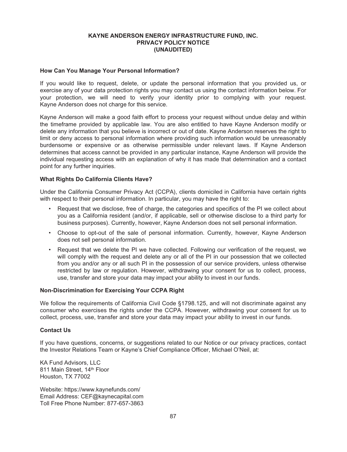#### **How Can You Manage Your Personal Information?**

If you would like to request, delete, or update the personal information that you provided us, or exercise any of your data protection rights you may contact us using the contact information below. For your protection, we will need to verify your identity prior to complying with your request. Kayne Anderson does not charge for this service.

Kayne Anderson will make a good faith effort to process your request without undue delay and within the timeframe provided by applicable law. You are also entitled to have Kayne Anderson modify or delete any information that you believe is incorrect or out of date. Kayne Anderson reserves the right to limit or deny access to personal information where providing such information would be unreasonably burdensome or expensive or as otherwise permissible under relevant laws. If Kayne Anderson determines that access cannot be provided in any particular instance, Kayne Anderson will provide the individual requesting access with an explanation of why it has made that determination and a contact point for any further inquiries.

#### **What Rights Do California Clients Have?**

Under the California Consumer Privacy Act (CCPA), clients domiciled in California have certain rights with respect to their personal information. In particular, you may have the right to:

- Request that we disclose, free of charge, the categories and specifics of the PI we collect about you as a California resident (and/or, if applicable, sell or otherwise disclose to a third party for business purposes). Currently, however, Kayne Anderson does not sell personal information.
- Choose to opt-out of the sale of personal information. Currently, however, Kayne Anderson does not sell personal information.
- Request that we delete the PI we have collected. Following our verification of the request, we will comply with the request and delete any or all of the PI in our possession that we collected from you and/or any or all such PI in the possession of our service providers, unless otherwise restricted by law or regulation. However, withdrawing your consent for us to collect, process, use, transfer and store your data may impact your ability to invest in our funds.

#### **Non-Discrimination for Exercising Your CCPA Right**

We follow the requirements of California Civil Code §1798.125, and will not discriminate against any consumer who exercises the rights under the CCPA. However, withdrawing your consent for us to collect, process, use, transfer and store your data may impact your ability to invest in our funds.

#### **Contact Us**

If you have questions, concerns, or suggestions related to our Notice or our privacy practices, contact the Investor Relations Team or Kayne's Chief Compliance Officer, Michael O'Neil, at:

KA Fund Advisors, LLC 811 Main Street, 14th Floor Houston, TX 77002

Website: https://www.kaynefunds.com/ Email Address: CEF@kaynecapital.com Toll Free Phone Number: 877-657-3863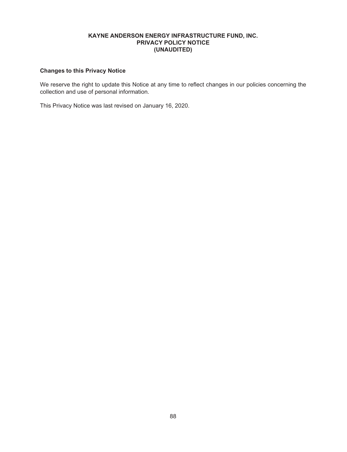# **Changes to this Privacy Notice**

We reserve the right to update this Notice at any time to reflect changes in our policies concerning the collection and use of personal information.

This Privacy Notice was last revised on January 16, 2020.